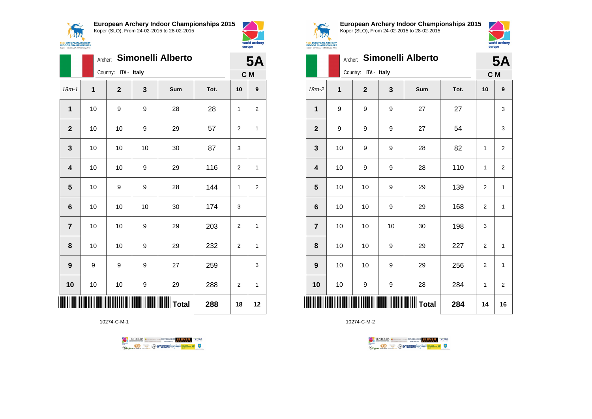



|                         |    | <b>Simonelli Alberto</b><br>Archer: |    |     |      |    |     |  |  |
|-------------------------|----|-------------------------------------|----|-----|------|----|-----|--|--|
|                         |    | Country: ITA - Italy                |    |     |      |    | C M |  |  |
| $18m - 1$               | 1  | $\mathbf{2}$                        | 3  | Sum | Tot. | 10 | 9   |  |  |
| 1                       | 10 | 9                                   | 9  | 28  | 28   | 1  | 2   |  |  |
| $\mathbf{2}$            | 10 | 10                                  | 9  | 29  | 57   | 2  | 1   |  |  |
| 3                       | 10 | 10                                  | 10 | 30  | 87   | 3  |     |  |  |
| $\overline{\mathbf{4}}$ | 10 | 10                                  | 9  | 29  | 116  | 2  | 1   |  |  |
| $\overline{\mathbf{5}}$ | 10 | 9                                   | 9  | 28  | 144  | 1  | 2   |  |  |
| $6\phantom{1}6$         | 10 | 10                                  | 10 | 30  | 174  | 3  |     |  |  |
| $\overline{7}$          | 10 | 10                                  | 9  | 29  | 203  | 2  | 1   |  |  |
| 8                       | 10 | 10                                  | 9  | 29  | 232  | 2  | 1   |  |  |
| 9                       | 9  | 9                                   | 9  | 27  | 259  |    | 3   |  |  |
| 10                      | 10 | 10                                  | 9  | 29  | 288  | 2  | 1   |  |  |
|                         |    |                                     |    |     | 288  | 18 | 12  |  |  |

10274-C-M-1





**European Archery Indoor Championships 2015** Koper (SLO), From 24-02-2015 to 28-02-2015



|                         |    | Archer:              |    | Simonelli Alberto                          |      |                | <b>5A</b>      |
|-------------------------|----|----------------------|----|--------------------------------------------|------|----------------|----------------|
|                         |    | Country: ITA - Italy |    |                                            |      | C M            |                |
| $18m-2$                 | 1  | $\mathbf{2}$         | 3  | Sum                                        | Tot. | 10             | 9              |
| 1                       | 9  | 9                    | 9  | 27                                         | 27   |                | 3              |
| $\overline{\mathbf{2}}$ | 9  | 9                    | 9  | 27                                         | 54   |                | 3              |
| 3                       | 10 | 9                    | 9  | 28                                         | 82   | 1              | 2              |
| $\overline{\mathbf{4}}$ | 10 | 9                    | 9  | 28                                         | 110  | 1              | $\mathbf 2$    |
| 5                       | 10 | 10                   | 9  | 29                                         | 139  | $\overline{2}$ | $\mathbf{1}$   |
| 6                       | 10 | 10                   | 9  | 29                                         | 168  | $\overline{c}$ | 1              |
| $\overline{7}$          | 10 | 10                   | 10 | 30                                         | 198  | 3              |                |
| 8                       | 10 | 10                   | 9  | 29                                         | 227  | 2              | 1              |
| 9                       | 10 | 10                   | 9  | 29                                         | 256  | 2              | 1              |
| 10                      | 10 | 9                    | 9  | 28                                         | 284  | 1              | $\overline{2}$ |
| IIII                    |    |                      |    | <b>                             </b> Total | 284  | 14             | 16             |

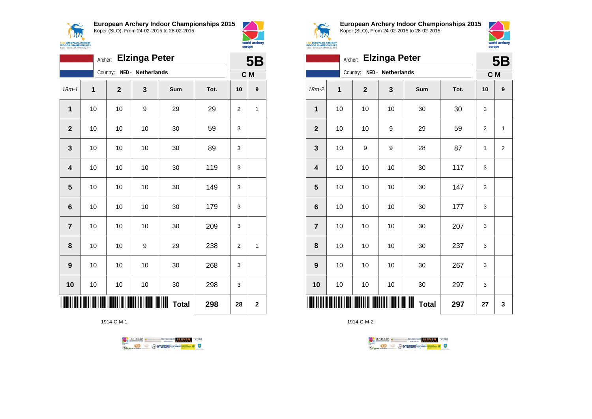



|                         | <b>5B</b> |             |                   |              |      |                |              |
|-------------------------|-----------|-------------|-------------------|--------------|------|----------------|--------------|
|                         |           | Country:    | NED - Netherlands |              |      |                | C M          |
| $18m - 1$               | 1         | $\mathbf 2$ | 3                 | Sum          | Tot. | 10             | 9            |
| 1                       | 10        | 10          | 9                 | 29           | 29   | $\overline{2}$ | 1            |
| $\mathbf 2$             | 10        | 10          | 10                | 30           | 59   | 3              |              |
| 3                       | 10        | 10          | 10                | 30           | 89   | 3              |              |
| $\overline{\mathbf{4}}$ | 10        | 10          | 10                | 30           | 119  | 3              |              |
| 5                       | 10        | 10          | 10                | 30           | 149  | 3              |              |
| 6                       | 10        | 10          | 10                | 30           | 179  | 3              |              |
| $\overline{7}$          | 10        | 10          | 10                | 30           | 209  | 3              |              |
| 8                       | 10        | 10          | 9                 | 29           | 238  | $\overline{2}$ | 1            |
| 9                       | 10        | 10          | 10                | 30           | 268  | 3              |              |
| 10                      | 10        | 10          | 10                | 30           | 298  | 3              |              |
|                         |           |             |                   | <b>Total</b> | 298  | 28             | $\mathbf{2}$ |

1914-C-M-1





**European Archery Indoor Championships 2015** Koper (SLO), From 24-02-2015 to 28-02-2015



|                         | Archer:      |             | <b>Elzinga Peter</b> |                   |      |                | <b>5B</b>      |
|-------------------------|--------------|-------------|----------------------|-------------------|------|----------------|----------------|
|                         |              | Country:    | NED - Netherlands    |                   |      | C M            |                |
| 18m-2                   | $\mathbf{1}$ | $\mathbf 2$ | 3                    | Sum               | Tot. | 10             | 9              |
| $\mathbf{1}$            | 10           | 10          | 10                   | 30                | 30   | 3              |                |
| $\mathbf{2}$            | 10           | 10          | 9                    | 29                | 59   | $\overline{2}$ | 1              |
| $\mathbf{3}$            | 10           | 9           | 9                    | 28                | 87   | 1              | $\overline{2}$ |
| $\overline{\mathbf{4}}$ | 10           | 10          | 10                   | 30                | 117  | 3              |                |
| 5                       | 10           | 10          | 10                   | 30                | 147  | 3              |                |
| $\bf 6$                 | 10           | 10          | 10                   | 30                | 177  | 3              |                |
| $\overline{7}$          | 10           | 10          | 10                   | 30                | 207  | 3              |                |
| 8                       | 10           | 10          | 10                   | 30                | 237  | 3              |                |
| 9                       | 10           | 10          | 10                   | 30                | 267  | 3              |                |
| 10                      | $10\,$       | 10          | 10                   | 30                | 297  | 3              |                |
| ║║║                     |              |             |                      | ┉<br><b>Total</b> | 297  | 27             | 3              |

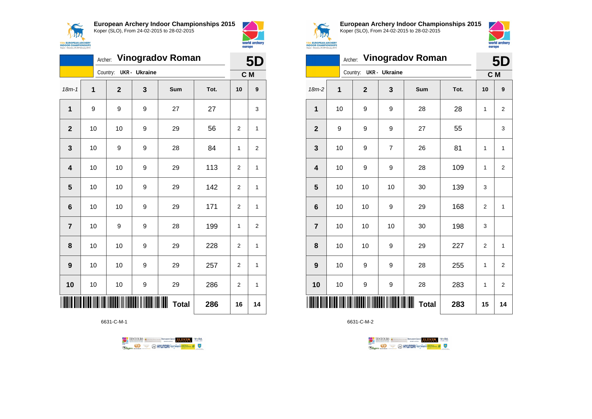



|                         | <b>Vinogradov Roman</b><br>Archer: |          |              |               |                        | 5D   |                |              |
|-------------------------|------------------------------------|----------|--------------|---------------|------------------------|------|----------------|--------------|
|                         |                                    | Country: |              | UKR - Ukraine |                        |      | C M            |              |
| $18m - 1$               | $\mathbf 1$                        |          | $\mathbf{2}$ | 3             | Sum                    | Tot. | 10             | 9            |
| 1                       | 9                                  |          | 9            | 9             | 27                     | 27   |                | 3            |
| $\mathbf 2$             | 10                                 |          | 10           | 9             | 29                     | 56   | $\overline{2}$ | 1            |
| 3                       | 10                                 |          | 9            | 9             | 28                     | 84   | 1              | 2            |
| $\overline{\mathbf{4}}$ | 10                                 |          | 10           | 9             | 29                     | 113  | $\overline{2}$ | $\mathbf{1}$ |
| 5                       | 10                                 |          | 10           | 9             | 29                     | 142  | $\overline{2}$ | 1            |
| 6                       | 10                                 |          | 10           | 9             | 29                     | 171  | $\overline{2}$ | 1            |
| $\overline{7}$          | 10                                 |          | 9            | 9             | 28                     | 199  | 1              | 2            |
| 8                       | 10                                 |          | 10           | 9             | 29                     | 228  | $\overline{2}$ | 1            |
| 9                       | 10                                 |          | 10           | 9             | 29                     | 257  | $\overline{2}$ | $\mathbf{1}$ |
| 10                      | 10                                 |          | 10           | 9             | 29                     | 286  | $\overline{2}$ | 1            |
|                         |                                    |          |              |               | IIIIII<br><b>Total</b> | 286  | 16             | 14           |

6631-C-M-1





**European Archery Indoor Championships 2015** Koper (SLO), From 24-02-2015 to 28-02-2015



|                         | Archer: | <b>Vinogradov Roman</b> | 5D                   |              |      |                |                |
|-------------------------|---------|-------------------------|----------------------|--------------|------|----------------|----------------|
|                         |         | Country:                | <b>UKR</b> - Ukraine |              |      | C M            |                |
| $18m-2$                 | 1       | $\mathbf{2}$            | 3                    | Sum          | Tot. | 10             | 9              |
| $\mathbf{1}$            | 10      | 9                       | 9                    | 28           | 28   | 1              | 2              |
| $\mathbf{2}$            | 9       | 9                       | 9                    | 27           | 55   |                | 3              |
| 3                       | 10      | 9                       | 7                    | 26           | 81   | 1              | 1              |
| $\overline{\mathbf{4}}$ | 10      | 9                       | 9                    | 28           | 109  | 1              | $\overline{2}$ |
| 5                       | 10      | 10                      | 10                   | 30           | 139  | 3              |                |
| $6\phantom{1}6$         | 10      | 10                      | 9                    | 29           | 168  | $\overline{2}$ | $\mathbf{1}$   |
| $\overline{\mathbf{7}}$ | 10      | 10                      | 10                   | 30           | 198  | 3              |                |
| 8                       | 10      | 10                      | 9                    | 29           | 227  | $\overline{2}$ | $\mathbf{1}$   |
| 9                       | 10      | 9                       | 9                    | 28           | 255  | 1              | $\overline{2}$ |
| 10                      | 10      | 9                       | 9                    | 28           | 283  | 1              | $\overline{2}$ |
| IIII                    |         |                         |                      | <b>Total</b> | 283  | 15             | 14             |

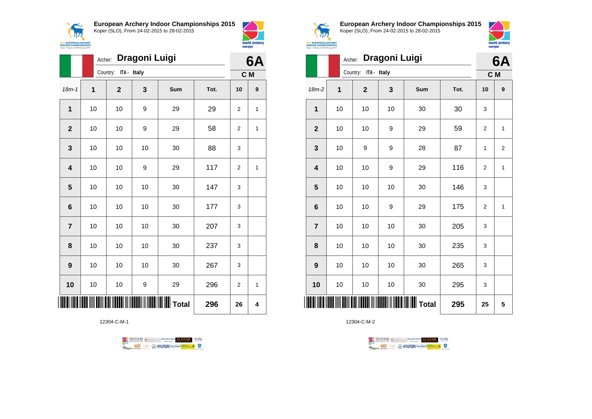



world archery

europe

|                | Archer: |                      | Dragoni Luigi |                                            |      |                | 6A               |
|----------------|---------|----------------------|---------------|--------------------------------------------|------|----------------|------------------|
|                |         | Country: ITA - Italy |               |                                            |      | C M            |                  |
| $18m - 1$      | 1       | $\mathbf{2}$         | 3             | Sum                                        | Tot. | 10             | $\boldsymbol{9}$ |
| $\mathbf{1}$   | 10      | 10                   | 9             | 29                                         | 29   | $\overline{2}$ | 1                |
| $\overline{2}$ | 10      | 10                   | 9             | 29                                         | 58   | $\overline{2}$ | 1                |
| 3              | 10      | 10                   | 10            | 30                                         | 88   | 3              |                  |
| 4              | 10      | 10                   | 9             | 29                                         | 117  | $\overline{2}$ | 1                |
| 5              | 10      | 10                   | 10            | 30                                         | 147  | 3              |                  |
| $6\phantom{1}$ | 10      | 10                   | 10            | 30                                         | 177  | 3              |                  |
| $\overline{7}$ | 10      | 10                   | 10            | 30                                         | 207  | 3              |                  |
| 8              | 10      | 10                   | 10            | 30                                         | 237  | 3              |                  |
| 9              | 10      | 10                   | 10            | 30                                         | 267  | 3              |                  |
| 10             | 10      | 10                   | 9             | 29                                         | 296  | 2              | 1                |
| ∭              |         |                      |               | <b>                             </b> Total | 296  | 26             | 4                |

12304-C-M-1





**European Archery Indoor Championships 2015** Koper (SLO), From 24-02-2015 to 28-02-2015



|                         | Archer: |                      | Dragoni Luigi |              |      |                | 6A             |
|-------------------------|---------|----------------------|---------------|--------------|------|----------------|----------------|
|                         |         | Country: ITA - Italy |               |              |      |                | C M            |
| 18m-2                   | 1       | $\overline{2}$       | 3             | Sum          | Tot. | 10             | 9              |
| 1                       | 10      | 10                   | 10            | 30           | 30   | 3              |                |
| $\overline{2}$          | 10      | 10                   | 9             | 29           | 59   | $\overline{2}$ | 1              |
| $\mathbf{3}$            | 10      | 9                    | 9             | 28           | 87   | 1              | $\overline{2}$ |
| $\overline{\mathbf{4}}$ | 10      | 10                   | 9             | 29           | 116  | $\overline{2}$ | 1              |
| 5                       | 10      | 10                   | 10            | 30           | 146  | 3              |                |
| $6\phantom{1}6$         | 10      | 10                   | 9             | 29           | 175  | $\overline{2}$ | 1              |
| $\overline{7}$          | 10      | 10                   | 10            | 30           | 205  | 3              |                |
| 8                       | 10      | 10                   | 10            | 30           | 235  | 3              |                |
| $\boldsymbol{9}$        | 10      | 10                   | 10            | 30           | 265  | 3              |                |
| 10                      | 10      | 10                   | 10            | 30           | 295  | 3              |                |
|                         |         |                      |               | <b>Total</b> | 295  | 25             | 5              |

TENTOURS **(i)** CONSIDER DEVELOPS OF THE VEDA

**B** MYUNDAI Tonsed **Williams 9** 

 $\perp$ 

12304-C-M-2

**Regin**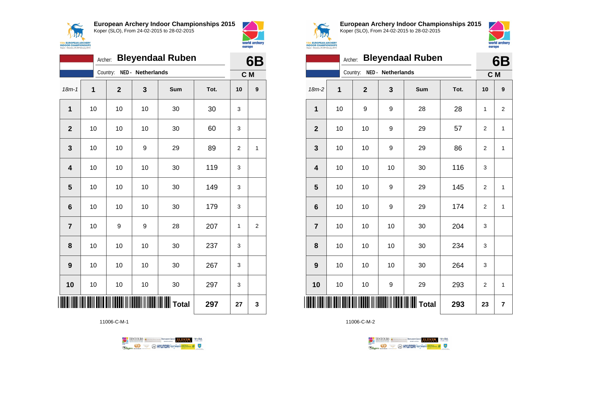



|                         | Archer:     |             |                   | <b>Bleyendaal Ruben</b> |      |                | 6B |
|-------------------------|-------------|-------------|-------------------|-------------------------|------|----------------|----|
|                         |             | Country:    | NED - Netherlands |                         |      | C M            |    |
| $18m - 1$               | $\mathbf 1$ | $\mathbf 2$ | 3                 | Sum                     | Tot. | 10             | 9  |
| $\mathbf{1}$            | 10          | 10          | 10                | 30                      | 30   | 3              |    |
| $\mathbf{2}$            | 10          | 10          | 10                | 30                      | 60   | 3              |    |
| 3                       | 10          | 10          | 9                 | 29                      | 89   | $\overline{2}$ | 1  |
| $\overline{\mathbf{4}}$ | 10          | 10          | 10                | 30                      | 119  | 3              |    |
| 5                       | 10          | 10          | 10                | 30                      | 149  | 3              |    |
| $6\phantom{1}$          | 10          | 10          | 10                | 30                      | 179  | 3              |    |
| $\overline{7}$          | 10          | 9           | 9                 | 28                      | 207  | 1              | 2  |
| 8                       | 10          | 10          | 10                | 30                      | 237  | 3              |    |
| 9                       | 10          | 10          | 10                | 30                      | 267  | 3              |    |
| 10                      | 10          | 10          | 10                | 30                      | 297  | 3              |    |
| ║                       |             |             |                   |                         | 297  | 27             | 3  |

11006-C-M-1





**European Archery Indoor Championships 2015** Koper (SLO), From 24-02-2015 to 28-02-2015



|                         | Archer: |             |                   | <b>Bleyendaal Ruben</b> |      |                | 6B                      |
|-------------------------|---------|-------------|-------------------|-------------------------|------|----------------|-------------------------|
|                         |         | Country:    | NED - Netherlands |                         |      | C M            |                         |
| $18m-2$                 | 1       | $\mathbf 2$ | 3                 | Sum                     | Tot. | 10             | 9                       |
| 1                       | 10      | 9           | 9                 | 28                      | 28   | 1              | $\overline{2}$          |
| $\mathbf{2}$            | 10      | 10          | 9                 | 29                      | 57   | 2              | 1                       |
| 3                       | 10      | 10          | 9                 | 29                      | 86   | 2              | 1                       |
| $\overline{\mathbf{4}}$ | 10      | 10          | 10                | 30                      | 116  | 3              |                         |
| 5                       | 10      | 10          | 9                 | 29                      | 145  | $\overline{2}$ | $\mathbf{1}$            |
| $6\phantom{1}6$         | 10      | 10          | 9                 | 29                      | 174  | $\overline{2}$ | 1                       |
| $\overline{7}$          | 10      | 10          | 10                | 30                      | 204  | 3              |                         |
| 8                       | 10      | 10          | 10                | 30                      | 234  | 3              |                         |
| 9                       | 10      | 10          | 10                | 30                      | 264  | 3              |                         |
| 10                      | 10      | 10          | 9                 | 29                      | 293  | $\overline{2}$ | 1                       |
|                         |         |             |                   |                         | 293  | 23             | $\overline{\mathbf{r}}$ |

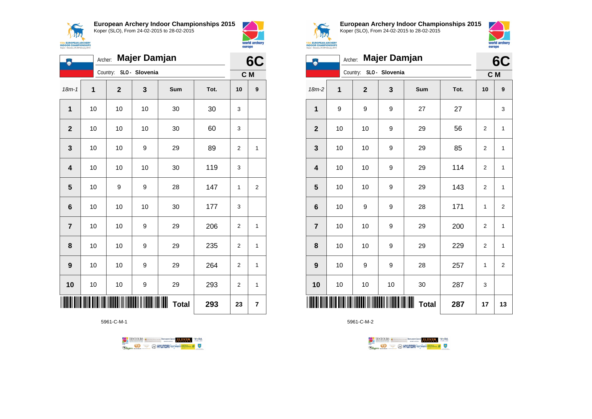



| ٨                       | Majer Damjan<br>Archer: |             |                |              |      |                |                |  |
|-------------------------|-------------------------|-------------|----------------|--------------|------|----------------|----------------|--|
|                         |                         | Country:    | SLO - Slovenia |              |      | C M            |                |  |
| $18m - 1$               | 1                       | $\mathbf 2$ | 3              | Sum          | Tot. | 10             | 9              |  |
| 1                       | 10                      | 10          | 10             | 30           | 30   | 3              |                |  |
| $\mathbf{2}$            | 10                      | 10          | 10             | 30           | 60   | 3              |                |  |
| 3                       | 10                      | 10          | 9              | 29           | 89   | $\overline{2}$ | 1              |  |
| $\overline{\mathbf{4}}$ | 10                      | 10          | 10             | 30           | 119  | 3              |                |  |
| $\overline{\mathbf{5}}$ | 10                      | 9           | 9              | 28           | 147  | $\mathbf{1}$   | $\overline{2}$ |  |
| 6                       | 10                      | 10          | 10             | 30           | 177  | 3              |                |  |
| $\overline{\mathbf{r}}$ | 10                      | 10          | 9              | 29           | 206  | 2              | 1              |  |
| 8                       | 10                      | 10          | 9              | 29           | 235  | $\overline{2}$ | 1              |  |
| 9                       | 10                      | 10          | 9              | 29           | 264  | $\overline{2}$ | 1              |  |
| 10                      | 10                      | 10          | 9              | 29           | 293  | $\overline{2}$ | 1              |  |
|                         |                         |             |                | <b>Total</b> | 293  | 23             | 7              |  |

5961-C-M-1





**European Archery Indoor Championships 2015** Koper (SLO), From 24-02-2015 to 28-02-2015



| Koper - Slovenia, 24-28 February 2015 | <u>om obo</u> |                |                |              |      |                |                |
|---------------------------------------|---------------|----------------|----------------|--------------|------|----------------|----------------|
| Ш                                     | Archer:       |                | Majer Damjan   |              |      | 6C             |                |
|                                       |               | Country:       | SLO - Slovenia |              |      | C M            |                |
| $18m-2$                               | 1             | $\overline{2}$ | 3              | Sum          | Tot. | 10             | 9              |
| 1                                     | 9             | 9              | 9              | 27           | 27   |                | 3              |
| $\overline{2}$                        | 10            | 10             | 9              | 29           | 56   | 2              | 1              |
| $\mathbf{3}$                          | 10            | 10             | 9              | 29           | 85   | $\mathbf 2$    | 1              |
| $\overline{\mathbf{4}}$               | 10            | 10             | 9              | 29           | 114  | $\overline{2}$ | 1              |
| 5                                     | 10            | 10             | 9              | 29           | 143  | $\mathbf 2$    | 1              |
| $\bf 6$                               | 10            | 9              | 9              | 28           | 171  | 1              | $\overline{2}$ |
| $\overline{7}$                        | 10            | 10             | 9              | 29           | 200  | $\mathbf 2$    | 1              |
| 8                                     | 10            | 10             | 9              | 29           | 229  | $\overline{2}$ | 1              |
| $\boldsymbol{9}$                      | 10            | 9              | 9              | 28           | 257  | 1              | $\overline{2}$ |
| 10                                    | 10            | 10             | 10             | 30           | 287  | 3              |                |
| IIIII                                 |               |                |                | <b>Total</b> | 287  | 17             | 13             |

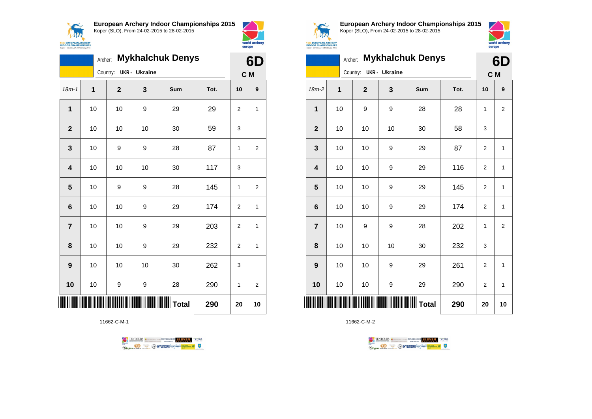



|                         | <b>Mykhalchuk Denys</b><br>Archer: |          |             |                      |     |      |                | 6D             |  |
|-------------------------|------------------------------------|----------|-------------|----------------------|-----|------|----------------|----------------|--|
|                         |                                    | Country: |             | <b>UKR</b> - Ukraine |     |      | C M            |                |  |
| $18m - 1$               | $\mathbf 1$                        |          | $\mathbf 2$ | 3                    | Sum | Tot. | 10             | 9              |  |
| $\mathbf{1}$            | 10                                 |          | 10          | 9                    | 29  | 29   | 2              | 1              |  |
| $\mathbf{2}$            | 10                                 |          | 10          | 10                   | 30  | 59   | 3              |                |  |
| 3                       | 10                                 |          | 9           | 9                    | 28  | 87   | 1              | $\overline{2}$ |  |
| $\overline{\mathbf{4}}$ | 10                                 |          | 10          | 10                   | 30  | 117  | 3              |                |  |
| 5                       | 10                                 |          | 9           | 9                    | 28  | 145  | 1              | 2              |  |
| 6                       | $10$                               |          | 10          | 9                    | 29  | 174  | $\overline{2}$ | 1              |  |
| $\overline{7}$          | 10                                 |          | 10          | 9                    | 29  | 203  | $\overline{2}$ | 1              |  |
| 8                       | 10                                 |          | 10          | 9                    | 29  | 232  | $\overline{2}$ | 1              |  |
| 9                       | 10                                 |          | 10          | 10                   | 30  | 262  | 3              |                |  |
| 10                      | 10                                 |          | 9           | 9                    | 28  | 290  | 1              | 2              |  |
|                         | $\ $    $\ $ Total                 |          |             |                      |     |      | 20             | 10             |  |

11662-C-M-1





**European Archery Indoor Championships 2015** Koper (SLO), From 24-02-2015 to 28-02-2015



| <b>Mykhalchuk Denys</b><br>Archer: |    |          |             |                      |                                           |      | 6D             |                |
|------------------------------------|----|----------|-------------|----------------------|-------------------------------------------|------|----------------|----------------|
|                                    |    | Country: |             | <b>UKR</b> - Ukraine |                                           |      | C M            |                |
| 18m-2                              | 1  |          | $\mathbf 2$ | 3                    | Sum                                       | Tot. | 10             | 9              |
| $\mathbf 1$                        | 10 |          | 9           | 9                    | 28                                        | 28   | 1              | $\overline{2}$ |
| $\mathbf{2}$                       | 10 |          | 10          | 10                   | 30                                        | 58   | 3              |                |
| 3                                  | 10 |          | 10          | 9                    | 29                                        | 87   | $\overline{2}$ | $\mathbf{1}$   |
| 4                                  | 10 |          | 10          | 9                    | 29                                        | 116  | $\overline{c}$ | 1              |
| 5                                  | 10 |          | 10          | 9                    | 29                                        | 145  | $\overline{c}$ | $\mathbf{1}$   |
| $6\phantom{1}6$                    | 10 |          | 10          | 9                    | 29                                        | 174  | $\overline{2}$ | $\mathbf{1}$   |
| $\overline{7}$                     | 10 |          | 9           | 9                    | 28                                        | 202  | 1              | $\overline{2}$ |
| 8                                  | 10 |          | 10          | 10                   | 30                                        | 232  | 3              |                |
| 9                                  | 10 |          | 10          | 9                    | 29                                        | 261  | $\overline{2}$ | $\mathbf{1}$   |
| 10                                 | 10 |          | 10          | 9                    | 29                                        | 290  | $\overline{2}$ | 1              |
|                                    |    |          |             |                      | <b>                          </b>   Total | 290  | 20             | 10             |

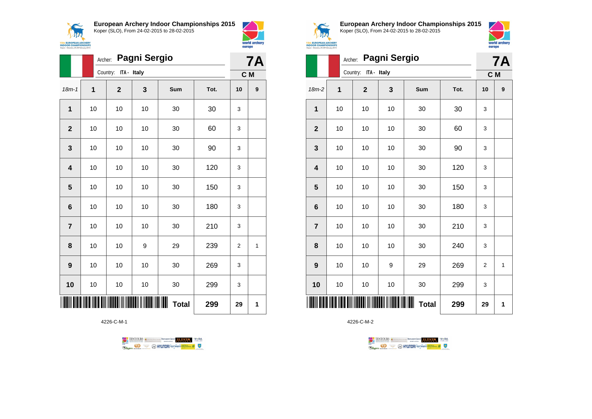



world archery

europe

|                         |    | <b>Pagni Sergio</b><br>Archer: |    |              |      |                |                  |  |  |
|-------------------------|----|--------------------------------|----|--------------|------|----------------|------------------|--|--|
|                         |    | Country: ITA - Italy           |    |              |      |                |                  |  |  |
| $18m - 1$               | 1  | $\mathbf{2}$                   | 3  | Sum          | Tot. | 10             | $\boldsymbol{9}$ |  |  |
| 1                       | 10 | 10                             | 10 | 30           | 30   | 3              |                  |  |  |
| $\overline{2}$          | 10 | 10                             | 10 | 30           | 60   | 3              |                  |  |  |
| 3                       | 10 | 10                             | 10 | 30           | 90   | 3              |                  |  |  |
| $\overline{\mathbf{4}}$ | 10 | 10                             | 10 | 30           | 120  | 3              |                  |  |  |
| 5                       | 10 | 10                             | 10 | 30           | 150  | 3              |                  |  |  |
| $6\phantom{1}6$         | 10 | 10                             | 10 | 30           | 180  | 3              |                  |  |  |
| $\overline{7}$          | 10 | 10                             | 10 | 30           | 210  | 3              |                  |  |  |
| 8                       | 10 | 10                             | 9  | 29           | 239  | $\overline{2}$ | 1                |  |  |
| 9                       | 10 | 10                             | 10 | 30           | 269  | 3              |                  |  |  |
| 10                      | 10 | 10                             | 10 | 30           | 299  | 3              |                  |  |  |
|                         |    |                                |    | <b>Total</b> | 299  | 29             | 1                |  |  |

4226-C-M-1





**European Archery Indoor Championships 2015** Koper (SLO), From 24-02-2015 to 28-02-2015



|                         |    | <b>7A</b>            |    |              |      |                |   |
|-------------------------|----|----------------------|----|--------------|------|----------------|---|
|                         |    | Country: ITA - Italy |    |              |      | C M            |   |
| 18m-2                   | 1  | $\mathbf 2$          | 3  | Sum          | Tot. | 10             | 9 |
| 1                       | 10 | 10                   | 10 | 30           | 30   | 3              |   |
| $\mathbf{2}$            | 10 | 10                   | 10 | 30           | 60   | 3              |   |
| 3                       | 10 | 10                   | 10 | 30           | 90   | 3              |   |
| $\overline{\mathbf{4}}$ | 10 | 10                   | 10 | 30           | 120  | 3              |   |
| 5                       | 10 | 10                   | 10 | 30           | 150  | 3              |   |
| 6                       | 10 | 10                   | 10 | 30           | 180  | 3              |   |
| $\overline{7}$          | 10 | 10                   | 10 | 30           | 210  | 3              |   |
| 8                       | 10 | 10                   | 10 | 30           | 240  | 3              |   |
| 9                       | 10 | 10                   | 9  | 29           | 269  | $\overline{2}$ | 1 |
| 10                      | 10 | 10                   | 10 | 30           | 299  | 3              |   |
|                         |    |                      |    | <b>Total</b> | 299  | 29             | 1 |

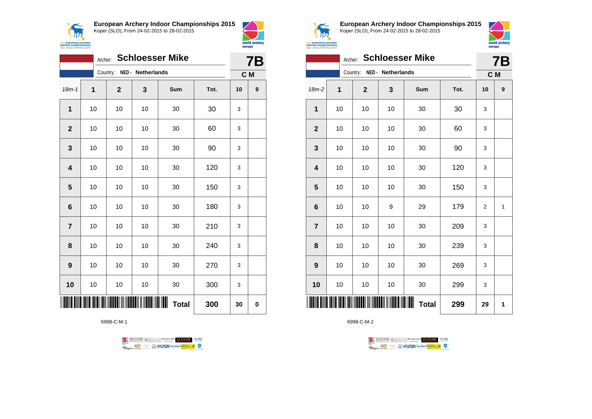



|                 | <b>Schloesser Mike</b><br>Archer: |              |                   |              |      |    |             |  |
|-----------------|-----------------------------------|--------------|-------------------|--------------|------|----|-------------|--|
|                 |                                   | Country:     | NED - Netherlands |              |      |    | C M         |  |
| $18m - 1$       | 1                                 | $\mathbf{2}$ | 3                 | Sum          | Tot. | 10 | 9           |  |
| 1               | 10                                | 10           | 10                | 30           | 30   | 3  |             |  |
| $\mathbf{2}$    | 10                                | 10           | 10                | 30           | 60   | 3  |             |  |
| 3               | 10                                | 10           | 10                | 30           | 90   | 3  |             |  |
| 4               | 10                                | 10           | 10                | 30           | 120  | 3  |             |  |
| 5               | 10                                | 10           | 10                | 30           | 150  | 3  |             |  |
| $6\phantom{1}6$ | 10                                | 10           | 10                | 30           | 180  | 3  |             |  |
| $\overline{7}$  | 10                                | 10           | 10                | 30           | 210  | 3  |             |  |
| 8               | 10                                | 10           | 10                | 30           | 240  | 3  |             |  |
| 9               | 10                                | 10           | 10                | 30           | 270  | 3  |             |  |
| 10              | 10                                | 10           | 10                | 30           | 300  | 3  |             |  |
|                 |                                   |              |                   | <b>Total</b> | 300  | 30 | $\mathbf 0$ |  |

6998-C-M-1





**European Archery Indoor Championships 2015** Koper (SLO), From 24-02-2015 to 28-02-2015



|                         | <b>Schloesser Mike</b><br>Archer: |                |                   |              |      |                |                  |  |
|-------------------------|-----------------------------------|----------------|-------------------|--------------|------|----------------|------------------|--|
|                         |                                   | Country:       | NED - Netherlands |              |      | C M            |                  |  |
| 18m-2                   | 1                                 | $\overline{2}$ | 3                 | Sum          | Tot. | 10             | $\boldsymbol{9}$ |  |
| 1                       | 10                                | 10             | 10                | 30           | 30   | 3              |                  |  |
| $\overline{\mathbf{2}}$ | 10                                | 10             | 10                | 30           | 60   | 3              |                  |  |
| $\mathbf{3}$            | 10                                | 10             | 10                | 30           | 90   | 3              |                  |  |
| $\overline{\mathbf{4}}$ | 10                                | 10             | 10                | 30           | 120  | 3              |                  |  |
| 5                       | 10                                | 10             | 10                | 30           | 150  | 3              |                  |  |
| $6\phantom{1}6$         | 10                                | 10             | 9                 | 29           | 179  | $\overline{2}$ | 1                |  |
| $\overline{7}$          | 10                                | 10             | 10                | 30           | 209  | 3              |                  |  |
| 8                       | 10                                | 10             | 10                | 30           | 239  | 3              |                  |  |
| 9                       | 10                                | 10             | 10                | 30           | 269  | 3              |                  |  |
| 10                      | 10                                | 10             | 10                | 30           | 299  | 3              |                  |  |
|                         |                                   |                |                   | <b>Total</b> | 299  | 29             | 1                |  |

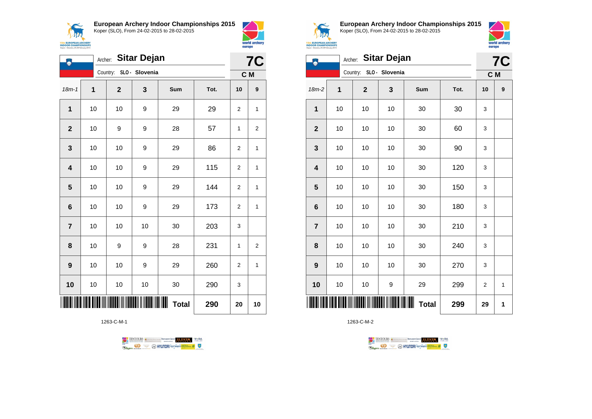





| Ą                       | <b>Sitar Dejan</b><br>Archer: |             |                |                                |      |                |                  |  |
|-------------------------|-------------------------------|-------------|----------------|--------------------------------|------|----------------|------------------|--|
|                         |                               | Country:    | SLO - Slovenia |                                |      |                | C M              |  |
| $18m - 1$               | 1                             | $\mathbf 2$ | 3              | Sum                            | Tot. | 10             | $\boldsymbol{9}$ |  |
| 1                       | 10                            | 10          | 9              | 29                             | 29   | 2              | 1                |  |
| $\mathbf{2}$            | 10                            | 9           | 9              | 28                             | 57   | 1              | 2                |  |
| 3                       | 10                            | 10          | 9              | 29                             | 86   | $\overline{2}$ | 1                |  |
| $\overline{\mathbf{4}}$ | 10                            | 10          | 9              | 29                             | 115  | $\overline{2}$ | 1                |  |
| 5                       | 10                            | 10          | 9              | 29                             | 144  | $\overline{2}$ | 1                |  |
| $6\phantom{1}6$         | 10                            | 10          | 9              | 29                             | 173  | 2              | 1                |  |
| $\overline{7}$          | 10                            | 10          | 10             | 30                             | 203  | 3              |                  |  |
| 8                       | 10                            | 9           | 9              | 28                             | 231  | $\mathbf{1}$   | $\overline{2}$   |  |
| 9                       | 10                            | 10          | 9              | 29                             | 260  | $\overline{2}$ | 1                |  |
| 10                      | 10                            | 10          | 10             | 30                             | 290  | 3              |                  |  |
|                         |                               |             |                | $\blacksquare$<br><b>Total</b> | 290  | 20             | 10               |  |

1263-C-M-1





**European Archery Indoor Championships 2015** Koper (SLO), From 24-02-2015 to 28-02-2015



|                  | <b>Sitar Dejan</b><br>Archer:<br>Country: SLO - Slovenia |             |    |              |      |             |              |  |
|------------------|----------------------------------------------------------|-------------|----|--------------|------|-------------|--------------|--|
|                  |                                                          |             |    |              |      | C M         |              |  |
| 18m-2            | 1                                                        | $\mathbf 2$ | 3  | Sum          | Tot. | 10          | 9            |  |
| 1                | 10                                                       | 10          | 10 | 30           | 30   | 3           |              |  |
| $\mathbf{2}$     | 10                                                       | 10          | 10 | 30           | 60   | 3           |              |  |
| 3                | 10                                                       | 10          | 10 | 30           | 90   | 3           |              |  |
| 4                | 10                                                       | 10          | 10 | 30           | 120  | 3           |              |  |
| 5                | 10                                                       | 10          | 10 | 30           | 150  | 3           |              |  |
| $\bf 6$          | 10                                                       | $10$        | 10 | 30           | 180  | 3           |              |  |
| $\overline{7}$   | 10                                                       | 10          | 10 | 30           | 210  | 3           |              |  |
| 8                | 10                                                       | 10          | 10 | 30           | 240  | 3           |              |  |
| $\boldsymbol{9}$ | 10                                                       | 10          | 10 | 30           | 270  | 3           |              |  |
| 10               | 10                                                       | $10$        | 9  | 29           | 299  | $\mathbf 2$ | $\mathbf{1}$ |  |
|                  |                                                          |             |    | <b>Total</b> | 299  | 29          | 1            |  |

1263-C-M-2



 $\perp$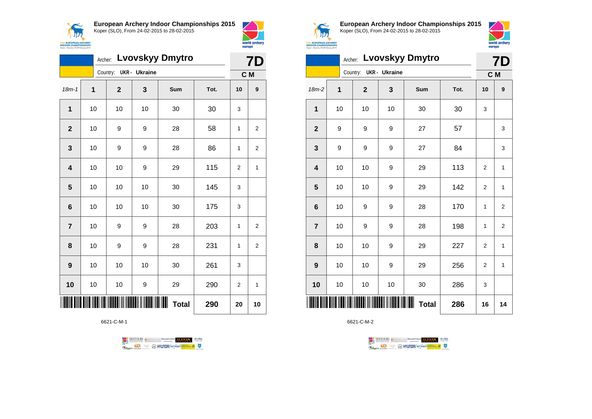



|                         | <b>Lvovskyy Dmytro</b><br>Archer: |  |             |                      |     |      |                | <b>7D</b>        |  |
|-------------------------|-----------------------------------|--|-------------|----------------------|-----|------|----------------|------------------|--|
|                         |                                   |  | Country:    | <b>UKR</b> - Ukraine |     |      |                | C M              |  |
| $18m - 1$               | $\mathbf 1$                       |  | $\mathbf 2$ | 3                    | Sum | Tot. | 10             | $\boldsymbol{9}$ |  |
| $\overline{1}$          | 10                                |  | 10          | 10                   | 30  | 30   | 3              |                  |  |
| $\mathbf{2}$            | 10                                |  | 9           | 9                    | 28  | 58   | 1              | 2                |  |
| 3                       | 10                                |  | 9           | 9                    | 28  | 86   | 1              | 2                |  |
| $\overline{\mathbf{4}}$ | 10                                |  | 10          | 9                    | 29  | 115  | $\overline{2}$ | 1                |  |
| 5                       | 10                                |  | 10          | 10                   | 30  | 145  | 3              |                  |  |
| $6\phantom{1}6$         | 10                                |  | 10          | 10                   | 30  | 175  | 3              |                  |  |
| $\overline{7}$          | 10                                |  | 9           | 9                    | 28  | 203  | 1              | 2                |  |
| 8                       | 10                                |  | 9           | 9                    | 28  | 231  | 1              | 2                |  |
| 9                       | 10                                |  | 10          | 10                   | 30  | 261  | 3              |                  |  |
| 10                      | 10                                |  | 10          | 9                    | 29  | 290  | $\overline{2}$ | 1                |  |
|                         | ∭∭<br><b>Total</b><br>290         |  |             |                      |     |      | 20             | 10               |  |

6621-C-M-1





**European Archery Indoor Championships 2015** Koper (SLO), From 24-02-2015 to 28-02-2015



|                         |    | <b>Lvovskyy Dmytro</b><br>Archer: |                     |              | <b>7D</b> |                |                         |
|-------------------------|----|-----------------------------------|---------------------|--------------|-----------|----------------|-------------------------|
|                         |    | Country:                          | <b>UKR- Ukraine</b> |              |           |                | C M                     |
| $18m-2$                 | 1  | $\overline{2}$                    | 3                   | Sum          | Tot.      | 10             | 9                       |
| 1                       | 10 | 10                                | 10                  | 30           | 30        | 3              |                         |
| $\mathbf{2}$            | 9  | 9                                 | 9                   | 27           | 57        |                | 3                       |
| $\mathbf{3}$            | 9  | 9                                 | 9                   | 27           | 84        |                | 3                       |
| $\overline{\mathbf{4}}$ | 10 | 10                                | 9                   | 29           | 113       | $\overline{2}$ | 1                       |
| $\overline{\mathbf{5}}$ | 10 | 10                                | 9                   | 29           | 142       | $\overline{2}$ | 1                       |
| $\bf 6$                 | 10 | 9                                 | 9                   | 28           | 170       | 1              | $\overline{\mathbf{c}}$ |
| $\overline{7}$          | 10 | 9                                 | 9                   | 28           | 198       | 1              | $\overline{2}$          |
| 8                       | 10 | 10                                | 9                   | 29           | 227       | $\overline{2}$ | 1                       |
| 9                       | 10 | 10                                | 9                   | 29           | 256       | $\overline{2}$ | 1                       |
| 10                      | 10 | 10                                | 10                  | 30           | 286       | 3              |                         |
| IIIII                   |    |                                   |                     | <b>Total</b> | 286       | 16             | 14                      |

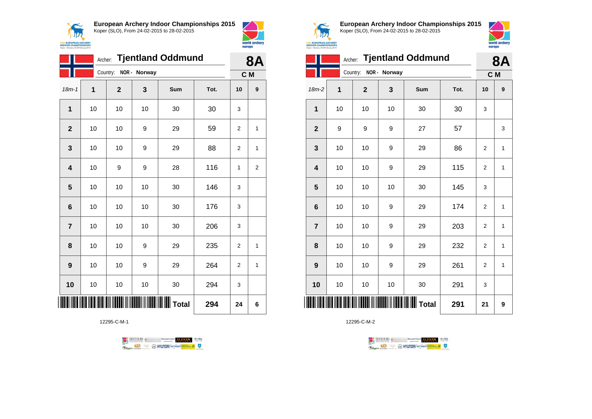



|                | <b>Tjentland Oddmund</b><br>Archer: |                       |    |                         |      |                |   |
|----------------|-------------------------------------|-----------------------|----|-------------------------|------|----------------|---|
|                |                                     | Country: NOR - Norway |    |                         |      | C M            |   |
| $18m - 1$      | 1                                   | $\overline{2}$        | 3  | Sum                     | Tot. | 10             | 9 |
| 1              | 10                                  | 10                    | 10 | 30                      | 30   | 3              |   |
| $\overline{2}$ | 10                                  | 10                    | 9  | 29                      | 59   | $\overline{2}$ | 1 |
| 3              | 10                                  | 10                    | 9  | 29                      | 88   | 2              | 1 |
| 4              | 10                                  | 9                     | 9  | 28                      | 116  | 1              | 2 |
| 5              | 10                                  | 10                    | 10 | 30                      | 146  | 3              |   |
| 6              | 10                                  | 10                    | 10 | 30                      | 176  | 3              |   |
| $\overline{7}$ | 10                                  | 10                    | 10 | 30                      | 206  | 3              |   |
| 8              | 10                                  | 10                    | 9  | 29                      | 235  | 2              | 1 |
| 9              | 10                                  | 10                    | 9  | 29                      | 264  | $\overline{2}$ | 1 |
| 10             | 10                                  | 10                    | 10 | 30                      | 294  | 3              |   |
|                |                                     |                       |    | <b>III IIIIII</b> Total | 294  | 24             | 6 |

12295-C-M-1





**European Archery Indoor Championships 2015** Koper (SLO), From 24-02-2015 to 28-02-2015



|                         | <b>Tjentland Oddmund</b><br>Archer: |             |              |     |      |                | 8Α           |
|-------------------------|-------------------------------------|-------------|--------------|-----|------|----------------|--------------|
|                         |                                     | Country:    | NOR - Norway |     |      | C M            |              |
| $18m-2$                 | 1                                   | $\mathbf 2$ | 3            | Sum | Tot. | 10             | 9            |
| 1                       | 10                                  | 10          | 10           | 30  | 30   | 3              |              |
| $\mathbf{2}$            | 9                                   | 9           | 9            | 27  | 57   |                | 3            |
| 3                       | 10                                  | 10          | 9            | 29  | 86   | $\overline{2}$ | 1            |
| $\overline{\mathbf{4}}$ | 10                                  | 10          | 9            | 29  | 115  | $\overline{2}$ | $\mathbf{1}$ |
| 5                       | 10                                  | 10          | 10           | 30  | 145  | 3              |              |
| $6\phantom{1}6$         | 10                                  | 10          | 9            | 29  | 174  | $\overline{2}$ | 1            |
| $\overline{7}$          | 10                                  | 10          | 9            | 29  | 203  | 2              | 1            |
| 8                       | 10                                  | 10          | 9            | 29  | 232  | $\overline{2}$ | 1            |
| 9                       | 10                                  | 10          | 9            | 29  | 261  | $\overline{2}$ | $\mathbf{1}$ |
| 10                      | 10                                  | 10          | 10           | 30  | 291  | 3              |              |
| ║║║                     |                                     |             |              |     | 291  | 21             | 9            |

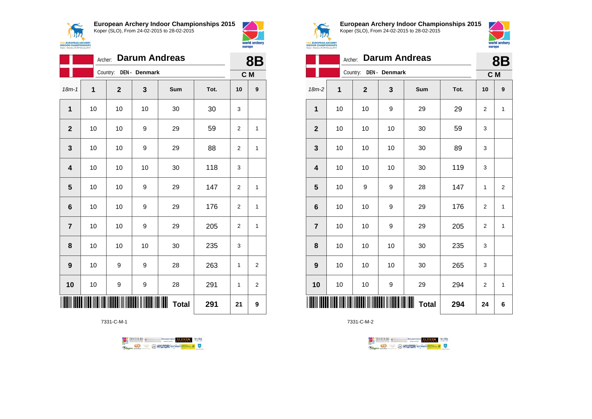



world archery

europe

|                         | Archer: |             |               | <b>Darum Andreas</b> |      | <b>8B</b>      |                  |
|-------------------------|---------|-------------|---------------|----------------------|------|----------------|------------------|
|                         |         | Country:    | DEN - Denmark |                      |      | C M            |                  |
| $18m - 1$               | 1       | $\mathbf 2$ | 3             | Sum                  | Tot. | 10             | $\boldsymbol{9}$ |
| 1                       | 10      | 10          | 10            | 30                   | 30   | 3              |                  |
| $\mathbf{2}$            | 10      | 10          | 9             | 29                   | 59   | 2              | 1                |
| 3                       | 10      | 10          | 9             | 29                   | 88   | $\overline{2}$ | $\mathbf{1}$     |
| $\overline{\mathbf{4}}$ | 10      | 10          | 10            | 30                   | 118  | 3              |                  |
| 5                       | 10      | 10          | 9             | 29                   | 147  | $\overline{2}$ | 1                |
| 6                       | 10      | 10          | 9             | 29                   | 176  | $\overline{2}$ | 1                |
| $\overline{\mathbf{7}}$ | 10      | 10          | 9             | 29                   | 205  | 2              | 1                |
| 8                       | 10      | 10          | 10            | 30                   | 235  | 3              |                  |
| 9                       | 10      | 9           | 9             | 28                   | 263  | 1              | $\overline{2}$   |
| 10                      | 10      | 9           | 9             | 28                   | 291  | 1              | $\overline{2}$   |
|                         |         |             |               | <b>Total</b>         | 291  | 21             | 9                |

7331-C-M-1





**European Archery Indoor Championships 2015** Koper (SLO), From 24-02-2015 to 28-02-2015



|                         |    |              | 8B          |              |      |                |                |
|-------------------------|----|--------------|-------------|--------------|------|----------------|----------------|
|                         |    | Country:     | DEN-Denmark |              |      | C M            |                |
| $18m-2$                 | 1  | $\mathbf{2}$ | 3           | Sum          | Tot. | 10             | 9              |
| 1                       | 10 | 10           | 9           | 29           | 29   | 2              | 1              |
| $\mathbf{2}$            | 10 | 10           | 10          | 30           | 59   | 3              |                |
| $\mathbf 3$             | 10 | 10           | 10          | 30           | 89   | 3              |                |
| $\overline{\mathbf{4}}$ | 10 | 10           | 10          | 30           | 119  | 3              |                |
| $\overline{\mathbf{5}}$ | 10 | 9            | 9           | 28           | 147  | 1              | $\overline{2}$ |
| $\bf 6$                 | 10 | 10           | 9           | 29           | 176  | $\overline{2}$ | 1              |
| $\overline{7}$          | 10 | 10           | 9           | 29           | 205  | 2              | 1              |
| 8                       | 10 | 10           | 10          | 30           | 235  | 3              |                |
| 9                       | 10 | 10           | 10          | 30           | 265  | 3              |                |
| 10                      | 10 | 10           | 9           | 29           | 294  | $\overline{2}$ | 1              |
| ║║║                     |    |              |             | <b>Total</b> | 294  | 24             | 6              |

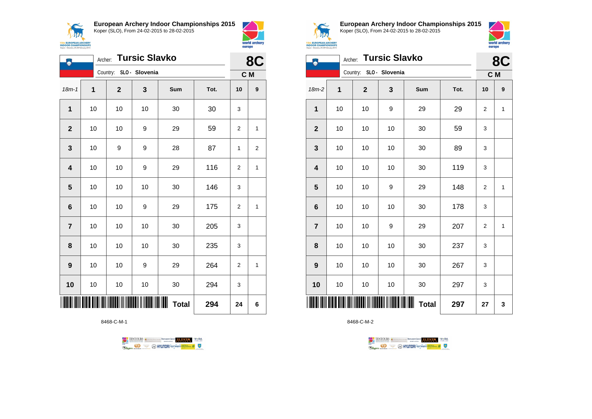



| Щ                       | <b>Tursic Slavko</b><br>Archer: |                         |    |              |      |                |                         |  |
|-------------------------|---------------------------------|-------------------------|----|--------------|------|----------------|-------------------------|--|
|                         |                                 | Country: SLO - Slovenia |    |              |      |                | C M                     |  |
| $18m - 1$               | 1                               | $\mathbf 2$             | 3  | Sum          | Tot. | 10             | $\boldsymbol{9}$        |  |
| 1                       | 10                              | 10                      | 10 | 30           | 30   | 3              |                         |  |
| $\mathbf{2}$            | $10$                            | 10                      | 9  | 29           | 59   | 2              | 1                       |  |
| 3                       | 10                              | 9                       | 9  | 28           | 87   | 1              | $\overline{\mathbf{c}}$ |  |
| $\overline{\mathbf{4}}$ | 10                              | 10                      | 9  | 29           | 116  | $\overline{2}$ | 1                       |  |
| 5                       | 10                              | 10                      | 10 | 30           | 146  | 3              |                         |  |
| $6\phantom{1}$          | 10                              | 10                      | 9  | 29           | 175  | $\overline{2}$ | 1                       |  |
| $\overline{7}$          | 10                              | 10                      | 10 | 30           | 205  | 3              |                         |  |
| 8                       | 10                              | 10                      | 10 | 30           | 235  | 3              |                         |  |
| $\boldsymbol{9}$        | 10                              | 10                      | 9  | 29           | 264  | 2              | 1                       |  |
| 10                      | 10                              | 10                      | 10 | 30           | 294  | 3              |                         |  |
|                         |                                 |                         |    | <b>Total</b> | 294  | 24             | 6                       |  |

8468-C-M-1

TENTOURS of BENJAMING COUP ELEVEN VEBA **Example 1996** CONTROL CONTROL CONTROL CONTROL CONTROL CONTROL CONTROL CONTROL CONTROL CONTROL CONTROL CONTROL CONTROL CONTROL CONTROL CONTROL CONTROL CONTROL CONTROL CONTROL CONTROL CONTROL CONTROL CONTROL CONTROL CONTROL



**European Archery Indoor Championships 2015** Koper (SLO), From 24-02-2015 to 28-02-2015



|                         | Archer: Tursic Slavko |                         |    | 8C                |      |     |   |
|-------------------------|-----------------------|-------------------------|----|-------------------|------|-----|---|
|                         |                       | Country: SLO - Slovenia |    |                   |      | C M |   |
| $18m-2$                 | 1                     | $\mathbf{2}$            | 3  | Sum               | Tot. | 10  | 9 |
| $\mathbf{1}$            | 10                    | 10                      | 9  | 29                | 29   | 2   | 1 |
| $\mathbf{2}$            | 10                    | 10                      | 10 | 30                | 59   | 3   |   |
| $\mathbf{3}$            | 10                    | 10                      | 10 | 30                | 89   | 3   |   |
| $\overline{\mathbf{4}}$ | 10                    | 10                      | 10 | 30                | 119  | 3   |   |
| $\overline{\mathbf{5}}$ | 10                    | 10                      | 9  | 29                | 148  | 2   | 1 |
| $\bf 6$                 | 10                    | 10                      | 10 | 30                | 178  | 3   |   |
| $\overline{7}$          | 10                    | 10                      | 9  | 29                | 207  | 2   | 1 |
| 8                       | 10                    | 10                      | 10 | 30                | 237  | 3   |   |
| 9                       | 10                    | 10                      | 10 | 30                | 267  | 3   |   |
| 10                      | 10                    | 10                      | 10 | 30                | 297  | 3   |   |
| Ш                       |                       |                         |    | Ш<br><b>Total</b> | 297  | 27  | 3 |

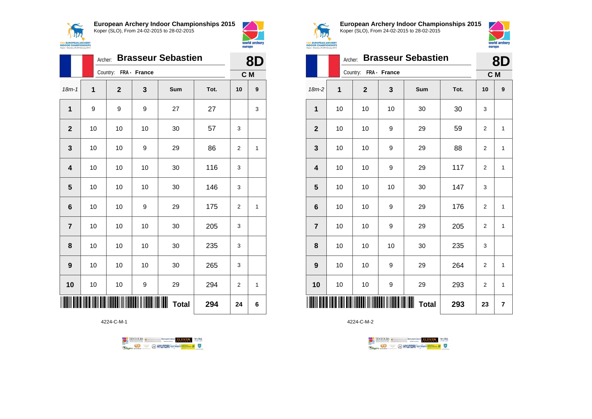



|                |    | <b>Brasseur Sebastien</b><br>Archer: |    |              |      |                |                  |  |  |
|----------------|----|--------------------------------------|----|--------------|------|----------------|------------------|--|--|
|                |    | Country: FRA - France                |    |              |      | C M            |                  |  |  |
| $18m - 1$      | 1  | $\overline{2}$                       | 3  | Sum          | Tot. | 10             | $\boldsymbol{9}$ |  |  |
| $\mathbf{1}$   | 9  | 9                                    | 9  | 27           | 27   |                | 3                |  |  |
| $\mathbf{2}$   | 10 | 10                                   | 10 | 30           | 57   | 3              |                  |  |  |
| 3              | 10 | 10                                   | 9  | 29           | 86   | 2              | 1                |  |  |
| 4              | 10 | 10                                   | 10 | 30           | 116  | 3              |                  |  |  |
| 5              | 10 | 10                                   | 10 | 30           | 146  | 3              |                  |  |  |
| 6              | 10 | 10                                   | 9  | 29           | 175  | $\overline{2}$ | $\mathbf{1}$     |  |  |
| $\overline{7}$ | 10 | 10                                   | 10 | 30           | 205  | 3              |                  |  |  |
| 8              | 10 | 10                                   | 10 | 30           | 235  | 3              |                  |  |  |
| 9              | 10 | 10                                   | 10 | 30           | 265  | 3              |                  |  |  |
| 10             | 10 | 10                                   | 9  | 29           | 294  | $\overline{2}$ | 1                |  |  |
|                |    |                                      |    | <b>Total</b> | 294  | 24             | 6                |  |  |

4224-C-M-1

TENTOURS of BENJAMING COUP ELEVEN VEBA **B** AHYUNDAI lonsed **Williams & Ragma** 



**European Archery Indoor Championships 2015** Koper (SLO), From 24-02-2015 to 28-02-2015



|                         |    | <b>Brasseur Sebastien</b><br>Archer: |              |              |      |                |                  |  |  |
|-------------------------|----|--------------------------------------|--------------|--------------|------|----------------|------------------|--|--|
|                         |    | Country:                             | FRA - France |              |      | C M            |                  |  |  |
| $18m-2$                 | 1  | $\overline{2}$                       | 3            | Sum          | Tot. | 10             | $\boldsymbol{9}$ |  |  |
| 1                       | 10 | 10                                   | 10           | 30           | 30   | 3              |                  |  |  |
| $\mathbf{2}$            | 10 | 10                                   | 9            | 29           | 59   | $\mathbf 2$    | 1                |  |  |
| $\mathbf 3$             | 10 | 10                                   | 9            | 29           | 88   | $\overline{2}$ | 1                |  |  |
| $\overline{\mathbf{4}}$ | 10 | 10                                   | 9            | 29           | 117  | $\overline{2}$ | 1                |  |  |
| 5                       | 10 | 10                                   | 10           | 30           | 147  | 3              |                  |  |  |
| $\bf 6$                 | 10 | 10                                   | 9            | 29           | 176  | $\overline{2}$ | 1                |  |  |
| $\overline{7}$          | 10 | 10                                   | 9            | 29           | 205  | $\overline{2}$ | 1                |  |  |
| 8                       | 10 | 10                                   | 10           | 30           | 235  | 3              |                  |  |  |
| 9                       | 10 | 10                                   | 9            | 29           | 264  | $\overline{2}$ | 1                |  |  |
| 10                      | 10 | 10                                   | 9            | 29           | 293  | 2              | 1                |  |  |
| IIII                    |    |                                      |              | <b>Total</b> | 293  | 23             | 7                |  |  |

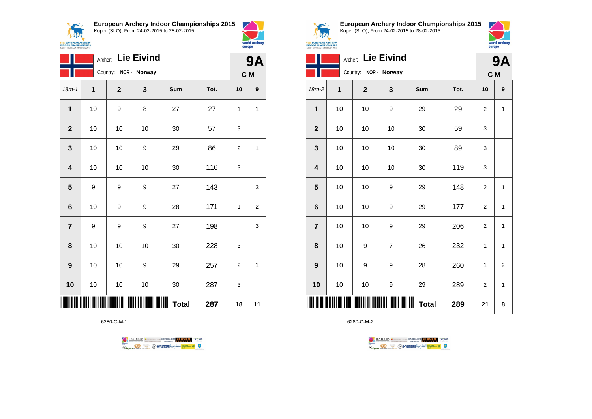



|                         | <b>Lie Eivind</b><br>Archer: |             |              |                     |      |     |                  |
|-------------------------|------------------------------|-------------|--------------|---------------------|------|-----|------------------|
|                         |                              | Country:    | NOR - Norway |                     |      | C M |                  |
| $18m - 1$               | $\mathbf 1$                  | $\mathbf 2$ | 3            | Sum                 | Tot. | 10  | $\boldsymbol{9}$ |
| $\mathbf{1}$            | 10                           | 9           | 8            | 27                  | 27   | 1   | 1                |
| $\overline{2}$          | 10                           | 10          | 10           | 30                  | 57   | 3   |                  |
| 3                       | 10                           | 10          | 9            | 29                  | 86   | 2   | 1                |
| $\overline{\mathbf{4}}$ | 10                           | 10          | 10           | 30                  | 116  | 3   |                  |
| $\overline{\mathbf{5}}$ | 9                            | 9           | 9            | 27                  | 143  |     | 3                |
| $6\phantom{1}6$         | 10                           | 9           | 9            | 28                  | 171  | 1   | 2                |
| $\overline{7}$          | 9                            | 9           | 9            | 27                  | 198  |     | 3                |
| 8                       | 10                           | 10          | 10           | 30                  | 228  | 3   |                  |
| 9                       | 10                           | 10          | 9            | 29                  | 257  | 2   | $\mathbf{1}$     |
| 10                      | 10                           | 10          | 10           | 30                  | 287  | 3   |                  |
|                         |                              |             |              | ║║║<br><b>Total</b> | 287  | 18  | 11               |

6280-C-M-1





**European Archery Indoor Championships 2015** Koper (SLO), From 24-02-2015 to 28-02-2015



|                         | <b>Lie Eivind</b><br>Archer: |              |                |                     |      |                |              |
|-------------------------|------------------------------|--------------|----------------|---------------------|------|----------------|--------------|
|                         |                              | Country:     | NOR - Norway   |                     |      | C M            |              |
| 18m-2                   | 1                            | $\mathbf{2}$ | $\mathbf{3}$   | Sum                 | Tot. | 10             | 9            |
| 1                       | 10                           | 10           | 9              | 29                  | 29   | $\overline{2}$ | $\mathbf{1}$ |
| $\mathbf{2}$            | 10                           | 10           | 10             | 30                  | 59   | 3              |              |
| $\mathbf{3}$            | 10                           | 10           | 10             | 30                  | 89   | 3              |              |
| $\overline{\mathbf{r}}$ | 10                           | 10           | 10             | 30                  | 119  | 3              |              |
| $\overline{\mathbf{5}}$ | 10                           | 10           | 9              | 29                  | 148  | $\overline{2}$ | $\mathbf{1}$ |
| $\bf 6$                 | 10                           | 10           | 9              | 29                  | 177  | $\overline{2}$ | $\mathbf{1}$ |
| $\overline{7}$          | 10                           | 10           | 9              | 29                  | 206  | $\overline{2}$ | 1            |
| 8                       | 10                           | 9            | $\overline{7}$ | 26                  | 232  | 1              | $\mathbf{1}$ |
| 9                       | 10                           | 9            | 9              | 28                  | 260  | 1              | $\mathbf 2$  |
| 10                      | 10                           | $10$         | 9              | 29                  | 289  | $\overline{2}$ | $\mathbf{1}$ |
|                         |                              |              |                | ║║║<br><b>Total</b> | 289  | 21             | 8            |

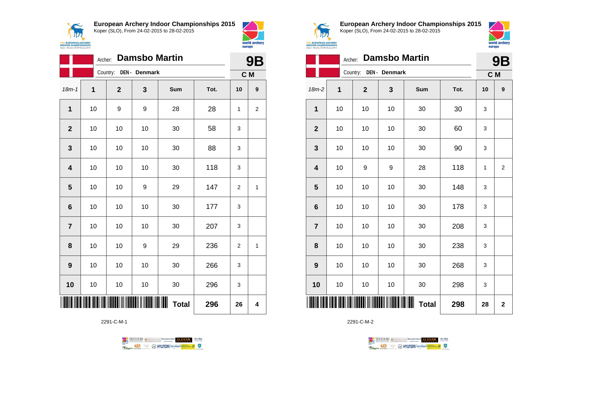



|                         | Archer: |                |               | <b>Damsbo Martin</b> |      | <b>9B</b>      |     |  |
|-------------------------|---------|----------------|---------------|----------------------|------|----------------|-----|--|
|                         |         | Country:       | DEN - Denmark |                      |      |                | C M |  |
| $18m - 1$               | 1       | $\overline{2}$ | 3             | Sum                  | Tot. | 10             | 9   |  |
| $\mathbf{1}$            | 10      | 9              | 9             | 28                   | 28   | 1              | 2   |  |
| $\overline{2}$          | 10      | 10             | 10            | 30                   | 58   | 3              |     |  |
| 3                       | 10      | 10             | 10            | 30                   | 88   | 3              |     |  |
| $\overline{\mathbf{4}}$ | 10      | 10             | 10            | 30                   | 118  | 3              |     |  |
| 5                       | 10      | 10             | 9             | 29                   | 147  | 2              | 1   |  |
| 6                       | 10      | 10             | 10            | 30                   | 177  | 3              |     |  |
| $\overline{7}$          | 10      | 10             | 10            | 30                   | 207  | 3              |     |  |
| 8                       | 10      | 10             | 9             | 29                   | 236  | $\overline{2}$ | 1   |  |
| 9                       | 10      | 10             | 10            | 30                   | 266  | 3              |     |  |
| 10                      | 10      | 10             | 10            | 30                   | 296  | 3              |     |  |
|                         |         |                |               | <b>Total</b>         | 296  | 26             | 4   |  |

2291-C-M-1





**European Archery Indoor Championships 2015** Koper (SLO), From 24-02-2015 to 28-02-2015



|                         |    | 9Β             |                             |              |      |     |                |
|-------------------------|----|----------------|-----------------------------|--------------|------|-----|----------------|
|                         |    |                | Country: DEN - Denmark      |              |      | C M |                |
| $18m-2$                 | 1  | $\overline{2}$ | 3                           | Sum          | Tot. | 10  | 9              |
| 1                       | 10 | 10             | 10                          | 30           | 30   | 3   |                |
| $\mathbf{2}$            | 10 | 10             | 10                          | 30           | 60   | 3   |                |
| $\mathbf{3}$            | 10 | 10             | 10                          | 30           | 90   | 3   |                |
| $\overline{\mathbf{4}}$ | 10 | 9              | 9                           | 28           | 118  | 1   | $\overline{2}$ |
| 5                       | 10 | 10             | 10                          | 30           | 148  | 3   |                |
| $6\phantom{1}6$         | 10 | 10             | 10                          | 30           | 178  | 3   |                |
| $\overline{7}$          | 10 | 10             | 10                          | 30           | 208  | 3   |                |
| 8                       | 10 | 10             | 10                          | 30           | 238  | 3   |                |
| 9                       | 10 | 10             | 10                          | 30           | 268  | 3   |                |
| 10                      | 10 | 10             | 10                          | 30           | 298  | 3   |                |
|                         |    |                | <u> HIII III III III II</u> | <b>Total</b> | 298  | 28  | $\overline{2}$ |

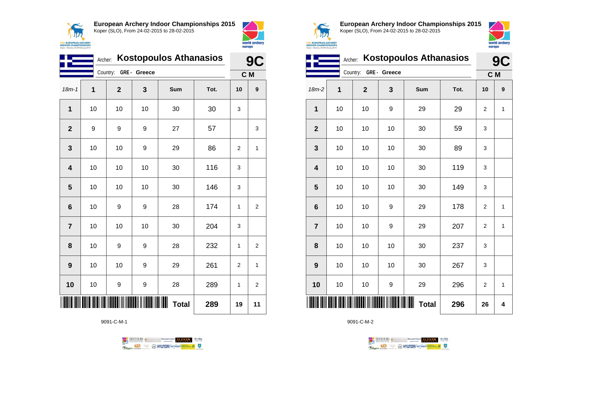



|                         | <b>Kostopoulos Athanasios</b><br>Archer: |                       |    |              |      |                |                |
|-------------------------|------------------------------------------|-----------------------|----|--------------|------|----------------|----------------|
|                         |                                          | Country: GRE - Greece |    |              |      | C M            |                |
| $18m - 1$               | 1                                        | $\overline{2}$        | 3  | Sum          | Tot. | 10             | 9              |
| 1                       | 10                                       | 10                    | 10 | 30           | 30   | 3              |                |
| $\overline{2}$          | 9                                        | 9                     | 9  | 27           | 57   |                | 3              |
| 3                       | 10                                       | 10                    | 9  | 29           | 86   | $\overline{2}$ | 1              |
| $\overline{\mathbf{4}}$ | 10                                       | 10                    | 10 | 30           | 116  | 3              |                |
| 5                       | 10                                       | 10                    | 10 | 30           | 146  | 3              |                |
| 6                       | 10                                       | 9                     | 9  | 28           | 174  | 1              | 2              |
| $\overline{7}$          | 10                                       | 10                    | 10 | 30           | 204  | 3              |                |
| 8                       | 10                                       | 9                     | 9  | 28           | 232  | 1              | 2              |
| 9                       | 10                                       | 10                    | 9  | 29           | 261  | $\overline{2}$ | 1              |
| 10                      | 10                                       | 9                     | 9  | 28           | 289  | 1              | $\overline{2}$ |
|                         |                                          |                       |    | <b>Total</b> | 289  | 19             | 11             |

9091-C-M-1





**European Archery Indoor Championships 2015** Koper (SLO), From 24-02-2015 to 28-02-2015



|                | <b>Kostopoulos Athanasios</b><br>Archer: |              |              |                   |      |                |              |
|----------------|------------------------------------------|--------------|--------------|-------------------|------|----------------|--------------|
|                |                                          | Country:     | GRE - Greece |                   |      | C M            |              |
| 18m-2          | 1                                        | $\mathbf{2}$ | 3            | Sum               | Tot. | 10             | 9            |
| 1              | 10                                       | 10           | 9            | 29                | 29   | 2              | 1            |
| $\overline{2}$ | 10                                       | 10           | 10           | 30                | 59   | 3              |              |
| 3              | 10                                       | 10           | 10           | 30                | 89   | 3              |              |
| 4              | 10                                       | 10           | 10           | 30                | 119  | 3              |              |
| 5              | 10                                       | 10           | 10           | 30                | 149  | 3              |              |
| 6              | 10                                       | 10           | 9            | 29                | 178  | $\overline{2}$ | $\mathbf{1}$ |
| $\overline{7}$ | 10                                       | 10           | 9            | 29                | 207  | $\overline{2}$ | $\mathbf{1}$ |
| 8              | 10                                       | 10           | 10           | 30                | 237  | 3              |              |
| 9              | 10                                       | 10           | 10           | 30                | 267  | 3              |              |
| 10             | 10                                       | 10           | 9            | 29                | 296  | $\overline{2}$ | 1            |
|                |                                          |              |              | Ш<br><b>Total</b> | 296  | 26             | 4            |

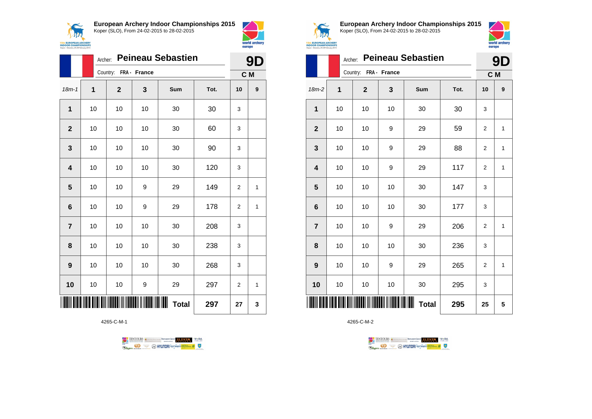



|                |    | Archer:               |    | <b>Peineau Sebastien</b> |      |                | 9<br>D       |
|----------------|----|-----------------------|----|--------------------------|------|----------------|--------------|
|                |    | Country: FRA - France |    |                          |      | C M            |              |
| $18m - 1$      | 1  | $\mathbf{2}$          | 3  | Sum                      | Tot. | 10             | 9            |
| 1              | 10 | 10                    | 10 | 30                       | 30   | 3              |              |
| $\overline{2}$ | 10 | 10                    | 10 | 30                       | 60   | 3              |              |
| 3              | 10 | 10                    | 10 | 30                       | 90   | 3              |              |
| 4              | 10 | 10                    | 10 | 30                       | 120  | 3              |              |
| 5              | 10 | 10                    | 9  | 29                       | 149  | $\overline{2}$ | 1            |
| 6              | 10 | 10                    | 9  | 29                       | 178  | 2              | $\mathbf{1}$ |
| $\overline{7}$ | 10 | 10                    | 10 | 30                       | 208  | 3              |              |
| 8              | 10 | 10                    | 10 | 30                       | 238  | 3              |              |
| 9              | 10 | 10                    | 10 | 30                       | 268  | 3              |              |
| 10             | 10 | 10                    | 9  | 29                       | 297  | $\overline{2}$ | 1            |
|                |    |                       |    | ∭∭<br><b>Total</b>       | 297  | 27             | 3            |

4265-C-M-1





**European Archery Indoor Championships 2015** Koper (SLO), From 24-02-2015 to 28-02-2015



|                         |    | <b>Peineau Sebastien</b><br>Archer: |    |                   |      |                |                  |  |  |
|-------------------------|----|-------------------------------------|----|-------------------|------|----------------|------------------|--|--|
|                         |    | Country: FRA - France               |    |                   |      |                |                  |  |  |
| 18m-2                   | 1  | $\overline{2}$                      | 3  | Sum               | Tot. | 10             | $\boldsymbol{9}$ |  |  |
| $\mathbf{1}$            | 10 | 10                                  | 10 | 30                | 30   | 3              |                  |  |  |
| $\mathbf{2}$            | 10 | 10                                  | 9  | 29                | 59   | $\mathbf 2$    | $\mathbf{1}$     |  |  |
| 3                       | 10 | 10                                  | 9  | 29                | 88   | $\overline{2}$ | $\mathbf{1}$     |  |  |
| $\overline{\mathbf{4}}$ | 10 | 10                                  | 9  | 29                | 117  | $\overline{2}$ | $\mathbf{1}$     |  |  |
| $\overline{\mathbf{5}}$ | 10 | 10                                  | 10 | 30                | 147  | 3              |                  |  |  |
| $\bf 6$                 | 10 | 10                                  | 10 | 30                | 177  | 3              |                  |  |  |
| $\overline{7}$          | 10 | 10                                  | 9  | 29                | 206  | $\overline{2}$ | $\mathbf{1}$     |  |  |
| 8                       | 10 | 10                                  | 10 | 30                | 236  | 3              |                  |  |  |
| 9                       | 10 | 10                                  | 9  | 29                | 265  | $\overline{2}$ | $\mathbf{1}$     |  |  |
| 10                      | 10 | 10                                  | 10 | 30                | 295  | 3              |                  |  |  |
| Ш                       |    |                                     |    | Ш<br><b>Total</b> | 295  | 25             | 5                |  |  |

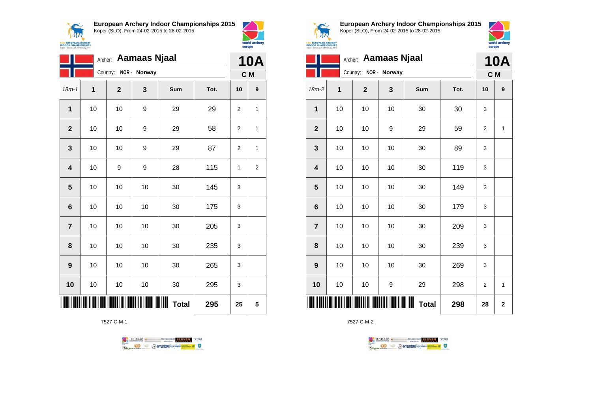$\sqrt{N}$ **15th EUROPEAN ARCHERY**<br>INDOOR CHAMPIONSHIPS<br>Koper - Slovenia, 24-28 February 2015 **European Archery Indoor Championships 2015** Koper (SLO), From 24-02-2015 to 28-02-2015



|                         | <b>Aamaas Njaal</b><br>Archer: |             |              |                   |      |                |                  |
|-------------------------|--------------------------------|-------------|--------------|-------------------|------|----------------|------------------|
|                         |                                | Country:    | NOR - Norway |                   |      | C M            | <b>10A</b>       |
| $18m - 1$               | 1                              | $\mathbf 2$ | 3            | Sum               | Tot. | 10             | $\boldsymbol{9}$ |
| $\mathbf{1}$            | 10                             | 10          | 9            | 29                | 29   | $\overline{2}$ | 1                |
| $\overline{2}$          | 10                             | 10          | 9            | 29                | 58   | $\overline{2}$ | 1                |
| 3                       | 10                             | 10          | 9            | 29                | 87   | $\overline{2}$ | 1                |
| $\overline{\mathbf{4}}$ | 10                             | 9           | 9            | 28                | 115  | 1              | $\boldsymbol{2}$ |
| 5                       | 10                             | 10          | 10           | 30                | 145  | 3              |                  |
| $6\phantom{1}6$         | 10                             | 10          | 10           | 30                | 175  | 3              |                  |
| $\overline{7}$          | 10                             | 10          | 10           | 30                | 205  | 3              |                  |
| 8                       | 10                             | 10          | 10           | 30                | 235  | 3              |                  |
| 9                       | 10                             | 10          | 10           | 30                | 265  | 3              |                  |
| 10                      | 10                             | 10          | 10           | 30                | 295  | 3              |                  |
|                         |                                |             |              | Ш<br><b>Total</b> | 295  | 25             | 5                |

7527-C-M-1





**European Archery Indoor Championships 2015** Koper (SLO), From 24-02-2015 to 28-02-2015



|                         |    | Archer:        | <b>Aamaas Njaal</b> |              |      |                | <b>10A</b>  |
|-------------------------|----|----------------|---------------------|--------------|------|----------------|-------------|
|                         |    | Country:       | NOR - Norway        |              |      | C M            |             |
| 18m-2                   | 1  | $\overline{2}$ | 3                   | Sum          | Tot. | 10             | 9           |
| 1                       | 10 | 10             | 10                  | 30           | 30   | 3              |             |
| $\overline{\mathbf{2}}$ | 10 | 10             | 9                   | 29           | 59   | 2              | 1           |
| $\mathbf{3}$            | 10 | 10             | 10                  | 30           | 89   | 3              |             |
| $\overline{\mathbf{4}}$ | 10 | 10             | 10                  | 30           | 119  | 3              |             |
| 5                       | 10 | 10             | 10                  | 30           | 149  | 3              |             |
| $6\phantom{1}6$         | 10 | 10             | 10                  | 30           | 179  | 3              |             |
| $\overline{7}$          | 10 | 10             | 10                  | 30           | 209  | 3              |             |
| 8                       | 10 | 10             | 10                  | 30           | 239  | 3              |             |
| $\boldsymbol{9}$        | 10 | 10             | 10                  | 30           | 269  | 3              |             |
| 10                      | 10 | 10             | 9                   | 29           | 298  | $\overline{2}$ | 1           |
| ║║║                     |    |                |                     | <b>Total</b> | 298  | 28             | $\mathbf 2$ |

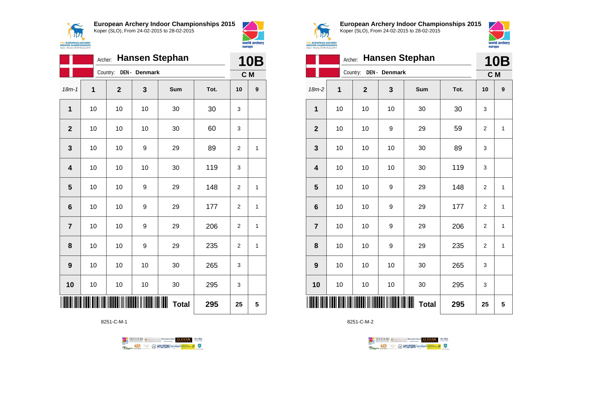



|                         | <b>Hansen Stephan</b><br>Archer: |             |               |                   |      |                |                  |
|-------------------------|----------------------------------|-------------|---------------|-------------------|------|----------------|------------------|
|                         |                                  | Country:    | DEN - Denmark |                   |      |                | C M              |
| $18m - 1$               | 1                                | $\mathbf 2$ | 3             | Sum               | Tot. | 10             | $\boldsymbol{9}$ |
| 1                       | 10                               | 10          | 10            | 30                | 30   | 3              |                  |
| $\mathbf{2}$            | 10                               | 10          | 10            | 30                | 60   | 3              |                  |
| 3                       | 10                               | 10          | 9             | 29                | 89   | $\overline{2}$ | 1                |
| $\overline{\mathbf{4}}$ | 10                               | 10          | 10            | 30                | 119  | 3              |                  |
| 5                       | 10                               | 10          | 9             | 29                | 148  | 2              | 1                |
| $6\phantom{1}6$         | 10                               | 10          | 9             | 29                | 177  | $\overline{2}$ | 1                |
| $\overline{7}$          | 10                               | 10          | 9             | 29                | 206  | $\overline{2}$ | 1                |
| 8                       | 10                               | 10          | 9             | 29                | 235  | 2              | 1                |
| $\boldsymbol{9}$        | 10                               | 10          | 10            | 30                | 265  | 3              |                  |
| 10                      | 10                               | 10          | 10            | 30                | 295  | 3              |                  |
|                         |                                  |             |               | ┉<br><b>Total</b> | 295  | 25             | 5                |

8251-C-M-1

TENTOURS of BENJAMING COUP ELEVEN VEBA **B** AHYUNDAI lonsed **Williams & Ragma** 



**European Archery Indoor Championships 2015** Koper (SLO), From 24-02-2015 to 28-02-2015



|                         | <b>Hansen Stephan</b><br>Archer: |              |               |                     |      |                |              |
|-------------------------|----------------------------------|--------------|---------------|---------------------|------|----------------|--------------|
|                         |                                  | Country:     | DEN - Denmark |                     |      | C M            |              |
| $18m-2$                 | 1                                | $\mathbf{2}$ | 3             | Sum                 | Tot. | 10             | 9            |
| $\mathbf 1$             | 10                               | 10           | 10            | 30                  | 30   | 3              |              |
| $\mathbf{2}$            | 10                               | 10           | 9             | 29                  | 59   | $\overline{2}$ | $\mathbf{1}$ |
| 3                       | 10                               | 10           | 10            | 30                  | 89   | 3              |              |
| $\overline{\mathbf{4}}$ | 10                               | 10           | 10            | 30                  | 119  | 3              |              |
| 5                       | 10                               | 10           | 9             | 29                  | 148  | $\overline{2}$ | $\mathbf{1}$ |
| $\bf 6$                 | 10                               | 10           | 9             | 29                  | 177  | 2              | $\mathbf{1}$ |
| $\overline{7}$          | 10                               | 10           | 9             | 29                  | 206  | $\overline{2}$ | $\mathbf{1}$ |
| 8                       | 10                               | 10           | 9             | 29                  | 235  | $\overline{2}$ | $\mathbf{1}$ |
| $\boldsymbol{9}$        | 10                               | 10           | 10            | 30                  | 265  | 3              |              |
| 10                      | 10                               | $10$         | 10            | 30                  | 295  | 3              |              |
|                         |                                  |              |               | ║║║<br><b>Total</b> | 295  | 25             | 5            |

TENTOURS **(i)** CONSIDER DEVELOPS OF THE VEDA

**B** MYUNDAI Tonsed **Williams 9** 

8251-C-M-2

Ragm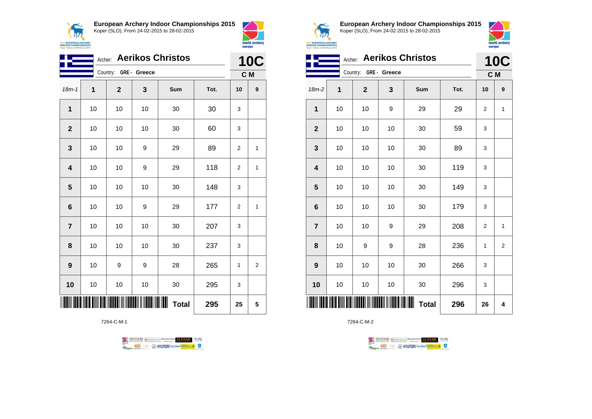



world archery

europe

|                         |    | Archer:      |                           | <b>Aerikos Christos</b> |      | <b>10C</b>     |                |
|-------------------------|----|--------------|---------------------------|-------------------------|------|----------------|----------------|
|                         |    | Country:     | GRE- Greece               |                         |      |                | C M            |
| $18m - 1$               | 1  | $\mathbf{2}$ | 3                         | Sum                     | Tot. | 10             | 9              |
| 1                       | 10 | 10           | 10                        | 30                      | 30   | 3              |                |
| $\overline{2}$          | 10 | 10           | 10                        | 30                      | 60   | 3              |                |
| 3                       | 10 | 10           | 9                         | 29                      | 89   | $\overline{2}$ | 1              |
| $\overline{\mathbf{4}}$ | 10 | 10           | 9                         | 29                      | 118  | $\overline{2}$ | $\mathbf{1}$   |
| 5                       | 10 | 10           | 10                        | 30                      | 148  | 3              |                |
| $6\phantom{1}6$         | 10 | 10           | 9                         | 29                      | 177  | $\overline{2}$ | 1              |
| $\overline{7}$          | 10 | 10           | 10                        | 30                      | 207  | 3              |                |
| 8                       | 10 | 10           | 10                        | 30                      | 237  | 3              |                |
| 9                       | 10 | 9            | 9                         | 28                      | 265  | 1              | $\overline{2}$ |
| 10                      | 10 | 10           | 10                        | 30                      | 295  | 3              |                |
|                         |    |              | TITONI II IITONI IITONI T | <b>Total</b>            | 295  | 25             | 5              |

7264-C-M-1





**European Archery Indoor Championships 2015** Koper (SLO), From 24-02-2015 to 28-02-2015



|                         | Archer: Aerikos Christos |                       |                     |              |      |                |                   |
|-------------------------|--------------------------|-----------------------|---------------------|--------------|------|----------------|-------------------|
|                         |                          | Country: GRE - Greece |                     |              |      |                | <b>10C</b><br>C M |
| $18m-2$                 | 1                        | $\mathbf 2$           | 3                   | Sum          | Tot. | 10             | 9                 |
| $\mathbf{1}$            | 10                       | 10                    | 9                   | 29           | 29   | $\overline{2}$ | 1                 |
| $\overline{\mathbf{2}}$ | 10                       | 10                    | 10                  | 30           | 59   | 3              |                   |
| 3                       | 10                       | 10                    | 10                  | 30           | 89   | 3              |                   |
| $\overline{\mathbf{4}}$ | 10                       | 10                    | 10                  | 30           | 119  | 3              |                   |
| 5                       | 10                       | 10                    | 10                  | 30           | 149  | 3              |                   |
| $6\phantom{1}6$         | 10                       | 10                    | 10                  | 30           | 179  | 3              |                   |
| $\overline{7}$          | 10                       | 10                    | 9                   | 29           | 208  | $\overline{2}$ | 1                 |
| 8                       | 10                       | 9                     | 9                   | 28           | 236  | 1              | 2                 |
| 9                       | 10                       | 10                    | 10                  | 30           | 266  | 3              |                   |
| 10                      | 10                       | 10                    | 10                  | 30           | 296  | 3              |                   |
|                         |                          |                       | <b>IIII IIIIIII</b> | <b>Total</b> | 296  | 26             | 4                 |

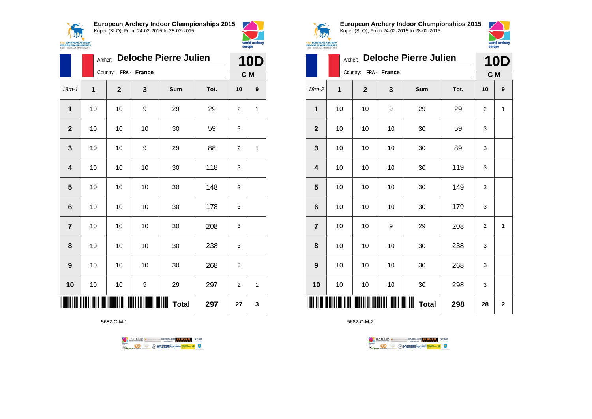



|                |      | <b>Deloche Pierre Julien</b><br>Archer: |    |                   |      |                |                  |  |  |
|----------------|------|-----------------------------------------|----|-------------------|------|----------------|------------------|--|--|
|                |      | Country: FRA - France                   |    |                   |      |                |                  |  |  |
| $18m - 1$      | 1    | $\mathbf{2}$                            | 3  | Sum               | Tot. | 10             | $\boldsymbol{9}$ |  |  |
| 1              | 10   | 10                                      | 9  | 29                | 29   | $\overline{2}$ | 1                |  |  |
| $\overline{2}$ | 10   | 10                                      | 10 | 30                | 59   | 3              |                  |  |  |
| 3              | 10   | 10                                      | 9  | 29                | 88   | 2              | 1                |  |  |
| 4              | 10   | 10                                      | 10 | 30                | 118  | 3              |                  |  |  |
| 5              | 10   | 10                                      | 10 | 30                | 148  | 3              |                  |  |  |
| 6              | 10   | 10                                      | 10 | 30                | 178  | 3              |                  |  |  |
| $\overline{7}$ | 10   | 10                                      | 10 | 30                | 208  | 3              |                  |  |  |
| 8              | $10$ | 10                                      | 10 | 30                | 238  | 3              |                  |  |  |
| 9              | 10   | 10                                      | 10 | 30                | 268  | 3              |                  |  |  |
| 10             | 10   | 10                                      | 9  | 29                | 297  | $\overline{2}$ | 1                |  |  |
|                |      |                                         |    | Ш<br><b>Total</b> | 297  | 27             | 3                |  |  |

5682-C-M-1

TENTOURS of BENJAMING COUP ELEVEN VEBA **Example 3** @ HYUNDAI lansed **State 4** 0



**European Archery Indoor Championships 2015** Koper (SLO), From 24-02-2015 to 28-02-2015



|                         |    | <b>Deloche Pierre Julien</b><br>Archer: |    |              |      |                |                |  |  |
|-------------------------|----|-----------------------------------------|----|--------------|------|----------------|----------------|--|--|
|                         |    | Country: FRA - France                   |    |              |      |                |                |  |  |
| $18m-2$                 | 1  | $\mathbf{2}$                            | 3  | Sum          | Tot. | 10             | 9              |  |  |
| 1                       | 10 | 10                                      | 9  | 29           | 29   | 2              | 1              |  |  |
| $\boldsymbol{2}$        | 10 | 10                                      | 10 | 30           | 59   | 3              |                |  |  |
| $\mathbf{3}$            | 10 | 10                                      | 10 | 30           | 89   | 3              |                |  |  |
| $\overline{\mathbf{4}}$ | 10 | 10                                      | 10 | 30           | 119  | 3              |                |  |  |
| $\overline{\mathbf{5}}$ | 10 | 10                                      | 10 | 30           | 149  | 3              |                |  |  |
| $\bf 6$                 | 10 | 10                                      | 10 | 30           | 179  | 3              |                |  |  |
| $\overline{7}$          | 10 | 10                                      | 9  | 29           | 208  | $\overline{c}$ | 1              |  |  |
| 8                       | 10 | 10                                      | 10 | 30           | 238  | 3              |                |  |  |
| 9                       | 10 | 10                                      | 10 | 30           | 268  | 3              |                |  |  |
| 10                      | 10 | 10                                      | 10 | 30           | 298  | 3              |                |  |  |
| ║║║                     |    |                                         |    | <b>Total</b> | 298  | 28             | $\overline{2}$ |  |  |

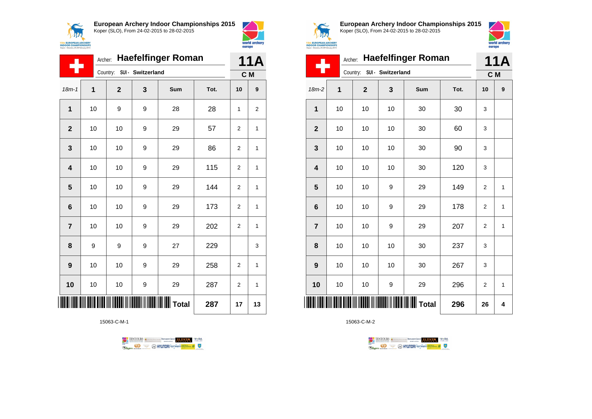



| <b>Haefelfinger Roman</b><br>Archer: |    |              |                            |                      |      | 11A            |                  |
|--------------------------------------|----|--------------|----------------------------|----------------------|------|----------------|------------------|
|                                      |    |              | Country: SUI - Switzerland |                      |      | C M            |                  |
| $18m - 1$                            | 1  | $\mathbf{2}$ | 3                          | Sum                  | Tot. | 10             | $\boldsymbol{9}$ |
| $\mathbf{1}$                         | 10 | 9            | 9                          | 28                   | 28   | 1              | $\overline{2}$   |
| $\overline{2}$                       | 10 | 10           | 9                          | 29                   | 57   | 2              | 1                |
| 3                                    | 10 | 10           | 9                          | 29                   | 86   | $\overline{2}$ | 1                |
| $\overline{\mathbf{4}}$              | 10 | 10           | 9                          | 29                   | 115  | $\overline{2}$ | 1                |
| 5                                    | 10 | 10           | 9                          | 29                   | 144  | 2              | 1                |
| 6                                    | 10 | 10           | 9                          | 29                   | 173  | $\overline{2}$ | 1                |
| $\overline{7}$                       | 10 | 10           | 9                          | 29                   | 202  | $\overline{2}$ | 1                |
| 8                                    | 9  | 9            | 9                          | 27                   | 229  |                | 3                |
| 9                                    | 10 | 10           | 9                          | 29                   | 258  | $\overline{2}$ | 1                |
| 10                                   | 10 | 10           | 9                          | 29                   | 287  | 2              | 1                |
|                                      |    |              |                            | <b>HII HII Total</b> | 287  | 17             | 13               |

15063-C-M-1





**European Archery Indoor Championships 2015** Koper (SLO), From 24-02-2015 to 28-02-2015



|                         | <b>Haefelfinger Roman</b><br>Archer: |                            |    |                                                  |      |                |              |  |
|-------------------------|--------------------------------------|----------------------------|----|--------------------------------------------------|------|----------------|--------------|--|
|                         |                                      | Country: SUI - Switzerland |    |                                                  |      | C M            |              |  |
| 18m-2                   | 1                                    | $\mathbf 2$                | 3  | Sum                                              | Tot. | 10             | 9            |  |
| $\mathbf 1$             | 10                                   | 10                         | 10 | 30                                               | 30   | 3              |              |  |
| $\mathbf 2$             | 10                                   | 10                         | 10 | 30                                               | 60   | 3              |              |  |
| 3                       | 10                                   | 10                         | 10 | 30                                               | 90   | 3              |              |  |
| $\overline{\mathbf{4}}$ | 10                                   | 10                         | 10 | 30                                               | 120  | 3              |              |  |
| 5                       | 10                                   | 10                         | 9  | 29                                               | 149  | $\overline{2}$ | $\mathbf{1}$ |  |
| $6\phantom{1}6$         | 10                                   | 10                         | 9  | 29                                               | 178  | $\overline{2}$ | 1            |  |
| $\overline{7}$          | 10                                   | 10                         | 9  | 29                                               | 207  | $\overline{2}$ | 1            |  |
| 8                       | 10                                   | 10                         | 10 | 30                                               | 237  | 3              |              |  |
| 9                       | 10                                   | 10                         | 10 | 30                                               | 267  | 3              |              |  |
| 10                      | 10                                   | 10                         | 9  | 29                                               | 296  | $\overline{2}$ | 1            |  |
|                         |                                      |                            |    | <b>                                   </b> Total | 296  | 26             | 4            |  |

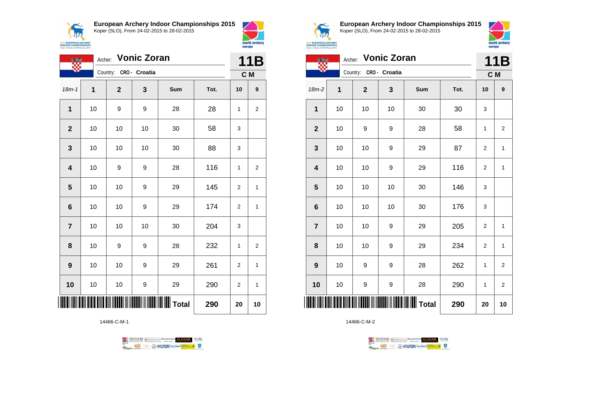**ANA 15th EUROPEAN ARCHERY<br>INDOOR CHAMPIONSHIPS**<br>Koper - Slovenia, 24-28 February 2015 **European Archery Indoor Championships 2015** Koper (SLO), From 24-02-2015 to 28-02-2015





| <b>Vonic Zoran</b><br>Archer: |    |                        |    |     |      |                | 11B            |  |
|-------------------------------|----|------------------------|----|-----|------|----------------|----------------|--|
|                               |    | Country: CRO - Croatia |    |     |      | C M            |                |  |
| $18m - 1$                     | 1  | $\overline{2}$         | 3  | Sum | Tot. | 10             | 9              |  |
| 1                             | 10 | 9                      | 9  | 28  | 28   | 1              | $\overline{2}$ |  |
| $\mathbf{2}$                  | 10 | 10                     | 10 | 30  | 58   | 3              |                |  |
| 3                             | 10 | 10                     | 10 | 30  | 88   | 3              |                |  |
| $\overline{\mathbf{4}}$       | 10 | 9                      | 9  | 28  | 116  | 1              | $\overline{2}$ |  |
| 5                             | 10 | 10                     | 9  | 29  | 145  | 2              | 1              |  |
| $6\phantom{1}$                | 10 | 10                     | 9  | 29  | 174  | 2              | 1              |  |
| $\overline{7}$                | 10 | 10                     | 10 | 30  | 204  | 3              |                |  |
| 8                             | 10 | 9                      | 9  | 28  | 232  | 1              | 2              |  |
| $\boldsymbol{9}$              | 10 | 10                     | 9  | 29  | 261  | 2              | 1              |  |
| 10                            | 10 | 10                     | 9  | 29  | 290  | $\overline{2}$ | 1              |  |
|                               |    | 290                    | 20 | 10  |      |                |                |  |

14466-C-M-1





**European Archery Indoor Championships 2015** Koper (SLO), From 24-02-2015 to 28-02-2015



**11B 11B 11B** 

| 417                                                           |
|---------------------------------------------------------------|
| <b>EUROPEAN ARCHERY</b>                                       |
| <b>OOR CHAMPIONSHIPS</b><br>r - Slovenia, 24-28 February 2015 |

|                         | <b>Vonic Zoran</b><br>Archer: |                        |    |       |      |                |                         |
|-------------------------|-------------------------------|------------------------|----|-------|------|----------------|-------------------------|
|                         |                               | Country: CRO - Croatia |    |       |      | C M            |                         |
| $18m-2$                 | 1                             | $\mathbf{2}$           | 3  | Sum   | Tot. | 10             | 9                       |
| 1                       | 10                            | 10                     | 10 | 30    | 30   | 3              |                         |
| $\mathbf{2}$            | 10                            | 9                      | 9  | 28    | 58   | 1              | $\overline{2}$          |
| 3                       | 10                            | 10                     | 9  | 29    | 87   | $\overline{c}$ | 1                       |
| $\overline{\mathbf{4}}$ | 10                            | 10                     | 9  | 29    | 116  | $\overline{2}$ | $\mathbf{1}$            |
| 5                       | 10                            | 10                     | 10 | 30    | 146  | 3              |                         |
| $6\phantom{1}6$         | 10                            | 10                     | 10 | 30    | 176  | 3              |                         |
| $\overline{7}$          | 10                            | 10                     | 9  | 29    | 205  | $\overline{c}$ | 1                       |
| 8                       | 10                            | 10                     | 9  | 29    | 234  | $\overline{2}$ | $\mathbf{1}$            |
| $\boldsymbol{9}$        | 10                            | 9                      | 9  | 28    | 262  | 1              | $\overline{\mathbf{c}}$ |
| 10                      | 10                            | 9                      | 9  | 28    | 290  | 1              | $\overline{2}$          |
| ║║║                     |                               |                        |    | Total | 290  | 20             | 10                      |

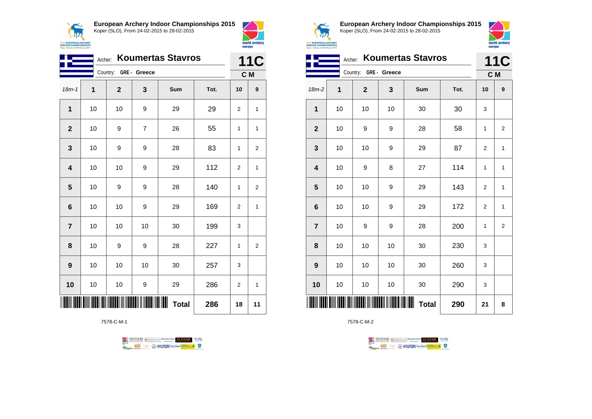



world archery

europe

|                         | <b>Koumertas Stavros</b><br>Archer: |                       |                |                    |      |                |                |  |
|-------------------------|-------------------------------------|-----------------------|----------------|--------------------|------|----------------|----------------|--|
|                         |                                     | Country: GRE - Greece |                |                    |      |                | C M            |  |
| $18m - 1$               | $\mathbf 1$                         | $\mathbf{2}$          | 3              | Sum                | Tot. | 10             | 9              |  |
| 1                       | 10                                  | 10                    | 9              | 29                 | 29   | $\overline{2}$ | 1              |  |
| $\overline{2}$          | 10                                  | 9                     | $\overline{7}$ | 26                 | 55   | 1              | 1              |  |
| $\mathbf{3}$            | 10                                  | 9                     | 9              | 28                 | 83   | 1              | 2              |  |
| $\overline{\mathbf{4}}$ | 10                                  | 10                    | 9              | 29                 | 112  | $\overline{2}$ | 1              |  |
| 5                       | 10                                  | 9                     | 9              | 28                 | 140  | 1              | $\overline{2}$ |  |
| 6                       | 10                                  | 10                    | 9              | 29                 | 169  | 2              | 1              |  |
| $\overline{7}$          | 10                                  | 10                    | 10             | 30                 | 199  | 3              |                |  |
| 8                       | 10                                  | 9                     | 9              | 28                 | 227  | 1              | 2              |  |
| $\boldsymbol{9}$        | 10                                  | 10                    | 10             | 30                 | 257  | 3              |                |  |
| 10                      | 10                                  | 10                    | 9              | 29                 | 286  | $\overline{2}$ | 1              |  |
|                         |                                     |                       |                | ∭∭<br><b>Total</b> | 286  | 18             | 11             |  |

7578-C-M-1





**European Archery Indoor Championships 2015** Koper (SLO), From 24-02-2015 to 28-02-2015



|                | <b>Koumertas Stavros</b><br>Archer: |                       |    |                        |      |                |                |
|----------------|-------------------------------------|-----------------------|----|------------------------|------|----------------|----------------|
|                |                                     | Country: GRE - Greece |    |                        |      | C M            |                |
| 18m-2          | 1                                   | $\mathbf{2}$          | 3  | Sum                    | Tot. | 10             | 9              |
| 1              | 10                                  | 10                    | 10 | 30                     | 30   | 3              |                |
| $\mathbf{2}$   | 10                                  | 9                     | 9  | 28                     | 58   | 1              | 2              |
| 3              | 10                                  | 10                    | 9  | 29                     | 87   | $\overline{2}$ | 1              |
| 4              | 10                                  | 9                     | 8  | 27                     | 114  | 1              | 1              |
| 5              | 10                                  | 10                    | 9  | 29                     | 143  | $\overline{2}$ | $\mathbf{1}$   |
| 6              | 10                                  | 10                    | 9  | 29                     | 172  | $\overline{2}$ | $\mathbf{1}$   |
| $\overline{7}$ | 10                                  | 9                     | 9  | 28                     | 200  | 1              | $\overline{2}$ |
| 8              | 10                                  | 10                    | 10 | 30                     | 230  | 3              |                |
| 9              | 10                                  | 10                    | 10 | 30                     | 260  | 3              |                |
| 10             | 10                                  | 10                    | 10 | 30                     | 290  | 3              |                |
|                |                                     |                       |    | IIIIII<br><b>Total</b> | 290  | 21             | 8              |

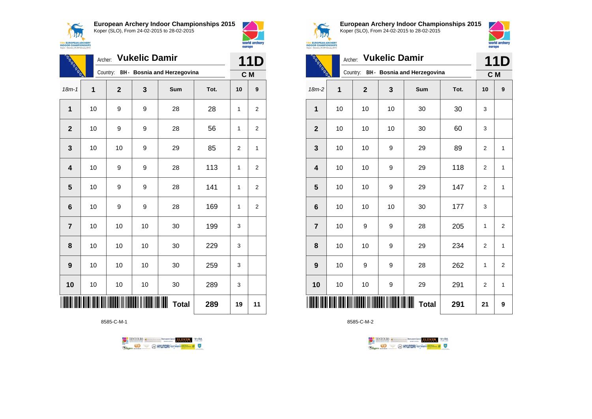$\sqrt{N}$ **15th EUROPEAN ARCHERY**<br>INDOOR CHAMPIONSHIPS<br>Koper - Slovenia, 24-28 February 2015 **European Archery Indoor Championships 2015** Koper (SLO), From 24-02-2015 to 28-02-2015



| <b>TANK</b>             | Archer: Vukelic Damir |                |    |                                       |      |     | 11D              |  |
|-------------------------|-----------------------|----------------|----|---------------------------------------|------|-----|------------------|--|
|                         |                       |                |    | Country: BIH - Bosnia and Herzegovina |      | C M |                  |  |
| $18m - 1$               | 1                     | $\overline{2}$ | 3  | Sum                                   | Tot. | 10  | $\boldsymbol{9}$ |  |
| 1                       | 10                    | 9              | 9  | 28                                    | 28   | 1   | $\overline{2}$   |  |
| $\overline{2}$          | 10                    | 9              | 9  | 28                                    | 56   | 1   | 2                |  |
| 3                       | 10                    | 10             | 9  | 29                                    | 85   | 2   | 1                |  |
| $\overline{\mathbf{4}}$ | 10                    | 9              | 9  | 28                                    | 113  | 1   | 2                |  |
| 5                       | 10                    | 9              | 9  | 28                                    | 141  | 1   | $\overline{2}$   |  |
| $6\phantom{1}6$         | 10                    | 9              | 9  | 28                                    | 169  | 1   | 2                |  |
| $\overline{7}$          | 10                    | 10             | 10 | 30                                    | 199  | 3   |                  |  |
| 8                       | 10                    | 10             | 10 | 30                                    | 229  | 3   |                  |  |
| $\boldsymbol{9}$        | 10                    | 10             | 10 | 30                                    | 259  | 3   |                  |  |
| 10                      | 10                    | 10             | 10 | 30                                    | 289  | 3   |                  |  |
|                         |                       |                |    | ∭<br><b>Total</b>                     | 289  | 19  | 11               |  |

8585-C-M-1

TENTOURS of BENJAMING COUP ELEVEN VEBA **OD SOUTHERRY SECTION AND STATE** Ragun



**European Archery Indoor Championships 2015** Koper (SLO), From 24-02-2015 to 28-02-2015



|                | Archer: Vukelic Damir<br><b>Report Follows</b> |             |    |                                       |      |                |                |  |
|----------------|------------------------------------------------|-------------|----|---------------------------------------|------|----------------|----------------|--|
|                |                                                |             |    | Country: BIH - Bosnia and Herzegovina |      | C M            |                |  |
| 18m-2          | 1                                              | $\mathbf 2$ | 3  | Sum                                   | Tot. | 10             | 9              |  |
| 1              | 10                                             | 10          | 10 | 30                                    | 30   | 3              |                |  |
| $\mathbf{2}$   | 10                                             | 10          | 10 | 30                                    | 60   | 3              |                |  |
| 3              | 10                                             | 10          | 9  | 29                                    | 89   | $\overline{2}$ | $\mathbf{1}$   |  |
| 4              | 10                                             | 10          | 9  | 29                                    | 118  | $\overline{2}$ | 1              |  |
| 5              | 10                                             | 10          | 9  | 29                                    | 147  | 2              | 1              |  |
| $6\phantom{1}$ | 10                                             | 10          | 10 | 30                                    | 177  | 3              |                |  |
| $\overline{7}$ | 10                                             | 9           | 9  | 28                                    | 205  | 1              | $\overline{2}$ |  |
| 8              | 10                                             | 10          | 9  | 29                                    | 234  | $\overline{2}$ | 1              |  |
| 9              | 10                                             | 9           | 9  | 28                                    | 262  | 1              | $\overline{2}$ |  |
| 10             | 10                                             | 10          | 9  | 29                                    | 291  | 2              | 1              |  |
|                |                                                |             |    | ┉<br><b>Total</b>                     | 291  | 21             | 9              |  |

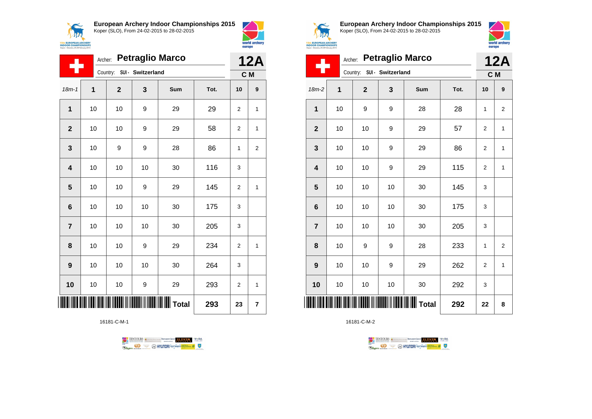**AN 15th EUROPEAN ARCHERY**<br>**INDOOR CHAMPIONSHIPS**<br>Koper - Slovenia, 24-28 February 2015 **European Archery Indoor Championships 2015** Koper (SLO), From 24-02-2015 to 28-02-2015



| <b>Petraglio Marco</b><br>Archer: |                |              |                            |                   |      |                | <b>12A</b> |  |
|-----------------------------------|----------------|--------------|----------------------------|-------------------|------|----------------|------------|--|
|                                   |                |              | Country: SUI - Switzerland |                   |      |                | C M        |  |
| $18m - 1$                         | $\overline{1}$ | $\mathbf{2}$ | 3                          | Sum               | Tot. | 10             | 9          |  |
| $\mathbf{1}$                      | 10             | 10           | 9                          | 29                | 29   | $\overline{2}$ | 1          |  |
| $\overline{2}$                    | 10             | 10           | 9                          | 29                | 58   | 2              | 1          |  |
| 3                                 | 10             | 9            | 9                          | 28                | 86   | 1              | 2          |  |
| $\overline{\mathbf{4}}$           | 10             | 10           | 10                         | 30                | 116  | 3              |            |  |
| 5                                 | 10             | 10           | 9                          | 29                | 145  | $\overline{2}$ | 1          |  |
| 6                                 | 10             | 10           | 10                         | 30                | 175  | 3              |            |  |
| $\overline{7}$                    | 10             | 10           | 10                         | 30                | 205  | 3              |            |  |
| 8                                 | 10             | 10           | 9                          | 29                | 234  | 2              | 1          |  |
| 9                                 | 10             | 10           | 10                         | 30                | 264  | 3              |            |  |
| 10                                | 10             | 10           | 9                          | 29                | 293  | $\overline{2}$ | 1          |  |
|                                   |                |              |                            | $\parallel$ Total | 293  | 23             | 7          |  |

16181-C-M-1





**European Archery Indoor Championships 2015** Koper (SLO), From 24-02-2015 to 28-02-2015



| <b>OR CHAMPIONSHIPS</b> |
|-------------------------|

| <b>Petraglio Marco</b><br>Archer: |              |                            |    |     |      |                | <b>12A</b>     |  |
|-----------------------------------|--------------|----------------------------|----|-----|------|----------------|----------------|--|
|                                   |              | Country: SUI - Switzerland |    |     |      |                | C M            |  |
| $18m-2$                           | $\mathbf{1}$ | $\mathbf{2}$               | 3  | Sum | Tot. | 10             | 9              |  |
| 1                                 | 10           | 9                          | 9  | 28  | 28   | 1              | $\overline{2}$ |  |
| $\overline{2}$                    | 10           | 10                         | 9  | 29  | 57   | 2              | 1              |  |
| 3                                 | 10           | 10                         | 9  | 29  | 86   | 2              | 1              |  |
| $\overline{\mathbf{4}}$           | 10           | 10                         | 9  | 29  | 115  | $\overline{2}$ | 1              |  |
| 5                                 | 10           | 10                         | 10 | 30  | 145  | 3              |                |  |
| $6\phantom{1}6$                   | 10           | 10                         | 10 | 30  | 175  | 3              |                |  |
| $\overline{7}$                    | 10           | 10                         | 10 | 30  | 205  | 3              |                |  |
| 8                                 | 10           | 9                          | 9  | 28  | 233  | 1              | $\overline{2}$ |  |
| 9                                 | 10           | 10                         | 9  | 29  | 262  | 2              | 1              |  |
| 10                                | 10           | 10                         | 10 | 30  | 292  | 3              |                |  |
|                                   |              |                            |    |     | 292  | 22             | 8              |  |

TENTOURS **Q** CONSIDERED BEXTRED CONDUCT **CONSIDERED** VICE DA

**Example 2** @ HYUNDAI lansed **State 4** U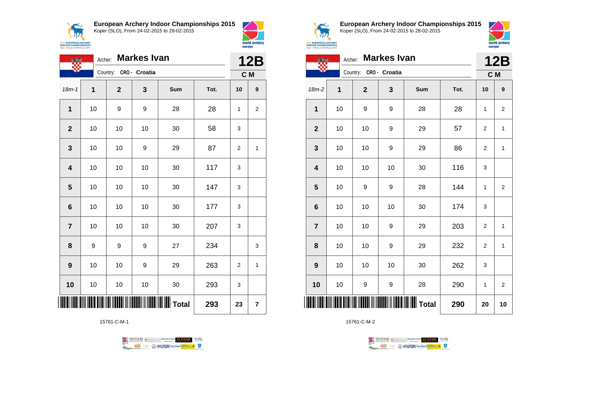$\prec$ **ANA 15th EUROPEAN ARCHERY**<br>INDOOR CHAMPIONSHIPS<br>Koper - Slovenia, 24-28 February 2015 **European Archery Indoor Championships 2015** Koper (SLO), From 24-02-2015 to 28-02-2015



|                         | <b>Markes Ivan</b><br>Archer:<br><b>CAR</b> |              |               |     |      |                |   |
|-------------------------|---------------------------------------------|--------------|---------------|-----|------|----------------|---|
|                         |                                             | Country:     | CRO - Croatia |     |      | C M            |   |
| $18m - 1$               | 1                                           | $\mathbf{2}$ | 3             | Sum | Tot. | 10             | 9 |
| 1                       | 10                                          | 9            | 9             | 28  | 28   | 1              | 2 |
| $\overline{2}$          | 10                                          | 10           | 10            | 30  | 58   | 3              |   |
| $\mathbf{3}$            | 10                                          | 10           | 9             | 29  | 87   | 2              | 1 |
| $\overline{\mathbf{4}}$ | 10                                          | 10           | 10            | 30  | 117  | 3              |   |
| 5                       | 10                                          | 10           | 10            | 30  | 147  | 3              |   |
| $6\phantom{1}6$         | $10$                                        | 10           | 10            | 30  | 177  | 3              |   |
| $\overline{7}$          | 10                                          | 10           | 10            | 30  | 207  | 3              |   |
| 8                       | 9                                           | 9            | 9             | 27  | 234  |                | 3 |
| 9                       | 10                                          | 10           | 9             | 29  | 263  | $\overline{2}$ | 1 |
| 10                      | 10                                          | 10           | 10            | 30  | 293  | 3              |   |
|                         |                                             |              | 293           | 23  | 7    |                |   |

15761-C-M-1





**European Archery Indoor Championships 2015** Koper (SLO), From 24-02-2015 to 28-02-2015



world archer

europe

| <b>CAR</b>     | Archer: |              | <b>Markes Ivan</b> |                     |      | <b>12B</b>     |                         |  |
|----------------|---------|--------------|--------------------|---------------------|------|----------------|-------------------------|--|
|                |         | Country:     | CRO - Croatia      |                     |      | C M            |                         |  |
| $18m-2$        | 1       | $\mathbf{2}$ | 3                  | Sum                 | Tot. | 10             | 9                       |  |
| 1              | 10      | 9            | 9                  | 28                  | 28   | 1              | $\boldsymbol{2}$        |  |
| $\mathbf{2}$   | 10      | 10           | 9                  | 29                  | 57   | $\overline{c}$ | 1                       |  |
| 3              | 10      | 10           | 9                  | 29                  | 86   | $\overline{2}$ | 1                       |  |
| 4              | 10      | 10           | 10                 | 30                  | 116  | 3              |                         |  |
| 5              | 10      | 9            | 9                  | 28                  | 144  | 1              | $\mathbf 2$             |  |
| 6              | 10      | 10           | 10                 | 30                  | 174  | 3              |                         |  |
| $\overline{7}$ | 10      | 10           | 9                  | 29                  | 203  | $\overline{2}$ | 1                       |  |
| 8              | 10      | 10           | 9                  | 29                  | 232  | 2              | 1                       |  |
| 9              | 10      | 10           | 10                 | 30                  | 262  | 3              |                         |  |
| 10             | 10      | 9            | 9                  | 28                  | 290  | 1              | $\overline{\mathbf{c}}$ |  |
|                |         |              |                    | <b>WILLES</b> Total | 290  | 20             | 10                      |  |

TENTOURS **Q** CONSIDERED BEXTRED CONDUCT **CONSIDERED** VICE DA

**Example 2** @ HYUNDAI lansed **State 4** U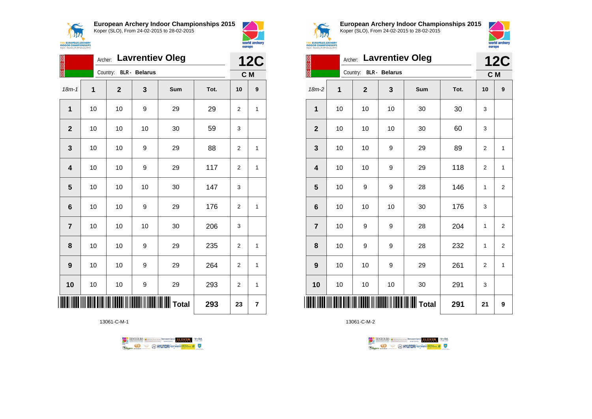



|                         | Archer: Lavrentiev Oleg |             |                      |                 |      |                | <b>12C</b> |
|-------------------------|-------------------------|-------------|----------------------|-----------------|------|----------------|------------|
|                         |                         | Country:    | <b>BLR</b> - Belarus |                 |      | C M            |            |
| $18m - 1$               | 1                       | $\mathbf 2$ | 3                    | Sum             | Tot. | 10             | 9          |
| 1                       | 10                      | 10          | 9                    | 29              | 29   | $\overline{2}$ | 1          |
| $\overline{\mathbf{2}}$ | 10                      | 10          | 10                   | 30              | 59   | 3              |            |
| 3                       | 10                      | 10          | 9                    | 29              | 88   | 2              | 1          |
| $\overline{\mathbf{4}}$ | 10                      | 10          | 9                    | 29              | 117  | $\overline{2}$ | 1          |
| $5\phantom{1}$          | 10                      | 10          | 10                   | 30              | 147  | 3              |            |
| 6                       | 10                      | 10          | 9                    | 29              | 176  | $\overline{2}$ | 1          |
| $\overline{7}$          | 10                      | 10          | 10                   | 30              | 206  | 3              |            |
| 8                       | $10$                    | 10          | 9                    | 29              | 235  | $\overline{2}$ | 1          |
| $\boldsymbol{9}$        | 10                      | 10          | 9                    | 29              | 264  | $\overline{2}$ | 1          |
| 10                      | 10                      | 10          | 9                    | 29              | 293  | $\overline{2}$ | 1          |
|                         |                         |             |                      | <b>II</b> Total | 293  | 23             | 7          |

13061-C-M-1





**European Archery Indoor Championships 2015** Koper (SLO), From 24-02-2015 to 28-02-2015



| <b>CHERY</b><br><b>NSHIPS</b><br>rusry 2015 |  |                        |                         |
|---------------------------------------------|--|------------------------|-------------------------|
|                                             |  |                        | Archer: Lavrentiev Oleg |
|                                             |  | Country: BLR - Belarus |                         |
|                                             |  |                        |                         |

|                         | <b>Lavrentiev Oleg</b><br>Archer: |                |                      |     |      |                |                  |
|-------------------------|-----------------------------------|----------------|----------------------|-----|------|----------------|------------------|
|                         |                                   | Country:       | <b>BLR</b> - Belarus |     |      | C M            |                  |
| $18m-2$                 | 1                                 | $\overline{2}$ | 3                    | Sum | Tot. | 10             | 9                |
| 1                       | 10                                | 10             | 10                   | 30  | 30   | 3              |                  |
| $\overline{2}$          | 10                                | 10             | 10                   | 30  | 60   | 3              |                  |
| 3                       | 10                                | 10             | 9                    | 29  | 89   | $\overline{2}$ | $\mathbf{1}$     |
| $\overline{\mathbf{4}}$ | 10                                | 10             | 9                    | 29  | 118  | $\overline{2}$ | $\mathbf{1}$     |
| 5                       | 10                                | 9              | 9                    | 28  | 146  | 1              | $\overline{2}$   |
| $6\phantom{1}6$         | 10                                | 10             | 10                   | 30  | 176  | 3              |                  |
| $\overline{7}$          | 10                                | 9              | 9                    | 28  | 204  | 1              | $\overline{2}$   |
| 8                       | 10                                | 9              | 9                    | 28  | 232  | 1              | $\boldsymbol{2}$ |
| 9                       | 10                                | 10             | 9                    | 29  | 261  | $\overline{2}$ | $\mathbf{1}$     |
| 10                      | 10                                | 10             | 10                   | 30  | 291  | 3              |                  |
| ║║║                     |                                   |                |                      |     | 291  | 21             | 9                |

TENTOURS descriptions RENARDINGSOUP ELEVEN. WHEN

**Example 2** @ HYUNDAI lansed **State 4** U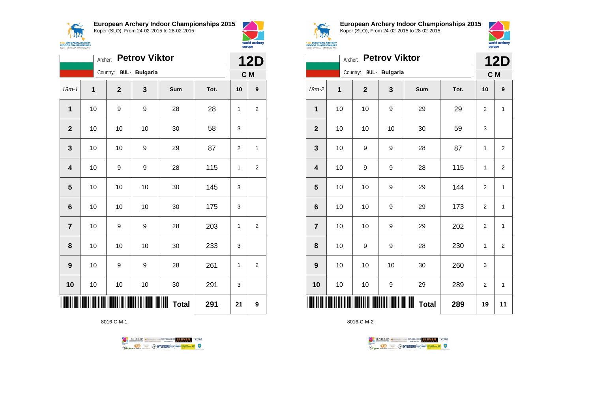



world archery

europe

|                         | <b>Petrov Viktor</b><br>Archer: |                         |                                 |              |      |                | <b>12D</b>       |  |
|-------------------------|---------------------------------|-------------------------|---------------------------------|--------------|------|----------------|------------------|--|
|                         |                                 | Country: BUL - Bulgaria |                                 |              |      | C M            |                  |  |
| $18m-1$                 | 1                               | $\mathbf 2$             | 3                               | Sum          | Tot. | 10             | $\boldsymbol{9}$ |  |
| $\mathbf{1}$            | 10                              | 9                       | 9                               | 28           | 28   | 1              | 2                |  |
| $\mathbf{2}$            | 10                              | 10                      | 10                              | 30           | 58   | 3              |                  |  |
| 3                       | 10                              | 10                      | 9                               | 29           | 87   | $\overline{2}$ | 1                |  |
| 4                       | 10                              | 9                       | 9                               | 28           | 115  | 1              | $\overline{c}$   |  |
| $\overline{\mathbf{5}}$ | 10                              | 10                      | 10                              | 30           | 145  | 3              |                  |  |
| 6                       | 10                              | 10                      | 10                              | 30           | 175  | 3              |                  |  |
| $\overline{7}$          | 10                              | 9                       | 9                               | 28           | 203  | 1              | $\overline{2}$   |  |
| 8                       | 10                              | 10                      | 10                              | 30           | 233  | 3              |                  |  |
| 9                       | 10                              | 9                       | 9                               | 28           | 261  | 1              | 2                |  |
| 10                      | 10                              | 10                      | 10                              | 30           | 291  | 3              |                  |  |
|                         |                                 |                         | <b>TITAN NASA KABUPATEN KEN</b> | <b>Total</b> | 291  | 21             | 9                |  |

8016-C-M-1





**European Archery Indoor Championships 2015** Koper (SLO), From 24-02-2015 to 28-02-2015



|                         | <b>Petrov Viktor</b><br>Archer: |              |                       |                     |      |                |                |
|-------------------------|---------------------------------|--------------|-----------------------|---------------------|------|----------------|----------------|
|                         |                                 | Country:     | <b>BUL</b> - Bulgaria |                     |      | C M            |                |
| 18m-2                   | 1                               | $\mathbf{2}$ | 3                     | Sum                 | Tot. | 10             | 9              |
| 1                       | 10                              | 10           | 9                     | 29                  | 29   | $\overline{2}$ | 1              |
| $\mathbf{2}$            | 10                              | 10           | 10                    | 30                  | 59   | 3              |                |
| $\mathbf{3}$            | 10                              | 9            | 9                     | 28                  | 87   | 1              | $\overline{2}$ |
| $\overline{\mathbf{4}}$ | 10                              | 9            | 9                     | 28                  | 115  | 1              | $\overline{2}$ |
| 5                       | 10                              | 10           | 9                     | 29                  | 144  | $\overline{2}$ | $\mathbf{1}$   |
| $\bf 6$                 | 10                              | 10           | 9                     | 29                  | 173  | $\overline{2}$ | 1              |
| $\overline{7}$          | 10                              | 10           | 9                     | 29                  | 202  | $\overline{2}$ | 1              |
| 8                       | 10                              | 9            | 9                     | 28                  | 230  | 1              | $\overline{2}$ |
| 9                       | 10                              | 10           | 10                    | 30                  | 260  | 3              |                |
| 10                      | $10$                            | 10           | 9                     | 29                  | 289  | $\overline{2}$ | 1              |
| ║║║                     |                                 |              |                       | ║║║<br><b>Total</b> | 289  | 19             | 11             |

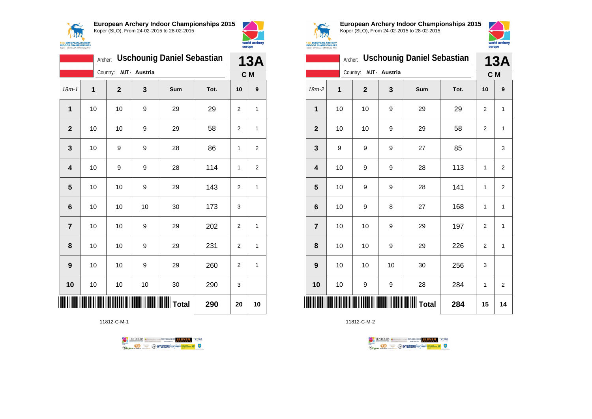



|                  | <b>Uschounig Daniel Sebastian</b><br>Archer: |              |               |     |      |                   |    |
|------------------|----------------------------------------------|--------------|---------------|-----|------|-------------------|----|
|                  |                                              | Country:     | AUT - Austria |     |      | <b>13A</b><br>C M |    |
| $18m - 1$        | 1                                            | $\mathbf{2}$ | 3             | Sum | Tot. | 10                | 9  |
| 1                | 10                                           | 10           | 9             | 29  | 29   | $\overline{2}$    | 1  |
| $\overline{2}$   | 10                                           | 10           | 9             | 29  | 58   | 2                 | 1  |
| 3                | 10                                           | 9            | 9             | 28  | 86   | 1                 | 2  |
| 4                | 10                                           | 9            | 9             | 28  | 114  | 1                 | 2  |
| 5                | 10                                           | 10           | 9             | 29  | 143  | $\overline{2}$    | 1  |
| $6\phantom{1}6$  | 10                                           | 10           | 10            | 30  | 173  | 3                 |    |
| $\overline{7}$   | 10                                           | 10           | 9             | 29  | 202  | $\overline{2}$    | 1  |
| 8                | 10                                           | 10           | 9             | 29  | 231  | $\overline{2}$    | 1  |
| $\boldsymbol{9}$ | 10                                           | 10           | 9             | 29  | 260  | 2                 | 1  |
| 10               | 10                                           | 10           | 10            | 30  | 290  | 3                 |    |
|                  |                                              |              |               |     | 290  | 20                | 10 |

11812-C-M-1





**European Archery Indoor Championships 2015** Koper (SLO), From 24-02-2015 to 28-02-2015



|                 | <b>Uschounig Daniel Sebastian</b><br>Archer: |                        |    |                                                  |      |                | <b>13A</b>              |
|-----------------|----------------------------------------------|------------------------|----|--------------------------------------------------|------|----------------|-------------------------|
|                 |                                              | Country: AUT - Austria |    |                                                  |      | C M            |                         |
| 18m-2           | 1                                            | $\mathbf{2}$           | 3  | Sum                                              | Tot. | 10             | 9                       |
| 1               | 10                                           | 10                     | 9  | 29                                               | 29   | 2              | $\mathbf{1}$            |
| $\overline{2}$  | 10                                           | 10                     | 9  | 29                                               | 58   | $\overline{2}$ | $\mathbf{1}$            |
| 3               | 9                                            | 9                      | 9  | 27                                               | 85   |                | 3                       |
| 4               | 10                                           | 9                      | 9  | 28                                               | 113  | 1              | $\overline{\mathbf{c}}$ |
| 5               | 10                                           | 9                      | 9  | 28                                               | 141  | 1              | $\mathbf 2$             |
| $6\phantom{1}6$ | 10                                           | 9                      | 8  | 27                                               | 168  | 1              | $\mathbf{1}$            |
| $\overline{7}$  | 10                                           | 10                     | 9  | 29                                               | 197  | $\overline{2}$ | $\mathbf{1}$            |
| 8               | 10                                           | 10                     | 9  | 29                                               | 226  | $\overline{2}$ | $\mathbf{1}$            |
| 9               | 10                                           | 10                     | 10 | 30                                               | 256  | 3              |                         |
| 10              | 10                                           | 9                      | 9  | 28                                               | 284  | 1              | $\overline{2}$          |
| IIII            |                                              |                        |    | <b>                                   </b> Total | 284  | 15             | 14                      |

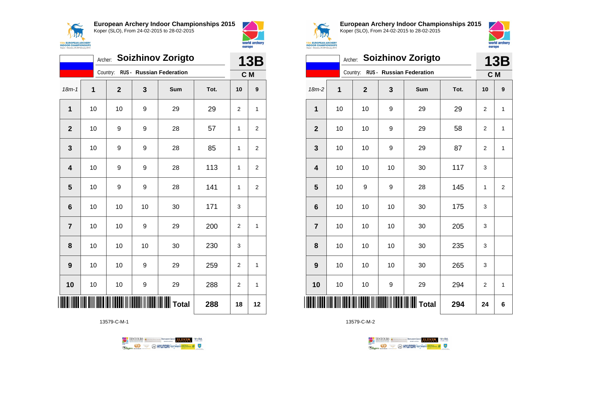



|                 | Archer: Soizhinov Zorigto |                |    |                                 |      |                | <b>13B</b>              |  |
|-----------------|---------------------------|----------------|----|---------------------------------|------|----------------|-------------------------|--|
|                 |                           | Country:       |    | <b>RUS - Russian Federation</b> |      | C M            |                         |  |
| $18m - 1$       | 1                         | $\overline{2}$ | 3  | Sum                             | Tot. | 10             | $\boldsymbol{9}$        |  |
| 1               | 10                        | 10             | 9  | 29                              | 29   | $\overline{2}$ | 1                       |  |
| $\mathbf{2}$    | 10                        | 9              | 9  | 28                              | 57   | 1              | $\overline{2}$          |  |
| 3               | 10                        | 9              | 9  | 28                              | 85   | 1              | $\overline{2}$          |  |
| 4               | 10                        | 9              | 9  | 28                              | 113  | 1              | $\overline{\mathbf{c}}$ |  |
| 5               | 10                        | 9              | 9  | 28                              | 141  | $\mathbf{1}$   | $\mathbf 2$             |  |
| $6\phantom{1}6$ | 10                        | 10             | 10 | 30                              | 171  | 3              |                         |  |
| $\overline{7}$  | 10                        | 10             | 9  | 29                              | 200  | $\overline{2}$ | 1                       |  |
| 8               | 10                        | 10             | 10 | 30                              | 230  | 3              |                         |  |
| 9               | 10                        | 10             | 9  | 29                              | 259  | 2              | 1                       |  |
| 10              | 10                        | 10             | 9  | 29                              | 288  | $\overline{2}$ | 1                       |  |
|                 |                           |                |    | <b>II</b> Total                 | 288  | 18             | 12                      |  |

13579-C-M-1





**European Archery Indoor Championships 2015** Koper (SLO), From 24-02-2015 to 28-02-2015



|                 | <b>Soizhinov Zorigto</b><br>Archer: |             |    |                                   |      |                |                |
|-----------------|-------------------------------------|-------------|----|-----------------------------------|------|----------------|----------------|
|                 |                                     |             |    | Country: RUS - Russian Federation |      | C M            |                |
| 18m-2           | 1                                   | $\mathbf 2$ | 3  | Sum                               | Tot. | 10             | 9              |
| 1               | 10                                  | 10          | 9  | 29                                | 29   | 2              | $\mathbf{1}$   |
| $\overline{2}$  | 10                                  | 10          | 9  | 29                                | 58   | $\overline{2}$ | 1              |
| 3               | 10                                  | 10          | 9  | 29                                | 87   | $\overline{2}$ | 1              |
| 4               | 10                                  | 10          | 10 | 30                                | 117  | 3              |                |
| 5               | 10                                  | 9           | 9  | 28                                | 145  | 1              | $\overline{2}$ |
| $6\phantom{1}6$ | 10                                  | 10          | 10 | 30                                | 175  | 3              |                |
| $\overline{7}$  | 10                                  | 10          | 10 | 30                                | 205  | 3              |                |
| 8               | 10                                  | 10          | 10 | 30                                | 235  | 3              |                |
| 9               | 10                                  | 10          | 10 | 30                                | 265  | 3              |                |
| 10              | 10                                  | 10          | 9  | 29                                | 294  | $\overline{2}$ | 1              |
| IIII            |                                     |             |    |                                   | 294  | 24             | 6              |

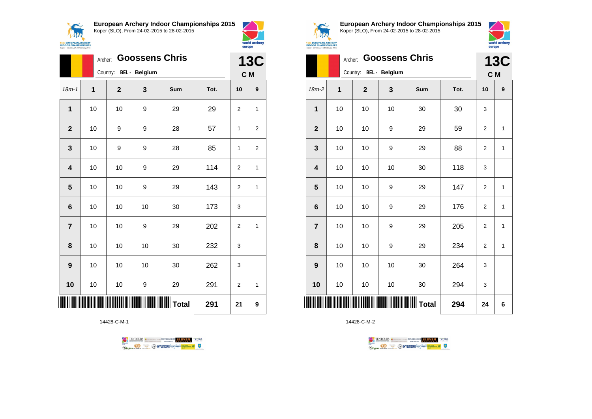



|                 |    | <b>Goossens Chris</b><br>Archer: |    |                        |      |                |                  |
|-----------------|----|----------------------------------|----|------------------------|------|----------------|------------------|
|                 |    | Country: BEL - Belgium           |    |                        |      | C M            |                  |
| $18m - 1$       | 1  | $\mathbf{2}$                     | 3  | Sum                    | Tot. | 10             | $\boldsymbol{9}$ |
| $\mathbf{1}$    | 10 | 10                               | 9  | 29                     | 29   | $\overline{2}$ | 1                |
| $\overline{2}$  | 10 | 9                                | 9  | 28                     | 57   | 1              | 2                |
| 3               | 10 | 9                                | 9  | 28                     | 85   | $\mathbf{1}$   | 2                |
| 4               | 10 | 10                               | 9  | 29                     | 114  | $\overline{2}$ | 1                |
| 5               | 10 | 10                               | 9  | 29                     | 143  | $\overline{2}$ | 1                |
| $6\phantom{1}6$ | 10 | 10                               | 10 | 30                     | 173  | 3              |                  |
| $\overline{7}$  | 10 | 10                               | 9  | 29                     | 202  | $\overline{2}$ | 1                |
| 8               | 10 | 10                               | 10 | 30                     | 232  | 3              |                  |
| 9               | 10 | 10                               | 10 | 30                     | 262  | 3              |                  |
| 10              | 10 | 10                               | 9  | 29                     | 291  | 2              | 1                |
|                 |    |                                  |    | <b>IIIIIIIII</b> Total | 291  | 21             | 9                |

14428-C-M-1





**European Archery Indoor Championships 2015** Koper (SLO), From 24-02-2015 to 28-02-2015



|                |    | <b>Goossens Chris</b><br>Archer: |    |     |      |                |              |  |
|----------------|----|----------------------------------|----|-----|------|----------------|--------------|--|
|                |    | Country: BEL - Belgium           |    |     |      | C M            | <b>13C</b>   |  |
| $18m-2$        | 1  | $\overline{2}$                   | 3  | Sum | Tot. | 10             | 9            |  |
| 1              | 10 | 10                               | 10 | 30  | 30   | 3              |              |  |
| $\mathbf{2}$   | 10 | 10                               | 9  | 29  | 59   | $\overline{2}$ | 1            |  |
| 3              | 10 | 10                               | 9  | 29  | 88   | $\overline{2}$ | 1            |  |
| 4              | 10 | 10                               | 10 | 30  | 118  | 3              |              |  |
| 5              | 10 | 10                               | 9  | 29  | 147  | $\overline{2}$ | $\mathbf{1}$ |  |
| 6              | 10 | 10                               | 9  | 29  | 176  | $\overline{2}$ | $\mathbf{1}$ |  |
| $\overline{7}$ | 10 | 10                               | 9  | 29  | 205  | 2              | 1            |  |
| 8              | 10 | 10                               | 9  | 29  | 234  | 2              | 1            |  |
| 9              | 10 | 10                               | 10 | 30  | 264  | 3              |              |  |
| 10             | 10 | 10                               | 10 | 30  | 294  | 3              |              |  |
| IIII           |    |                                  |    |     | 294  | 24             | 6            |  |

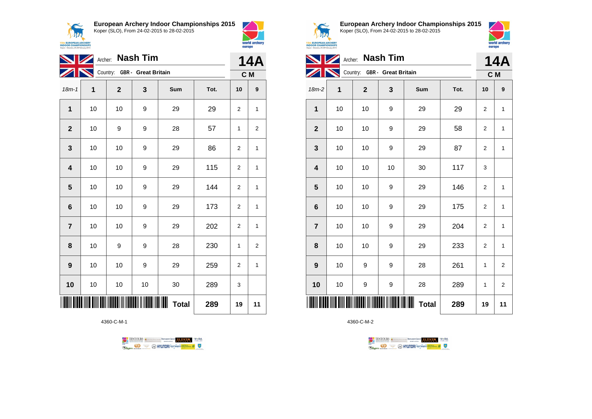



world archery

europe

| <b>NZ</b>       | <b>14A</b> |              |                              |                        |      |                |                  |
|-----------------|------------|--------------|------------------------------|------------------------|------|----------------|------------------|
|                 |            |              | Country: GBR - Great Britain |                        |      |                | C M              |
| $18m - 1$       | 1          | $\mathbf{2}$ | 3                            | Sum                    | Tot. | 10             | $\boldsymbol{9}$ |
| 1               | 10         | 10           | 9                            | 29                     | 29   | $\overline{2}$ | $\mathbf{1}$     |
| $\mathbf{2}$    | 10         | 9            | 9                            | 28                     | 57   | 1              | 2                |
| 3               | 10         | 10           | 9                            | 29                     | 86   | 2              | 1                |
| 4               | 10         | 10           | 9                            | 29                     | 115  | $\overline{2}$ | 1                |
| 5               | 10         | 10           | 9                            | 29                     | 144  | $\overline{2}$ | 1                |
| $6\phantom{1}6$ | 10         | 10           | 9                            | 29                     | 173  | $\overline{2}$ | 1                |
| $\overline{7}$  | 10         | 10           | 9                            | 29                     | 202  | 2              | 1                |
| 8               | 10         | 9            | 9                            | 28                     | 230  | 1              | 2                |
| 9               | 10         | 10           | 9                            | 29                     | 259  | $\overline{2}$ | $\mathbf{1}$     |
| 10              | 10         | 10           | 10                           | 30                     | 289  | 3              |                  |
|                 |            |              |                              | IIIIII<br><b>Total</b> | 289  | 19             | 11               |

4360-C-M-1





**European Archery Indoor Championships 2015** Koper (SLO), From 24-02-2015 to 28-02-2015



|                |    | Archer: Nash Tim             |                               |              |      |                | <b>14A</b>     |
|----------------|----|------------------------------|-------------------------------|--------------|------|----------------|----------------|
|                |    | Country: GBR - Great Britain |                               |              |      | C M            |                |
| $18m-2$        | 1  | $\mathbf{2}$                 | 3                             | Sum          | Tot. | 10             | 9              |
| 1              | 10 | 10                           | 9                             | 29           | 29   | $\overline{2}$ | $\mathbf{1}$   |
| $\mathbf{2}$   | 10 | 10                           | 9                             | 29           | 58   | $\overline{2}$ | $\mathbf{1}$   |
| 3              | 10 | 10                           | 9                             | 29           | 87   | $\overline{2}$ | 1              |
| 4              | 10 | 10                           | 10                            | 30           | 117  | 3              |                |
| 5              | 10 | 10                           | 9                             | 29           | 146  | $\overline{2}$ | 1              |
| 6              | 10 | 10                           | 9                             | 29           | 175  | $\overline{2}$ | $\mathbf{1}$   |
| $\overline{7}$ | 10 | 10                           | 9                             | 29           | 204  | $\overline{2}$ | 1              |
| 8              | 10 | 10                           | 9                             | 29           | 233  | $\overline{2}$ | 1              |
| 9              | 10 | 9                            | 9                             | 28           | 261  | 1              | $\overline{2}$ |
| 10             | 10 | 9                            | 9                             | 28           | 289  | 1              | $\overline{2}$ |
|                |    |                              | <b>TII II IIIII IIII IIII</b> | <b>Total</b> | 289  | 19             | 11             |

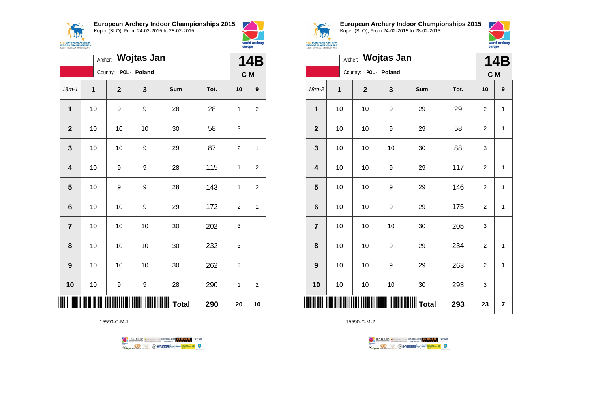

**European Archery Indoor Championships 2015**





|                         |      | Archer: Wojtas Jan    |      |                         |      | <b>14B</b>     |                |
|-------------------------|------|-----------------------|------|-------------------------|------|----------------|----------------|
|                         |      | Country: POL - Poland |      |                         |      |                | C M            |
| $18m - 1$               | 1    | $\mathbf{2}$          | 3    | Sum                     | Tot. | 10             | 9              |
| 1                       | 10   | 9                     | 9    | 28                      | 28   | 1              | $\overline{2}$ |
| $\mathbf{2}$            | 10   | 10                    | 10   | 30                      | 58   | 3              |                |
| 3                       | $10$ | 10                    | 9    | 29                      | 87   | $\overline{2}$ | 1              |
| $\overline{\mathbf{4}}$ | 10   | 9                     | 9    | 28                      | 115  | 1              | $\overline{2}$ |
| $\overline{\mathbf{5}}$ | 10   | 9                     | 9    | 28                      | 143  | 1              | $\overline{2}$ |
| $\bf 6$                 | 10   | 10                    | 9    | 29                      | 172  | 2              | 1              |
| $\overline{7}$          | 10   | 10                    | $10$ | 30                      | 202  | 3              |                |
| 8                       | 10   | $10$                  | 10   | 30                      | 232  | 3              |                |
| 9                       | 10   | 10                    | 10   | 30                      | 262  | 3              |                |
| 10                      | 10   | 9                     | 9    | 28                      | 290  | 1              | $\overline{2}$ |
|                         |      |                       |      | <b>           Total</b> | 290  | 20             | 10             |

15590-C-M-1





**European Archery Indoor Championships 2015** Koper (SLO), From 24-02-2015 to 28-02-2015



|                         |    | Archer: Wojtas Jan    |    |       |      |                | 14B          |
|-------------------------|----|-----------------------|----|-------|------|----------------|--------------|
|                         |    | Country: POL - Poland |    |       |      | C M            |              |
| $18m-2$                 | 1  | $\mathbf 2$           | 3  | Sum   | Tot. | 10             | 9            |
| 1                       | 10 | 10                    | 9  | 29    | 29   | $\overline{2}$ | 1            |
| $\mathbf{2}$            | 10 | 10                    | 9  | 29    | 58   | $\overline{2}$ | 1            |
| $\mathbf 3$             | 10 | 10                    | 10 | 30    | 88   | 3              |              |
| $\overline{\mathbf{4}}$ | 10 | 10                    | 9  | 29    | 117  | $\overline{c}$ | 1            |
| 5                       | 10 | 10                    | 9  | 29    | 146  | $\overline{c}$ | $\mathbf{1}$ |
| $6\phantom{1}6$         | 10 | 10                    | 9  | 29    | 175  | $\overline{c}$ | 1            |
| $\overline{7}$          | 10 | 10                    | 10 | 30    | 205  | 3              |              |
| 8                       | 10 | 10                    | 9  | 29    | 234  | $\overline{c}$ | $\mathbf{1}$ |
| 9                       | 10 | 10                    | 9  | 29    | 263  | $\overline{c}$ | $\mathbf{1}$ |
| 10                      | 10 | $10$                  | 10 | 30    | 293  | 3              |              |
| IIII                    |    |                       |    | Total | 293  | 23             | 7            |

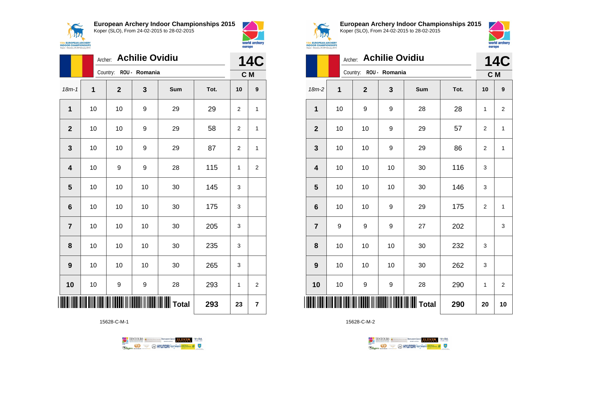

**European Archery Indoor Championships 2015**



|                  |    | Archer:                | <b>Achilie Ovidiu</b> |     |      |              | 14C              |
|------------------|----|------------------------|-----------------------|-----|------|--------------|------------------|
|                  |    | Country: ROU - Romania |                       |     |      |              | C M              |
| $18m - 1$        | 1  | $\mathbf 2$            | 3                     | Sum | Tot. | 10           | $\boldsymbol{9}$ |
| $\overline{1}$   | 10 | 10                     | 9                     | 29  | 29   | 2            | 1                |
| $\mathbf{2}$     | 10 | 10                     | 9                     | 29  | 58   | 2            | 1                |
| 3                | 10 | 10                     | 9                     | 29  | 87   | 2            | 1                |
| 4                | 10 | 9                      | 9                     | 28  | 115  | $\mathbf{1}$ | $\overline{c}$   |
| 5                | 10 | 10                     | 10                    | 30  | 145  | 3            |                  |
| $6\phantom{1}$   | 10 | 10                     | 10                    | 30  | 175  | 3            |                  |
| $\overline{7}$   | 10 | 10                     | 10                    | 30  | 205  | 3            |                  |
| 8                | 10 | 10                     | 10                    | 30  | 235  | 3            |                  |
| $\boldsymbol{9}$ | 10 | 10                     | 10                    | 30  | 265  | 3            |                  |
| 10               | 10 | 9                      | 9                     | 28  | 293  | 1            | $\overline{2}$   |
| ║                |    |                        |                       |     | 293  | 23           | 7                |

15628-C-M-1





world archery

europe

**European Archery Indoor Championships 2015** Koper (SLO), From 24-02-2015 to 28-02-2015



|                |    | Archer:                | <b>Achilie Ovidiu</b> |     |      |    | <b>14C</b>              |
|----------------|----|------------------------|-----------------------|-----|------|----|-------------------------|
|                |    | Country: ROU - Romania |                       |     |      |    | C M                     |
| $18m-2$        | 1  | $\overline{2}$         | 3                     | Sum | Tot. | 10 | 9                       |
| 1              | 10 | 9                      | 9                     | 28  | 28   | 1  | $\overline{\mathbf{c}}$ |
| $\overline{2}$ | 10 | 10                     | 9                     | 29  | 57   | 2  | 1                       |
| 3              | 10 | 10                     | 9                     | 29  | 86   | 2  | 1                       |
| 4              | 10 | 10                     | 10                    | 30  | 116  | 3  |                         |
| 5              | 10 | 10                     | 10                    | 30  | 146  | 3  |                         |
| 6              | 10 | 10                     | 9                     | 29  | 175  | 2  | 1                       |
| $\overline{7}$ | 9  | 9                      | 9                     | 27  | 202  |    | 3                       |
| 8              | 10 | 10                     | 10                    | 30  | 232  | 3  |                         |
| 9              | 10 | 10                     | 10                    | 30  | 262  | 3  |                         |
| 10             | 10 | 9                      | 9                     | 28  | 290  | 1  | $\overline{2}$          |
| ║║║            |    |                        |                       |     | 290  | 20 | 10                      |

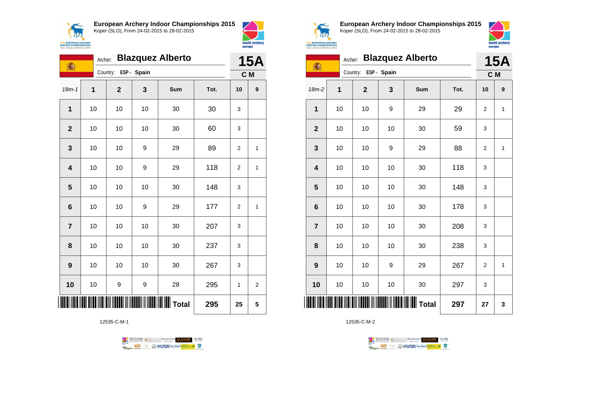



| 16                      | Archer: |              |             | <b>Blazquez Alberto</b>                    |      |                | <b>15A</b>       |
|-------------------------|---------|--------------|-------------|--------------------------------------------|------|----------------|------------------|
|                         |         | Country:     | ESP - Spain |                                            |      | C M            |                  |
| $18m - 1$               | 1       | $\mathbf{2}$ | 3           | Sum                                        | Tot. | 10             | $\boldsymbol{9}$ |
| 1                       | 10      | 10           | 10          | 30                                         | 30   | 3              |                  |
| $\overline{2}$          | 10      | 10           | 10          | 30                                         | 60   | 3              |                  |
| $\mathbf{3}$            | 10      | 10           | 9           | 29                                         | 89   | $\overline{2}$ | 1                |
| $\overline{\mathbf{4}}$ | 10      | 10           | 9           | 29                                         | 118  | $\overline{c}$ | 1                |
| 5                       | 10      | 10           | 10          | 30                                         | 148  | 3              |                  |
| $6\phantom{1}6$         | 10      | 10           | 9           | 29                                         | 177  | 2              | 1                |
| $\overline{7}$          | 10      | 10           | 10          | 30                                         | 207  | 3              |                  |
| 8                       | 10      | 10           | 10          | 30                                         | 237  | 3              |                  |
| 9                       | 10      | 10           | 10          | 30                                         | 267  | 3              |                  |
| 10                      | 10      | 9            | 9           | 28                                         | 295  | 1              | 2                |
|                         |         |              |             | <b>                           </b>   Total | 295  | 25             | 5                |

12535-C-M-1





**European Archery Indoor Championships 2015** Koper (SLO), From 24-02-2015 to 28-02-2015



| <b>UROPEAN ARCHERY</b><br><b>OR CHAMPIONSHIPS</b> |  |  |
|---------------------------------------------------|--|--|
| Slovenia, 24-28 February 2015                     |  |  |

| 高               | Archer: |              |             | <b>Blazquez Alberto</b> |      |                | <b>15A</b>   |
|-----------------|---------|--------------|-------------|-------------------------|------|----------------|--------------|
|                 |         | Country:     | ESP - Spain |                         |      | C M            |              |
| $18m-2$         | 1       | $\mathbf{2}$ | 3           | Sum                     | Tot. | 10             | 9            |
| 1               | 10      | 10           | 9           | 29                      | 29   | $\overline{2}$ | 1            |
| $\mathbf{2}$    | 10      | 10           | 10          | 30                      | 59   | 3              |              |
| 3               | 10      | 10           | 9           | 29                      | 88   | $\overline{2}$ | 1            |
| 4               | 10      | 10           | 10          | 30                      | 118  | 3              |              |
| 5               | 10      | 10           | 10          | 30                      | 148  | 3              |              |
| $6\phantom{1}6$ | 10      | 10           | 10          | 30                      | 178  | 3              |              |
| $\overline{7}$  | 10      | 10           | 10          | 30                      | 208  | 3              |              |
| 8               | 10      | 10           | 10          | 30                      | 238  | 3              |              |
| 9               | 10      | 10           | 9           | 29                      | 267  | $\overline{2}$ | $\mathbf{1}$ |
| 10              | 10      | 10           | 10          | 30                      | 297  | 3              |              |
|                 |         |              |             |                         | 297  | 27             | 3            |

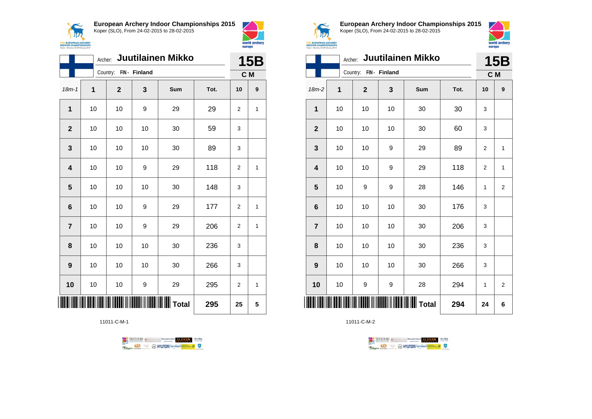



|                         |    |              |               | Archer: Juutilainen Mikko |      | <b>15B</b>     |   |
|-------------------------|----|--------------|---------------|---------------------------|------|----------------|---|
|                         |    | Country:     | FIN - Finland |                           |      | C M            |   |
| $18m - 1$               | 1  | $\mathbf{2}$ | 3             | Sum                       | Tot. | 10             | 9 |
| 1                       | 10 | 10           | 9             | 29                        | 29   | $\overline{2}$ | 1 |
| $\mathbf{2}$            | 10 | 10           | 10            | 30                        | 59   | 3              |   |
| 3                       | 10 | 10           | 10            | 30                        | 89   | 3              |   |
| $\overline{\mathbf{4}}$ | 10 | 10           | 9             | 29                        | 118  | 2              | 1 |
| $\overline{\mathbf{5}}$ | 10 | 10           | 10            | 30                        | 148  | 3              |   |
| $6\phantom{1}6$         | 10 | 10           | 9             | 29                        | 177  | $\overline{2}$ | 1 |
| $\overline{7}$          | 10 | 10           | 9             | 29                        | 206  | $\overline{2}$ | 1 |
| 8                       | 10 | 10           | 10            | 30                        | 236  | 3              |   |
| 9                       | 10 | 10           | 10            | 30                        | 266  | 3              |   |
| 10                      | 10 | 10           | 9             | 29                        | 295  | $\overline{2}$ | 1 |
|                         |    |              |               | $\parallel$ Total         | 295  | 25             | 5 |

11011-C-M-1





**European Archery Indoor Championships 2015** Koper (SLO), From 24-02-2015 to 28-02-2015



| <b>15th EUROPEAN ARCHERY<br/>INDOOR CHAMPIONSHIPS</b><br>Koper - Slovenia, 24-28 February 2015 |    |                        |    |                           |      | europe         | world archery  |  |
|------------------------------------------------------------------------------------------------|----|------------------------|----|---------------------------|------|----------------|----------------|--|
|                                                                                                |    |                        |    | Archer: Juutilainen Mikko |      |                | <b>15B</b>     |  |
|                                                                                                |    | Country: FIN - Finland |    |                           | C M  |                |                |  |
| $18m-2$                                                                                        | 1  | $\overline{2}$         | 3  | Sum                       | Tot. | 10             | 9              |  |
| 1                                                                                              | 10 | 10                     | 10 | 30                        | 30   | 3              |                |  |
| $\overline{2}$                                                                                 | 10 | 10                     | 10 | 30                        | 60   | 3              |                |  |
| 3                                                                                              | 10 | 10                     | 9  | 29                        | 89   | $\overline{2}$ | 1              |  |
| 4                                                                                              | 10 | 10                     | 9  | 29                        | 118  | 2              | 1              |  |
| 5                                                                                              | 10 | 9                      | 9  | 28                        | 146  | 1              | $\overline{2}$ |  |
| 6                                                                                              | 10 | 10                     | 10 | 30                        | 176  | 3              |                |  |
| $\overline{7}$                                                                                 | 10 | 10                     | 10 | 30                        | 206  | 3              |                |  |
| 8                                                                                              | 10 | 10                     | 10 | 30                        | 236  | 3              |                |  |
| 9                                                                                              | 10 | 10                     | 10 | 30                        | 266  | 3              |                |  |
| 10                                                                                             | 10 | 9                      | 9  | 28                        | 294  | 1              | $\overline{2}$ |  |
|                                                                                                |    |                        |    | <b>WWW</b> Total          | 294  | 24             | 6              |  |

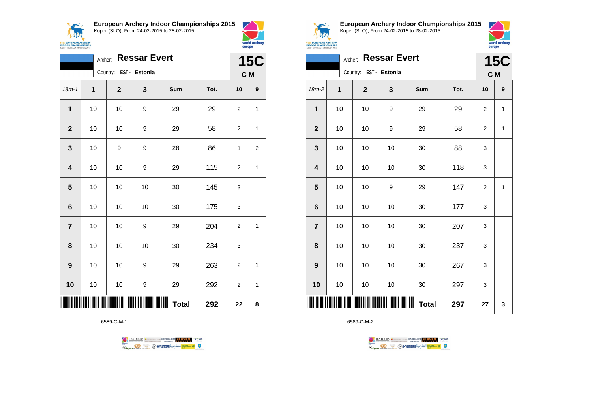**ANA 15th EUROPEAN ARCHERY**<br>INDOOR CHAMPIONSHIPS<br>Koper - Slovenia, 24-28 February 2015 **European Archery Indoor Championships 2015** Koper (SLO), From 24-02-2015 to 28-02-2015



|                         | Archer:     |                        | <b>Ressar Evert</b> |                   |      | <b>15C</b>     |                  |
|-------------------------|-------------|------------------------|---------------------|-------------------|------|----------------|------------------|
|                         |             | Country: EST - Estonia |                     |                   |      | C M            |                  |
| $18m - 1$               | $\mathbf 1$ | $\mathbf{2}$           | 3                   | Sum               | Tot. | 10             | $\boldsymbol{9}$ |
| 1                       | 10          | 10                     | 9                   | 29                | 29   | $\overline{2}$ | 1                |
| $\mathbf{2}$            | 10          | 10                     | 9                   | 29                | 58   | 2              | $\mathbf{1}$     |
| $\mathbf{3}$            | 10          | 9                      | 9                   | 28                | 86   | 1              | 2                |
| $\overline{\mathbf{4}}$ | 10          | 10                     | 9                   | 29                | 115  | $\overline{2}$ | $\mathbf{1}$     |
| 5                       | 10          | 10                     | 10                  | 30                | 145  | 3              |                  |
| $6\phantom{1}6$         | 10          | 10                     | 10                  | 30                | 175  | 3              |                  |
| $\overline{7}$          | 10          | 10                     | 9                   | 29                | 204  | $\overline{2}$ | 1                |
| 8                       | 10          | 10                     | 10                  | 30                | 234  | 3              |                  |
| $\boldsymbol{9}$        | 10          | 10                     | 9                   | 29                | 263  | $\overline{c}$ | 1                |
| 10                      | 10          | 10                     | 9                   | 29                | 292  | 2              | 1                |
|                         |             |                        |                     | Ш<br><b>Total</b> | 292  | 22             | 8                |

6589-C-M-1





**European Archery Indoor Championships 2015** Koper (SLO), From 24-02-2015 to 28-02-2015



| Koper - Slovenia, 24-28 February 2015 |         |              |                     |              |      | europe         |              |
|---------------------------------------|---------|--------------|---------------------|--------------|------|----------------|--------------|
|                                       | Archer: |              | <b>Ressar Evert</b> |              |      |                | <b>15C</b>   |
|                                       |         | Country:     | EST - Estonia       |              |      | C M            |              |
| 18m-2                                 | 1       | $\mathbf{2}$ | 3                   | Sum          | Tot. | 10             | 9            |
| 1                                     | 10      | 10           | 9                   | 29           | 29   | $\overline{c}$ | 1            |
| $\mathbf{2}$                          | 10      | 10           | 9                   | 29           | 58   | $\overline{2}$ | $\mathbf{1}$ |
| 3                                     | 10      | 10           | 10                  | 30           | 88   | 3              |              |
| $\overline{\mathbf{4}}$               | 10      | 10           | 10                  | 30           | 118  | 3              |              |
| 5                                     | 10      | 10           | 9                   | 29           | 147  | $\overline{2}$ | $\mathbf{1}$ |
| $6\phantom{1}6$                       | 10      | 10           | 10                  | 30           | 177  | 3              |              |
| $\overline{7}$                        | 10      | 10           | 10                  | 30           | 207  | 3              |              |
| 8                                     | 10      | 10           | 10                  | 30           | 237  | 3              |              |
| 9                                     | 10      | 10           | 10                  | 30           | 267  | 3              |              |
| 10                                    | 10      | 10           | 10                  | 30           | 297  | 3              |              |
|                                       |         |              |                     | <b>Total</b> | 297  | 27             | 3            |

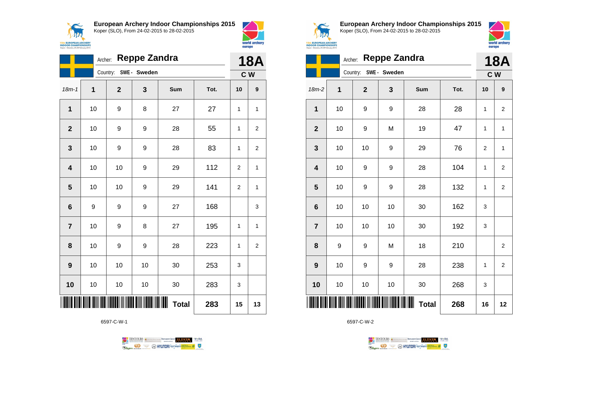



|                | Archer: |                       | <b>Reppe Zandra</b> |                   |      | <b>18A</b>     |                |
|----------------|---------|-----------------------|---------------------|-------------------|------|----------------|----------------|
|                |         | Country: SWE - Sweden |                     |                   |      |                | C W            |
| $18m-1$        | 1       | $\mathbf{2}$          | 3                   | Sum               | Tot. | 10             | 9              |
| 1              | 10      | 9                     | 8                   | 27                | 27   | 1              | 1              |
| $\overline{2}$ | 10      | 9                     | 9                   | 28                | 55   | 1              | $\overline{2}$ |
| 3              | 10      | 9                     | 9                   | 28                | 83   | 1              | 2              |
| 4              | 10      | 10                    | 9                   | 29                | 112  | $\overline{2}$ | 1              |
| 5              | 10      | 10                    | 9                   | 29                | 141  | $\overline{2}$ | 1              |
| 6              | 9       | 9                     | 9                   | 27                | 168  |                | 3              |
| $\overline{7}$ | 10      | 9                     | 8                   | 27                | 195  | 1              | 1              |
| 8              | 10      | 9                     | 9                   | 28                | 223  | 1              | $\overline{2}$ |
| 9              | 10      | 10                    | 10                  | 30                | 253  | 3              |                |
| 10             | 10      | 10                    | 10                  | 30                | 283  | 3              |                |
|                |         |                       |                     | Ш<br><b>Total</b> | 283  | 15             | 13             |

6597-C-W-1





**European Archery Indoor Championships 2015** Koper (SLO), From 24-02-2015 to 28-02-2015



|                         | <b>Reppe Zandra</b><br>Archer: |                |             |                   |      |                |                |  |
|-------------------------|--------------------------------|----------------|-------------|-------------------|------|----------------|----------------|--|
|                         |                                | Country:       | SWE- Sweden |                   |      | C <sub>W</sub> |                |  |
| $18m-2$                 | 1                              | $\overline{2}$ | 3           | Sum               | Tot. | 10             | 9              |  |
| 1                       | 10                             | 9              | 9           | 28                | 28   | 1              | $\overline{2}$ |  |
| $\mathbf{2}$            | 10                             | 9              | M           | 19                | 47   | 1              | 1              |  |
| 3                       | 10                             | 10             | 9           | 29                | 76   | $\overline{2}$ | 1              |  |
| $\overline{\mathbf{4}}$ | 10                             | 9              | 9           | 28                | 104  | 1              | $\overline{2}$ |  |
| 5                       | 10                             | 9              | 9           | 28                | 132  | 1              | $\overline{2}$ |  |
| $\bf 6$                 | 10                             | 10             | 10          | 30                | 162  | 3              |                |  |
| $\overline{7}$          | 10                             | 10             | 10          | 30                | 192  | 3              |                |  |
| 8                       | 9                              | 9              | M           | 18                | 210  |                | $\overline{2}$ |  |
| 9                       | 10                             | 9              | 9           | 28                | 238  | 1              | $\overline{c}$ |  |
| 10                      | 10                             | 10             | 10          | 30                | 268  | 3              |                |  |
|                         |                                |                |             | ┉<br><b>Total</b> | 268  | 16             | 12             |  |

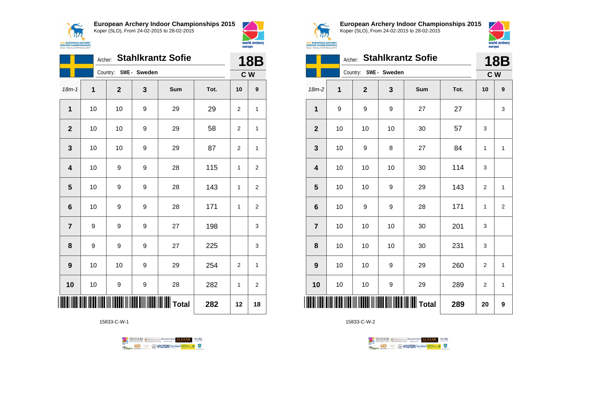



|                         | Archer: |                       |   | <b>Stahlkrantz Sofie</b>                         |      | <b>18B</b>     |                |
|-------------------------|---------|-----------------------|---|--------------------------------------------------|------|----------------|----------------|
|                         |         | Country: SWE - Sweden |   |                                                  |      | C W            |                |
| $18m - 1$               | 1       | $\mathbf{2}$          | 3 | Sum                                              | Tot. | 10             | 9              |
| 1                       | 10      | 10                    | 9 | 29                                               | 29   | $\overline{2}$ | $\mathbf{1}$   |
| $\overline{2}$          | 10      | 10                    | 9 | 29                                               | 58   | 2              | 1              |
| 3                       | 10      | 10                    | 9 | 29                                               | 87   | $\overline{2}$ | $\mathbf{1}$   |
| $\overline{\mathbf{4}}$ | 10      | 9                     | 9 | 28                                               | 115  | 1              | 2              |
| 5                       | 10      | 9                     | 9 | 28                                               | 143  | 1              | $\overline{2}$ |
| $6\phantom{1}6$         | 10      | 9                     | 9 | 28                                               | 171  | 1              | $\overline{2}$ |
| $\overline{7}$          | 9       | 9                     | 9 | 27                                               | 198  |                | 3              |
| 8                       | 9       | 9                     | 9 | 27                                               | 225  |                | 3              |
| $\boldsymbol{9}$        | 10      | 10                    | 9 | 29                                               | 254  | $\overline{2}$ | $\mathbf{1}$   |
| 10                      | 10      | 9                     | 9 | 28                                               | 282  | 1              | 2              |
|                         |         |                       |   | <b>                                   </b> Total | 282  | 12             | 18             |

15833-C-W-1





**European Archery Indoor Championships 2015** Koper (SLO), From 24-02-2015 to 28-02-2015



|                 | Archer: |                       |    | <b>Stahlkrantz Sofie</b>                  |      | <b>18B</b>     |                |
|-----------------|---------|-----------------------|----|-------------------------------------------|------|----------------|----------------|
|                 |         | Country: SWE - Sweden |    |                                           |      |                | C W            |
| $18m-2$         | 1       | $\mathbf{2}$          | 3  | Sum                                       | Tot. | 10             | 9              |
| 1               | 9       | 9                     | 9  | 27                                        | 27   |                | 3              |
| $\mathbf{2}$    | 10      | 10                    | 10 | 30                                        | 57   | 3              |                |
| 3               | 10      | 9                     | 8  | 27                                        | 84   | 1              | $\mathbf{1}$   |
| 4               | 10      | 10                    | 10 | 30                                        | 114  | 3              |                |
| 5               | 10      | 10                    | 9  | 29                                        | 143  | $\overline{2}$ | $\mathbf{1}$   |
| $6\phantom{1}6$ | 10      | 9                     | 9  | 28                                        | 171  | 1              | $\overline{2}$ |
| $\overline{7}$  | 10      | 10                    | 10 | 30                                        | 201  | 3              |                |
| 8               | 10      | 10                    | 10 | 30                                        | 231  | 3              |                |
| 9               | 10      | 10                    | 9  | 29                                        | 260  | $\overline{2}$ | 1              |
| 10              | 10      | 10                    | 9  | 29                                        | 289  | 2              | $\mathbf{1}$   |
| ║║║             |         |                       |    | <b>                            </b> Total | 289  | 20             | 9              |

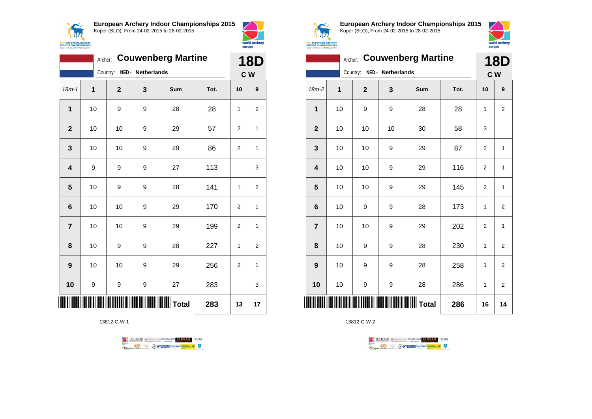



|                | <b>Couwenberg Martine</b><br>Archer: |                            |   |                 |      |                |                |
|----------------|--------------------------------------|----------------------------|---|-----------------|------|----------------|----------------|
|                |                                      | Country: NED - Netherlands |   |                 |      | C W            |                |
| $18m - 1$      | 1                                    | $\overline{2}$             | 3 | Sum             | Tot. | 10             | 9              |
| $\mathbf{1}$   | 10                                   | 9                          | 9 | 28              | 28   | 1              | $\overline{2}$ |
| $\overline{2}$ | 10                                   | 10                         | 9 | 29              | 57   | 2              | 1              |
| 3              | 10                                   | 10                         | 9 | 29              | 86   | 2              | 1              |
| 4              | 9                                    | 9                          | 9 | 27              | 113  |                | 3              |
| 5              | 10                                   | 9                          | 9 | 28              | 141  | 1              | $\overline{2}$ |
| 6              | 10                                   | 10                         | 9 | 29              | 170  | $\overline{2}$ | 1              |
| $\overline{7}$ | 10                                   | 10                         | 9 | 29              | 199  | $\overline{2}$ | $\overline{1}$ |
| 8              | 10                                   | 9                          | 9 | 28              | 227  | 1              | $\overline{2}$ |
| 9              | 10                                   | 10                         | 9 | 29              | 256  | 2              | 1              |
| 10             | 9                                    | 9                          | 9 | 27              | 283  |                | 3              |
|                |                                      |                            |   | <b>II</b> Total | 283  | 13             | 17             |

13812-C-W-1





**European Archery Indoor Championships 2015** Koper (SLO), From 24-02-2015 to 28-02-2015



|                         | <b>Couwenberg Martine</b><br>Archer: |             |                   |     |      |                |                   |  |
|-------------------------|--------------------------------------|-------------|-------------------|-----|------|----------------|-------------------|--|
|                         |                                      | Country:    | NED - Netherlands |     |      |                | <b>18D</b><br>C W |  |
| $18m-2$                 | 1                                    | $\mathbf 2$ | 3                 | Sum | Tot. | 10             | 9                 |  |
| $\mathbf 1$             | 10                                   | 9           | 9                 | 28  | 28   | 1              | $\overline{2}$    |  |
| $\mathbf{2}$            | 10                                   | 10          | 10                | 30  | 58   | 3              |                   |  |
| 3                       | 10                                   | 10          | 9                 | 29  | 87   | $\overline{2}$ | 1                 |  |
| $\overline{\mathbf{4}}$ | 10                                   | 10          | 9                 | 29  | 116  | $\overline{2}$ | 1                 |  |
| 5                       | 10                                   | 10          | 9                 | 29  | 145  | 2              | $\mathbf{1}$      |  |
| $6\phantom{1}6$         | 10                                   | 9           | 9                 | 28  | 173  | 1              | $\overline{2}$    |  |
| $\overline{7}$          | 10                                   | 10          | 9                 | 29  | 202  | $\overline{2}$ | $\mathbf{1}$      |  |
| 8                       | 10                                   | 9           | 9                 | 28  | 230  | 1              | $\overline{2}$    |  |
| 9                       | 10                                   | 9           | 9                 | 28  | 258  | 1              | $\overline{2}$    |  |
| 10                      | 10                                   | 9           | 9                 | 28  | 286  | 1              | 2                 |  |
| ║║                      |                                      |             |                   |     | 286  | 16             | 14                |  |

TENTOURS **(i)** CONSIDER DEVELOPS OF THE VEDA

**Example 2** @ HYUNDAI lansed **State 4** U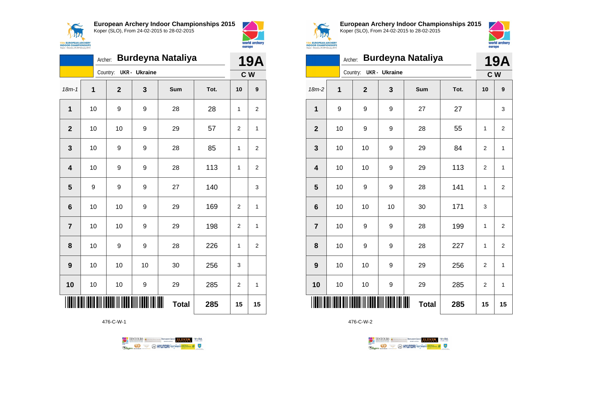



|                | Archer: |                |                      | <b>Burdeyna Nataliya</b> |      | 19A            |                |
|----------------|---------|----------------|----------------------|--------------------------|------|----------------|----------------|
|                |         | Country:       | <b>UKR</b> - Ukraine |                          |      | C W            |                |
| $18m - 1$      | 1       | $\overline{2}$ | 3                    | Sum                      | Tot. | 10             | 9              |
| 1              | 10      | 9              | 9                    | 28                       | 28   | 1              | 2              |
| $\overline{2}$ | 10      | 10             | 9                    | 29                       | 57   | 2              | 1              |
| 3              | 10      | 9              | 9                    | 28                       | 85   | 1              | 2              |
| 4              | 10      | 9              | 9                    | 28                       | 113  | 1              | 2              |
| 5              | 9       | 9              | 9                    | 27                       | 140  |                | 3              |
| 6              | 10      | 10             | 9                    | 29                       | 169  | $\overline{2}$ | 1              |
| $\overline{7}$ | 10      | 10             | 9                    | 29                       | 198  | 2              | 1              |
| 8              | 10      | 9              | 9                    | 28                       | 226  | 1              | $\overline{2}$ |
| 9              | 10      | 10             | 10                   | 30                       | 256  | 3              |                |
| 10             | 10      | 10             | 9                    | 29                       | 285  | $\overline{2}$ | 1              |
|                |         |                |                      | <b>Total</b>             | 285  | 15             | 15             |

476-C-W-1

TENTOURS of BENJAMING COUP ELEVEN VEBA **OD SOUTHERRY SECTION AND STATE Ragma** 



**European Archery Indoor Championships 2015** Koper (SLO), From 24-02-2015 to 28-02-2015



|                         | <b>Burdeyna Nataliya</b><br>Archer: |                |                      |                   |      |                |                |  |
|-------------------------|-------------------------------------|----------------|----------------------|-------------------|------|----------------|----------------|--|
|                         |                                     | Country:       | <b>UKR</b> - Ukraine |                   |      |                | C W            |  |
| $18m-2$                 | 1                                   | $\overline{2}$ | 3                    | Sum               | Tot. | 10             | 9              |  |
| $\mathbf{1}$            | 9                                   | 9              | 9                    | 27                | 27   |                | 3              |  |
| $\mathbf{2}$            | 10                                  | 9              | 9                    | 28                | 55   | 1              | $\overline{2}$ |  |
| $\mathbf{3}$            | 10                                  | 10             | 9                    | 29                | 84   | $\overline{2}$ | 1              |  |
| $\overline{\mathbf{4}}$ | 10                                  | 10             | 9                    | 29                | 113  | $\overline{2}$ | 1              |  |
| 5                       | 10                                  | 9              | 9                    | 28                | 141  | 1              | $\overline{2}$ |  |
| $\bf 6$                 | 10                                  | 10             | 10                   | 30                | 171  | 3              |                |  |
| $\overline{7}$          | 10                                  | 9              | 9                    | 28                | 199  | 1              | $\overline{2}$ |  |
| 8                       | 10                                  | 9              | 9                    | 28                | 227  | 1              | $\overline{2}$ |  |
| 9                       | 10                                  | 10             | 9                    | 29                | 256  | $\overline{2}$ | 1              |  |
| 10                      | 10                                  | 10             | 9                    | 29                | 285  | $\overline{2}$ | 1              |  |
|                         |                                     |                |                      | Ⅲ<br><b>Total</b> | 285  | 15             | 15             |  |

TENTOURS **Q** CONSIDERED BEXTRED CONDUCT **CONSIDERED** VICE DA

**B** MYUNDAI Tonsed **Williams 9** 

476-C-W-2

**Regin**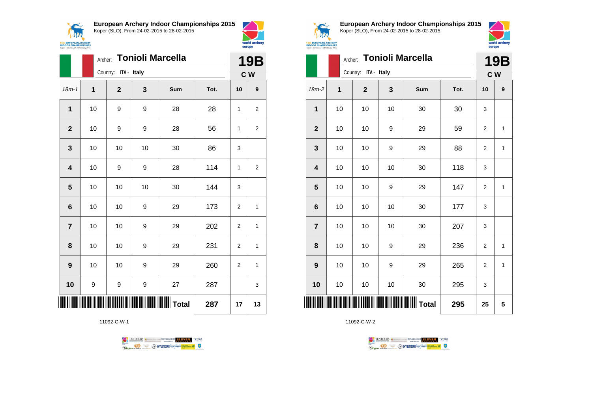



|                         |    |                      |    | Archer: Tonioli Marcella |      |                | <b>19B</b>   |
|-------------------------|----|----------------------|----|--------------------------|------|----------------|--------------|
|                         |    | Country: ITA - Italy |    |                          |      |                | C W          |
| $18m - 1$               | 1  | $\mathbf{2}$         | 3  | Sum                      | Tot. | 10             | 9            |
| $\mathbf 1$             | 10 | 9                    | 9  | 28                       | 28   | 1              | 2            |
| $\mathbf{2}$            | 10 | 9                    | 9  | 28                       | 56   | 1              | 2            |
| $\mathbf{3}$            | 10 | 10                   | 10 | 30                       | 86   | 3              |              |
| $\overline{\mathbf{4}}$ | 10 | 9                    | 9  | 28                       | 114  | 1              | 2            |
| 5                       | 10 | 10                   | 10 | 30                       | 144  | 3              |              |
| $6\phantom{1}6$         | 10 | 10                   | 9  | 29                       | 173  | $\overline{2}$ | $\mathbf{1}$ |
| $\overline{7}$          | 10 | 10                   | 9  | 29                       | 202  | $\mathbf{2}$   | $\mathbf{1}$ |
| 8                       | 10 | 10                   | 9  | 29                       | 231  | 2              | 1            |
| 9                       | 10 | 10                   | 9  | 29                       | 260  | $\overline{2}$ | $\mathbf{1}$ |
| 10                      | 9  | 9                    | 9  | 27                       | 287  |                | 3            |
|                         |    |                      |    |                          | 287  | 17             | 13           |

11092-C-W-1





world archery

europe

**European Archery Indoor Championships 2015** Koper (SLO), From 24-02-2015 to 28-02-2015



|                |    | <b>Tonioli Marcella</b><br>Archer: |    |       |      |                |              |  |  |
|----------------|----|------------------------------------|----|-------|------|----------------|--------------|--|--|
|                |    | Country: ITA - Italy               |    |       |      | C W            |              |  |  |
| $18m-2$        | 1  | $\mathbf{2}$                       | 3  | Sum   | Tot. | 10             | 9            |  |  |
| $\mathbf{1}$   | 10 | 10                                 | 10 | 30    | 30   | 3              |              |  |  |
| $\mathbf{2}$   | 10 | 10                                 | 9  | 29    | 59   | $\overline{2}$ | $\mathbf{1}$ |  |  |
| 3              | 10 | 10                                 | 9  | 29    | 88   | $\overline{2}$ | $\mathbf{1}$ |  |  |
| 4              | 10 | 10                                 | 10 | 30    | 118  | 3              |              |  |  |
| 5              | 10 | 10                                 | 9  | 29    | 147  | $\overline{2}$ | $\mathbf{1}$ |  |  |
| 6              | 10 | 10                                 | 10 | 30    | 177  | 3              |              |  |  |
| $\overline{7}$ | 10 | 10                                 | 10 | 30    | 207  | 3              |              |  |  |
| 8              | 10 | 10                                 | 9  | 29    | 236  | 2              | 1            |  |  |
| 9              | 10 | 10                                 | 9  | 29    | 265  | $\overline{2}$ | $\mathbf{1}$ |  |  |
| 10             | 10 | 10                                 | 10 | 30    | 295  | 3              |              |  |  |
|                |    |                                    |    | Total | 295  | 25             | 5            |  |  |

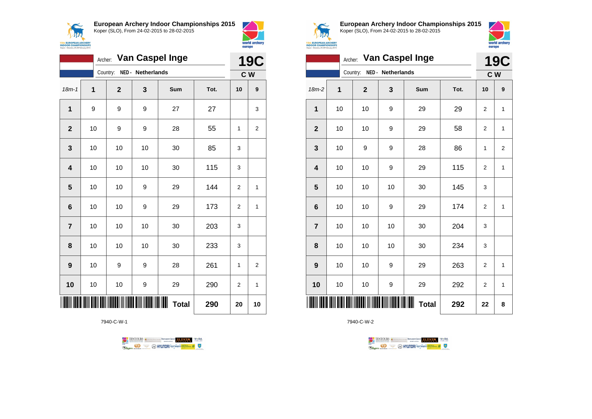



|                         | <b>Van Caspel Inge</b><br>Archer: |                            |    |                        |      |                |                |  |
|-------------------------|-----------------------------------|----------------------------|----|------------------------|------|----------------|----------------|--|
|                         |                                   | Country: NED - Netherlands |    |                        |      | C <sub>W</sub> |                |  |
| $18m - 1$               | 1                                 | $\overline{2}$             | 3  | <b>Sum</b>             | Tot. | 10             | 9              |  |
| 1                       | 9                                 | 9                          | 9  | 27                     | 27   |                | 3              |  |
| $\overline{2}$          | 10                                | 9                          | 9  | 28                     | 55   | 1              | 2              |  |
| 3                       | 10                                | 10                         | 10 | 30                     | 85   | 3              |                |  |
| $\overline{\mathbf{4}}$ | 10                                | 10                         | 10 | 30                     | 115  | 3              |                |  |
| 5                       | 10                                | 10                         | 9  | 29                     | 144  | $\overline{2}$ | 1              |  |
| 6                       | 10                                | 10                         | 9  | 29                     | 173  | $\overline{2}$ | 1              |  |
| $\overline{7}$          | 10                                | 10                         | 10 | 30                     | 203  | 3              |                |  |
| 8                       | 10                                | 10                         | 10 | 30                     | 233  | 3              |                |  |
| 9                       | 10                                | 9                          | 9  | 28                     | 261  | 1              | $\overline{2}$ |  |
| 10                      | 10                                | 10                         | 9  | 29                     | 290  | $\overline{2}$ | 1              |  |
|                         |                                   |                            |    | IIIIII<br><b>Total</b> | 290  | 20             | 10             |  |

7940-C-W-1





**European Archery Indoor Championships 2015** Koper (SLO), From 24-02-2015 to 28-02-2015



|                         |    | <b>19C</b>                    |    |                   |      |                         |                |
|-------------------------|----|-------------------------------|----|-------------------|------|-------------------------|----------------|
|                         |    | NED - Netherlands<br>Country: |    |                   | C W  |                         |                |
| $18m-2$                 | 1  | $\overline{2}$                | 3  | Sum               | Tot. | 10                      | 9              |
| $\mathbf{1}$            | 10 | 10                            | 9  | 29                | 29   | $\overline{2}$          | 1              |
| $\mathbf{2}$            | 10 | 10                            | 9  | 29                | 58   | $\overline{\mathbf{c}}$ | 1              |
| $\mathbf{3}$            | 10 | 9                             | 9  | 28                | 86   | 1                       | $\overline{2}$ |
| $\overline{\mathbf{4}}$ | 10 | 10                            | 9  | 29                | 115  | $\overline{2}$          | 1              |
| 5                       | 10 | 10                            | 10 | 30                | 145  | 3                       |                |
| $\bf 6$                 | 10 | 10                            | 9  | 29                | 174  | $\overline{2}$          | 1              |
| $\overline{7}$          | 10 | 10                            | 10 | 30                | 204  | 3                       |                |
| 8                       | 10 | 10                            | 10 | 30                | 234  | 3                       |                |
| 9                       | 10 | 10                            | 9  | 29                | 263  | $\overline{2}$          | 1              |
| 10                      | 10 | 10                            | 9  | 29                | 292  | $\overline{2}$          | 1              |
| Ш                       |    |                               |    | Ш<br><b>Total</b> | 292  | 22                      | 8              |

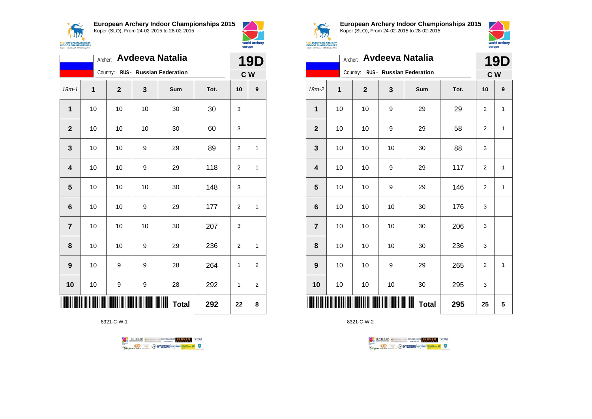



|                | Archer: Avdeeva Natalia |              |                        |                                   |      |                |                  |  |
|----------------|-------------------------|--------------|------------------------|-----------------------------------|------|----------------|------------------|--|
|                |                         |              |                        | Country: RUS - Russian Federation |      |                | C W              |  |
| $18m - 1$      | 1                       | $\mathbf{2}$ | 3                      | Sum                               | Tot. | 10             | $\boldsymbol{9}$ |  |
| 1              | 10                      | 10           | 10                     | 30                                | 30   | 3              |                  |  |
| $\overline{2}$ | $10$                    | 10           | 10                     | 30                                | 60   | 3              |                  |  |
| 3              | 10                      | 10           | 9                      | 29                                | 89   | 2              | 1                |  |
| 4              | 10                      | 10           | 9                      | 29                                | 118  | 2              | $\mathbf{1}$     |  |
| 5              | 10                      | 10           | 10                     | 30                                | 148  | 3              |                  |  |
| 6              | 10                      | 10           | 9                      | 29                                | 177  | 2              | $\mathbf{1}$     |  |
| $\overline{7}$ | 10                      | 10           | 10                     | 30                                | 207  | 3              |                  |  |
| 8              | 10                      | 10           | 9                      | 29                                | 236  | $\overline{2}$ | $\mathbf{1}$     |  |
| 9              | 10                      | 9            | 9                      | 28                                | 264  | 1              | 2                |  |
| 10             | 10                      | 9            | 9                      | 28                                | 292  | 1              | $\overline{2}$   |  |
|                |                         |              | <b>TITUNINININININ</b> | <b>Total</b>                      | 292  | 22             | 8                |  |

8321-C-W-1





**European Archery Indoor Championships 2015** Koper (SLO), From 24-02-2015 to 28-02-2015



|                         | Archer: Avdeeva Natalia |  |             |    |                                   |      | <b>19D</b>     |              |
|-------------------------|-------------------------|--|-------------|----|-----------------------------------|------|----------------|--------------|
|                         |                         |  |             |    | Country: RUS - Russian Federation |      | C W            |              |
| $18m-2$                 | 1                       |  | $\mathbf 2$ | 3  | Sum                               | Tot. | 10             | 9            |
| 1                       | 10                      |  | 10          | 9  | 29                                | 29   | $\overline{2}$ | 1            |
| $\mathbf{2}$            | 10                      |  | 10          | 9  | 29                                | 58   | 2              | 1            |
| $\mathbf{3}$            | 10                      |  | 10          | 10 | 30                                | 88   | 3              |              |
| $\overline{\mathbf{4}}$ | 10                      |  | 10          | 9  | 29                                | 117  | $\overline{2}$ | $\mathbf{1}$ |
| 5                       | 10                      |  | 10          | 9  | 29                                | 146  | $\overline{2}$ | 1            |
| $\boldsymbol{6}$        | 10                      |  | 10          | 10 | 30                                | 176  | 3              |              |
| $\overline{7}$          | 10                      |  | 10          | 10 | 30                                | 206  | 3              |              |
| 8                       | 10                      |  | 10          | 10 | 30                                | 236  | 3              |              |
| 9                       | 10                      |  | 10          | 9  | 29                                | 265  | $\overline{2}$ | 1            |
| 10                      | 10                      |  | 10          | 10 | 30                                | 295  | 3              |              |
|                         |                         |  |             |    | ┉<br><b>Total</b>                 | 295  | 25             | 5            |

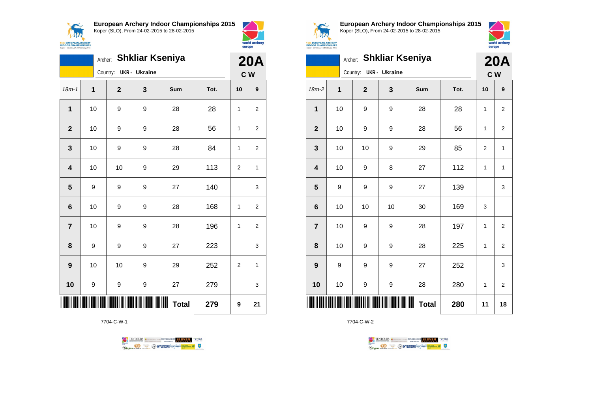



world archery

|                | <b>Shkliar Kseniya</b><br>Archer: |              |               |                        |      |                | <b>20A</b>     |  |
|----------------|-----------------------------------|--------------|---------------|------------------------|------|----------------|----------------|--|
|                |                                   | Country:     | UKR - Ukraine |                        |      |                | C <sub>W</sub> |  |
| $18m - 1$      | 1                                 | $\mathbf{2}$ | 3             | Sum                    | Tot. | 10             | 9              |  |
| 1              | 10                                | 9            | 9             | 28                     | 28   | 1              | $\overline{2}$ |  |
| $\overline{2}$ | 10                                | 9            | 9             | 28                     | 56   | 1              | 2              |  |
| 3              | 10                                | 9            | 9             | 28                     | 84   | 1              | 2              |  |
| 4              | 10                                | 10           | 9             | 29                     | 113  | $\overline{2}$ | 1              |  |
| 5              | 9                                 | 9            | 9             | 27                     | 140  |                | 3              |  |
| 6              | 10                                | 9            | 9             | 28                     | 168  | 1              | 2              |  |
| $\overline{7}$ | 10                                | 9            | 9             | 28                     | 196  | 1              | 2              |  |
| 8              | 9                                 | 9            | 9             | 27                     | 223  |                | 3              |  |
| 9              | 10                                | 10           | 9             | 29                     | 252  | $\overline{2}$ | $\mathbf{1}$   |  |
| 10             | 9                                 | 9            | 9             | 27                     | 279  |                | 3              |  |
|                |                                   |              |               | IIIIII<br><b>Total</b> | 279  | 9              | 21             |  |

7704-C-W-1





**European Archery Indoor Championships 2015** Koper (SLO), From 24-02-2015 to 28-02-2015



| <b>Shkliar Kseniya</b><br>Archer: |                           |                |                  |              |      |                | <b>20A</b>              |  |
|-----------------------------------|---------------------------|----------------|------------------|--------------|------|----------------|-------------------------|--|
|                                   | UKR - Ukraine<br>Country: |                |                  |              |      |                | C W                     |  |
| 18m-2                             | $\mathbf 1$               | $\overline{2}$ | 3                | Sum          | Tot. | 10             | 9                       |  |
| 1                                 | 10                        | 9              | 9                | 28           | 28   | 1              | $\overline{2}$          |  |
| $\overline{\mathbf{2}}$           | 10                        | 9              | 9                | 28           | 56   | 1              | $\overline{2}$          |  |
| 3                                 | 10                        | 10             | 9                | 29           | 85   | $\overline{2}$ | 1                       |  |
| $\overline{\mathbf{4}}$           | 10                        | 9              | 8                | 27           | 112  | 1              | 1                       |  |
| 5                                 | 9                         | 9              | 9                | 27           | 139  |                | 3                       |  |
| $6\phantom{1}6$                   | 10                        | 10             | 10               | 30           | 169  | 3              |                         |  |
| $\overline{7}$                    | 10                        | 9              | 9                | 28           | 197  | 1              | $\overline{\mathbf{c}}$ |  |
| 8                                 | 10                        | 9              | 9                | 28           | 225  | 1              | $\overline{2}$          |  |
| 9                                 | 9                         | 9              | 9                | 27           | 252  |                | 3                       |  |
| 10                                | 10                        | 9              | 9                | 28           | 280  | 1              | $\overline{2}$          |  |
| ║║║                               |                           |                | <u> HIII III</u> | <b>Total</b> | 280  | 11             | 18                      |  |

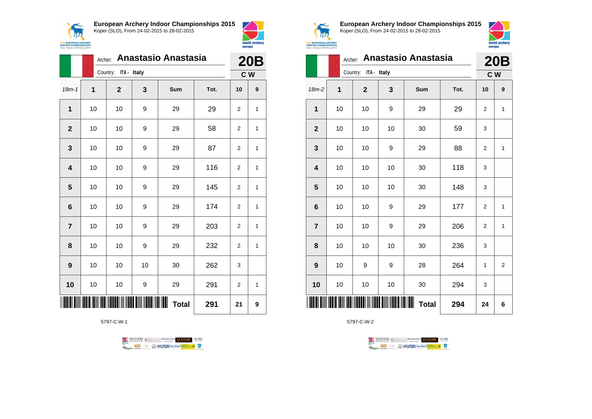



|                |    | Archer: Anastasio Anastasia |    |                        |      |                |   |  |  |
|----------------|----|-----------------------------|----|------------------------|------|----------------|---|--|--|
|                |    | Country: ITA - Italy        |    |                        |      |                |   |  |  |
| $18m - 1$      | 1  | $\mathbf{2}$                | 3  | Sum                    | Tot. | 10             | 9 |  |  |
| 1              | 10 | 10                          | 9  | 29                     | 29   | $\overline{2}$ | 1 |  |  |
| $\mathbf{2}$   | 10 | 10                          | 9  | 29                     | 58   | $\overline{2}$ | 1 |  |  |
| 3              | 10 | 10                          | 9  | 29                     | 87   | 2              | 1 |  |  |
| 4              | 10 | 10                          | 9  | 29                     | 116  | 2              | 1 |  |  |
| 5              | 10 | 10                          | 9  | 29                     | 145  | $\overline{2}$ | 1 |  |  |
| 6              | 10 | 10                          | 9  | 29                     | 174  | 2              | 1 |  |  |
| $\overline{7}$ | 10 | 10                          | 9  | 29                     | 203  | $\overline{2}$ | 1 |  |  |
| 8              | 10 | 10                          | 9  | 29                     | 232  | $\overline{2}$ | 1 |  |  |
| 9              | 10 | 10                          | 10 | 30                     | 262  | 3              |   |  |  |
| 10             | 10 | 10                          | 9  | 29                     | 291  | 2              | 1 |  |  |
|                |    |                             |    | IIIIII<br><b>Total</b> | 291  | 21             | 9 |  |  |

5797-C-W-1





**European Archery Indoor Championships 2015** Koper (SLO), From 24-02-2015 to 28-02-2015



|                         | Archer: | <b>20B</b>           |    |                   |      |                |                |
|-------------------------|---------|----------------------|----|-------------------|------|----------------|----------------|
|                         |         | Country: ITA - Italy |    |                   |      | C W            |                |
| $18m-2$                 | 1       | $\overline{2}$       | 3  | Sum               | Tot. | 10             | 9              |
| 1                       | 10      | 10                   | 9  | 29                | 29   | 2              | $\mathbf{1}$   |
| $\mathbf{2}$            | 10      | 10                   | 10 | 30                | 59   | 3              |                |
| 3                       | 10      | 10                   | 9  | 29                | 88   | $\overline{2}$ | $\mathbf{1}$   |
| $\overline{\mathbf{4}}$ | 10      | 10                   | 10 | 30                | 118  | 3              |                |
| 5                       | 10      | 10                   | 10 | 30                | 148  | 3              |                |
| $\bf 6$                 | 10      | 10                   | 9  | 29                | 177  | 2              | 1              |
| $\overline{7}$          | 10      | 10                   | 9  | 29                | 206  | $\overline{2}$ | $\mathbf{1}$   |
| 8                       | 10      | 10                   | 10 | 30                | 236  | 3              |                |
| 9                       | 10      | 9                    | 9  | 28                | 264  | 1              | $\overline{2}$ |
| 10                      | 10      | 10                   | 10 | 30                | 294  | 3              |                |
| Ш                       |         |                      |    | Ш<br><b>Total</b> | 294  | 24             | 6              |

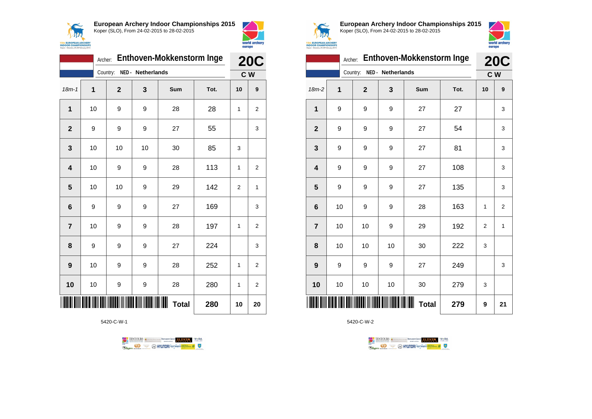



|                | <b>20C</b>                    |                |    |                   |      |                |                  |
|----------------|-------------------------------|----------------|----|-------------------|------|----------------|------------------|
|                | NED - Netherlands<br>Country: |                |    |                   |      | C W            |                  |
| $18m - 1$      | 1                             | $\overline{2}$ | 3  | Sum               | Tot. | 10             | $\boldsymbol{9}$ |
| 1              | 10                            | 9              | 9  | 28                | 28   | 1              | 2                |
| $\overline{2}$ | 9                             | 9              | 9  | 27                | 55   |                | 3                |
| 3              | 10                            | 10             | 10 | 30                | 85   | 3              |                  |
| 4              | 10                            | 9              | 9  | 28                | 113  | 1              | $\overline{2}$   |
| 5              | 10                            | 10             | 9  | 29                | 142  | $\overline{2}$ | 1                |
| 6              | 9                             | 9              | 9  | 27                | 169  |                | 3                |
| $\overline{7}$ | 10                            | 9              | 9  | 28                | 197  | 1              | 2                |
| 8              | 9                             | 9              | 9  | 27                | 224  |                | 3                |
| 9              | 10                            | 9              | 9  | 28                | 252  | 1              | 2                |
| 10             | 10                            | 9              | 9  | 28                | 280  | 1              | 2                |
|                |                               |                |    | Ш<br><b>Total</b> | 280  | 10             | 20               |

5420-C-W-1





**European Archery Indoor Championships 2015** Koper (SLO), From 24-02-2015 to 28-02-2015



|                         | Archer: |                |                   | Enthoven-Mokkenstorm Inge |      |                | <b>20C</b>     |
|-------------------------|---------|----------------|-------------------|---------------------------|------|----------------|----------------|
|                         |         | Country:       | NED - Netherlands |                           |      | C <sub>W</sub> |                |
| $18m-2$                 | 1       | $\overline{2}$ | 3                 | Sum                       | Tot. | 10             | 9              |
| 1                       | 9       | 9              | 9                 | 27                        | 27   |                | 3              |
| $\overline{\mathbf{2}}$ | 9       | 9              | 9                 | 27                        | 54   |                | 3              |
| $\mathbf 3$             | 9       | 9              | 9                 | 27                        | 81   |                | 3              |
| $\overline{\mathbf{4}}$ | 9       | 9              | 9                 | 27                        | 108  |                | 3              |
| 5                       | 9       | 9              | 9                 | 27                        | 135  |                | 3              |
| $6\phantom{1}6$         | 10      | 9              | 9                 | 28                        | 163  | 1              | $\overline{2}$ |
| $\overline{7}$          | 10      | 10             | 9                 | 29                        | 192  | $\overline{2}$ | $\mathbf{1}$   |
| 8                       | 10      | 10             | 10                | 30                        | 222  | 3              |                |
| $\boldsymbol{9}$        | 9       | 9              | 9                 | 27                        | 249  |                | 3              |
| 10                      | 10      | 10             | 10                | 30                        | 279  | 3              |                |
| IIIII                   |         |                |                   | ∭∭<br><b>Total</b>        | 279  | 9              | 21             |

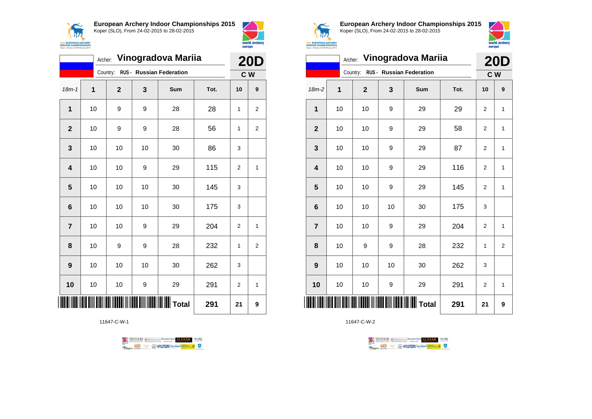



|                | Vinogradova Mariia<br>Archer:     |                                             |    |                           |      |                |                |
|----------------|-----------------------------------|---------------------------------------------|----|---------------------------|------|----------------|----------------|
|                | Country: RUS - Russian Federation |                                             |    |                           |      |                |                |
| $18m - 1$      | 1                                 | $\overline{2}$                              | 3  | Sum                       | Tot. | 10             | 9              |
| 1              | 10                                | 9                                           | 9  | 28                        | 28   | 1              | $\overline{2}$ |
| $\overline{2}$ | 10                                | 9                                           | 9  | 28                        | 56   | 1              | $\overline{2}$ |
| 3              | 10                                | 10                                          | 10 | 30                        | 86   | 3              |                |
| 4              | 10                                | 10                                          | 9  | 29                        | 115  | $\overline{2}$ | 1              |
| 5              | 10                                | 10                                          | 10 | 30                        | 145  | 3              |                |
| 6              | 10                                | 10                                          | 10 | 30                        | 175  | 3              |                |
| $\overline{7}$ | 10                                | 10                                          | 9  | 29                        | 204  | $\overline{2}$ | 1              |
| 8              | 10                                | 9                                           | 9  | 28                        | 232  | 1              | 2              |
| 9              | 10                                | 10                                          | 10 | 30                        | 262  | 3              |                |
| 10             | 10                                | 10                                          | 9  | 29                        | 291  | $\overline{2}$ | 1              |
|                |                                   | <u>                                    </u> |    | <b>            T</b> otal | 291  | 21             | 9              |

11647-C-W-1





**European Archery Indoor Championships 2015** Koper (SLO), From 24-02-2015 to 28-02-2015



|                         |    |                                   |    | Archer: Vinogradova Mariia |      |                | <b>20D</b>     |
|-------------------------|----|-----------------------------------|----|----------------------------|------|----------------|----------------|
|                         |    | Country: RUS - Russian Federation |    |                            |      |                | C W            |
| 18m-2                   | 1  | $\mathbf{2}$                      | 3  | Sum                        | Tot. | 10             | 9              |
| 1                       | 10 | 10                                | 9  | 29                         | 29   | $\overline{2}$ | $\mathbf{1}$   |
| $\overline{2}$          | 10 | 10                                | 9  | 29                         | 58   | $\overline{2}$ | $\mathbf{1}$   |
| 3                       | 10 | 10                                | 9  | 29                         | 87   | $\overline{2}$ | $\mathbf{1}$   |
| $\overline{\mathbf{4}}$ | 10 | 10                                | 9  | 29                         | 116  | $\overline{2}$ | $\mathbf{1}$   |
| 5                       | 10 | 10                                | 9  | 29                         | 145  | $\overline{2}$ | $\mathbf{1}$   |
| $6\phantom{1}6$         | 10 | 10                                | 10 | 30                         | 175  | 3              |                |
| $\overline{7}$          | 10 | 10                                | 9  | 29                         | 204  | $\overline{2}$ | $\mathbf{1}$   |
| 8                       | 10 | 9                                 | 9  | 28                         | 232  | 1              | $\overline{2}$ |
| 9                       | 10 | 10                                | 10 | 30                         | 262  | 3              |                |
| 10                      | 10 | 10                                | 9  | 29                         | 291  | $\overline{2}$ | $\mathbf{1}$   |
|                         |    |                                   |    |                            | 291  | 21             | 9              |

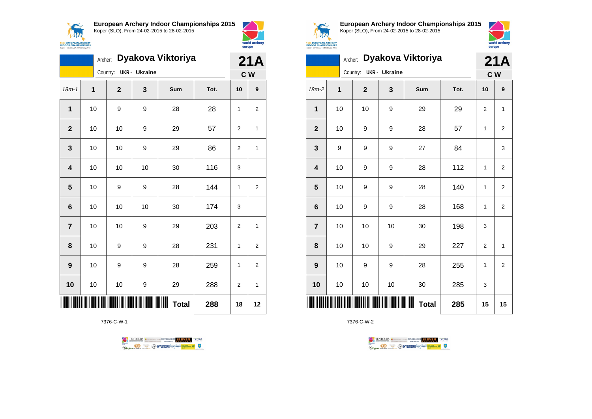

**European Archery Indoor Championships 2015**

Koper (SLO), From 24-02-2015 to 28-02-2015



|                         | Dyakova Viktoriya<br>Archer: |                |                      |                   |      |                |                  |
|-------------------------|------------------------------|----------------|----------------------|-------------------|------|----------------|------------------|
|                         |                              | Country:       | <b>UKR</b> - Ukraine |                   |      | C W            |                  |
| $18m - 1$               | $\overline{1}$               | $\overline{2}$ | 3                    | Sum               | Tot. | 10             | $\boldsymbol{9}$ |
| $\mathbf 1$             | 10                           | 9              | 9                    | 28                | 28   | 1              | $\overline{2}$   |
| $\overline{2}$          | 10                           | 10             | 9                    | 29                | 57   | $\overline{2}$ | 1                |
| 3                       | 10                           | 10             | 9                    | 29                | 86   | $\overline{2}$ | 1                |
| $\overline{\mathbf{4}}$ | 10                           | 10             | 10                   | 30                | 116  | 3              |                  |
| 5                       | 10                           | 9              | 9                    | 28                | 144  | 1              | $\overline{2}$   |
| 6                       | 10                           | 10             | 10                   | 30                | 174  | 3              |                  |
| $\overline{7}$          | 10                           | 10             | 9                    | 29                | 203  | $\overline{2}$ | 1                |
| 8                       | 10                           | 9              | 9                    | 28                | 231  | 1              | 2                |
| 9                       | 10                           | 9              | 9                    | 28                | 259  | 1              | $\overline{c}$   |
| 10                      | 10                           | 10             | 9                    | 29                | 288  | $\overline{2}$ | 1                |
|                         |                              |                |                      | Ш<br><b>Total</b> | 288  | 18             | 12               |

7376-C-W-1





**European Archery Indoor Championships 2015** Koper (SLO), From 24-02-2015 to 28-02-2015



|                         | Dyakova Viktoriya<br>Archer: |                                  |    |              |      |                         |                  |
|-------------------------|------------------------------|----------------------------------|----|--------------|------|-------------------------|------------------|
|                         |                              | <b>UKR</b> - Ukraine<br>Country: |    |              |      | C W                     |                  |
| $18m-2$                 | 1                            | $\overline{2}$                   | 3  | Sum          | Tot. | 10                      | $\boldsymbol{9}$ |
| 1                       | 10                           | 10                               | 9  | 29           | 29   | $\overline{2}$          | 1                |
| $\mathbf{2}$            | 10                           | 9                                | 9  | 28           | 57   | 1                       | $\mathbf 2$      |
| $\mathbf 3$             | 9                            | 9                                | 9  | 27           | 84   |                         | 3                |
| $\overline{\mathbf{4}}$ | 10                           | 9                                | 9  | 28           | 112  | 1                       | $\overline{2}$   |
| $\overline{\mathbf{5}}$ | 10                           | 9                                | 9  | 28           | 140  | 1                       | $\overline{2}$   |
| $\bf 6$                 | 10                           | 9                                | 9  | 28           | 168  | 1                       | $\overline{2}$   |
| $\overline{7}$          | 10                           | 10                               | 10 | 30           | 198  | 3                       |                  |
| 8                       | 10                           | 10                               | 9  | 29           | 227  | $\overline{\mathbf{c}}$ | 1                |
| 9                       | 10                           | 9                                | 9  | 28           | 255  | 1                       | $\overline{2}$   |
| 10                      | 10                           | 10                               | 10 | 30           | 285  | 3                       |                  |
|                         |                              |                                  |    | <b>Total</b> | 285  | 15                      | 15               |

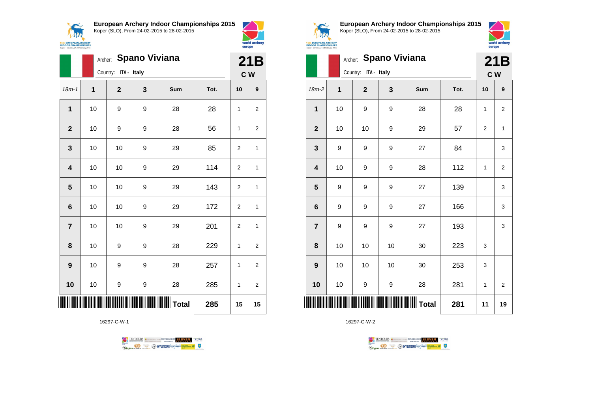

**European Archery Indoor Championships 2015**



|                         |    | Archer: Spano Viviana |   |                                               |      |                |                |  |  |  |
|-------------------------|----|-----------------------|---|-----------------------------------------------|------|----------------|----------------|--|--|--|
|                         |    | Country: ITA - Italy  |   |                                               |      |                | 21B<br>C W     |  |  |  |
| $18m - 1$               | 1  | $\overline{2}$        | 3 | Sum                                           | Tot. | 10             | 9              |  |  |  |
| 1                       | 10 | 9                     | 9 | 28                                            | 28   | 1              | $\overline{2}$ |  |  |  |
| $\overline{\mathbf{2}}$ | 10 | 9                     | 9 | 28                                            | 56   | 1              | 2              |  |  |  |
| 3                       | 10 | 10                    | 9 | 29                                            | 85   | $\overline{2}$ | 1              |  |  |  |
| $\overline{\mathbf{4}}$ | 10 | 10                    | 9 | 29                                            | 114  | $\overline{2}$ | 1              |  |  |  |
| 5                       | 10 | 10                    | 9 | 29                                            | 143  | $\overline{2}$ | 1              |  |  |  |
| $6\phantom{1}6$         | 10 | 10                    | 9 | 29                                            | 172  | $\overline{2}$ | $\mathbf{1}$   |  |  |  |
| $\overline{7}$          | 10 | 10                    | 9 | 29                                            | 201  | $\overline{2}$ | 1              |  |  |  |
| 8                       | 10 | 9                     | 9 | 28                                            | 229  | 1              | 2              |  |  |  |
| 9                       | 10 | 9                     | 9 | 28                                            | 257  | 1              | 2              |  |  |  |
| 10                      | 10 | 9                     | 9 | 28                                            | 285  | 1              | $\overline{2}$ |  |  |  |
| IIII                    |    |                       |   | <b>                                </b> Total | 285  | 15             | 15             |  |  |  |

16297-C-W-1





world archery<br>europe

**European Archery Indoor Championships 2015** Koper (SLO), From 24-02-2015 to 28-02-2015



| Koper - Slovenia, 24-28 February 2015 |         |                      |                      |                           |      | europe         |                |
|---------------------------------------|---------|----------------------|----------------------|---------------------------|------|----------------|----------------|
|                                       | Archer: |                      | <b>Spano Viviana</b> |                           |      | 21B            |                |
|                                       |         | Country: ITA - Italy |                      |                           |      |                | C W            |
| 18m-2                                 | 1       | $\overline{2}$       | 3                    | Sum                       | Tot. | 10             | 9              |
| 1                                     | 10      | 9                    | 9                    | 28                        | 28   | 1              | $\overline{2}$ |
| $\mathbf{2}$                          | 10      | 10                   | 9                    | 29                        | 57   | $\overline{2}$ | 1              |
| 3                                     | 9       | 9                    | 9                    | 27                        | 84   |                | 3              |
| 4                                     | 10      | 9                    | 9                    | 28                        | 112  | 1              | $\overline{2}$ |
| 5                                     | 9       | 9                    | 9                    | 27                        | 139  |                | 3              |
| 6                                     | 9       | 9                    | 9                    | 27                        | 166  |                | 3              |
| $\overline{\mathbf{r}}$               | 9       | 9                    | 9                    | 27                        | 193  |                | 3              |
| 8                                     | 10      | 10                   | 10                   | 30                        | 223  | 3              |                |
| 9                                     | 10      | 10                   | 10                   | 30                        | 253  | 3              |                |
| 10                                    | 10      | 9                    | 9                    | 28                        | 281  | $\mathbf{1}$   | $\overline{2}$ |
| ║║║                                   |         |                      |                      | <b>            </b> Total | 281  | 11             | 19             |

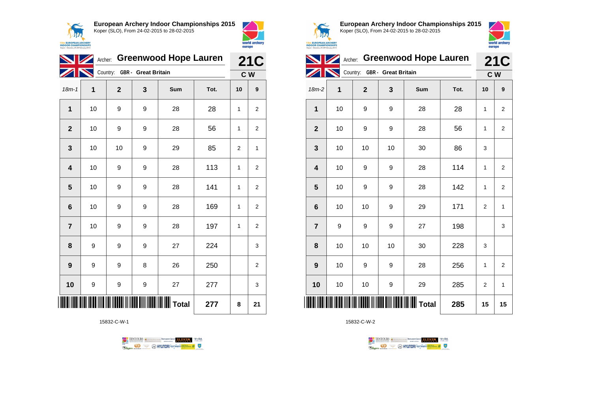



|                         |    | Archer: Greenwood Hope Lauren | <b>21C</b> |          |      |                |                |
|-------------------------|----|-------------------------------|------------|----------|------|----------------|----------------|
|                         |    | Country: GBR - Great Britain  |            |          |      | C W            |                |
| $18m-1$                 | 1  | $\mathbf{2}$                  | 3          | Sum      | Tot. | 10             | 9              |
| 1                       | 10 | 9                             | 9          | 28       | 28   | 1              | $\overline{2}$ |
| $\overline{\mathbf{2}}$ | 10 | 9                             | 9          | 28       | 56   | 1              | 2              |
| 3                       | 10 | 10                            | 9          | 29       | 85   | $\overline{2}$ | 1              |
| 4                       | 10 | 9                             | 9          | 28       | 113  | 1              | $\overline{2}$ |
| 5                       | 10 | 9                             | 9          | 28       | 141  | 1              | $\overline{2}$ |
| 6                       | 10 | 9                             | 9          | 28       | 169  | 1              | $\overline{2}$ |
| $\overline{7}$          | 10 | 9                             | 9          | 28       | 197  | 1              | $\overline{2}$ |
| 8                       | 9  | 9                             | 9          | 27       | 224  |                | 3              |
| 9                       | 9  | 9                             | 8          | 26       | 250  |                | 2              |
| 10                      | 9  | 9                             | 9          | 27       | 277  |                | 3              |
|                         |    |                               |            | ∭∭ Total | 277  | 8              | 21             |

15832-C-W-1





**European Archery Indoor Championships 2015** Koper (SLO), From 24-02-2015 to 28-02-2015



| <b>Greenwood Hope Lauren</b><br>Archer:<br><b>21C</b><br>Country:<br><b>GBR</b> - Great Britain<br>C W<br>1<br>$18m-2$<br>$\overline{2}$<br>3<br><b>Sum</b><br>Tot.<br>10<br>9<br>1<br>10<br>9<br>9<br>28<br>28<br>1<br>$\overline{2}$<br>$\overline{2}$<br>56<br>10<br>9<br>28<br>9<br>1<br>2<br>3<br>10<br>10<br>86<br>10<br>30<br>3<br>114<br>4<br>10<br>9<br>9<br>28<br>$\overline{2}$<br>1<br>142<br>5<br>10<br>28<br>9<br>9<br>1<br>2<br>10<br>171<br>6<br>10<br>9<br>29<br>$\overline{2}$<br>$\mathbf{1}$<br>$\overline{7}$<br>9<br>27<br>198<br>9<br>9<br>3<br>10<br>10<br>10<br>30<br>228<br>8<br>3<br>256<br>9<br>10<br>9<br>9<br>28<br>1<br>$\overline{2}$<br>10<br>10<br>10<br>9<br>29<br>285<br>2<br>1<br><b>III III T</b> otal<br>285<br>15<br>15 | <b>INDOOR CHAMPIONSHIPS</b><br>Koper - Slovenia, 24-28 February 2015 |  |  | europe | world archery |
|-----------------------------------------------------------------------------------------------------------------------------------------------------------------------------------------------------------------------------------------------------------------------------------------------------------------------------------------------------------------------------------------------------------------------------------------------------------------------------------------------------------------------------------------------------------------------------------------------------------------------------------------------------------------------------------------------------------------------------------------------------------------|----------------------------------------------------------------------|--|--|--------|---------------|
|                                                                                                                                                                                                                                                                                                                                                                                                                                                                                                                                                                                                                                                                                                                                                                 |                                                                      |  |  |        |               |
|                                                                                                                                                                                                                                                                                                                                                                                                                                                                                                                                                                                                                                                                                                                                                                 |                                                                      |  |  |        |               |
|                                                                                                                                                                                                                                                                                                                                                                                                                                                                                                                                                                                                                                                                                                                                                                 |                                                                      |  |  |        |               |
|                                                                                                                                                                                                                                                                                                                                                                                                                                                                                                                                                                                                                                                                                                                                                                 |                                                                      |  |  |        |               |
|                                                                                                                                                                                                                                                                                                                                                                                                                                                                                                                                                                                                                                                                                                                                                                 |                                                                      |  |  |        |               |
|                                                                                                                                                                                                                                                                                                                                                                                                                                                                                                                                                                                                                                                                                                                                                                 |                                                                      |  |  |        |               |
|                                                                                                                                                                                                                                                                                                                                                                                                                                                                                                                                                                                                                                                                                                                                                                 |                                                                      |  |  |        |               |
|                                                                                                                                                                                                                                                                                                                                                                                                                                                                                                                                                                                                                                                                                                                                                                 |                                                                      |  |  |        |               |
|                                                                                                                                                                                                                                                                                                                                                                                                                                                                                                                                                                                                                                                                                                                                                                 |                                                                      |  |  |        |               |
|                                                                                                                                                                                                                                                                                                                                                                                                                                                                                                                                                                                                                                                                                                                                                                 |                                                                      |  |  |        |               |
|                                                                                                                                                                                                                                                                                                                                                                                                                                                                                                                                                                                                                                                                                                                                                                 |                                                                      |  |  |        |               |
|                                                                                                                                                                                                                                                                                                                                                                                                                                                                                                                                                                                                                                                                                                                                                                 |                                                                      |  |  |        |               |
|                                                                                                                                                                                                                                                                                                                                                                                                                                                                                                                                                                                                                                                                                                                                                                 |                                                                      |  |  |        |               |
|                                                                                                                                                                                                                                                                                                                                                                                                                                                                                                                                                                                                                                                                                                                                                                 |                                                                      |  |  |        |               |

TENTOURS **(i)** ARANGUS GOUP **ELEVEN** WELL

**B** MYUNDAI Tonsed **Williams 9** 

15832-C-W-2

Rogen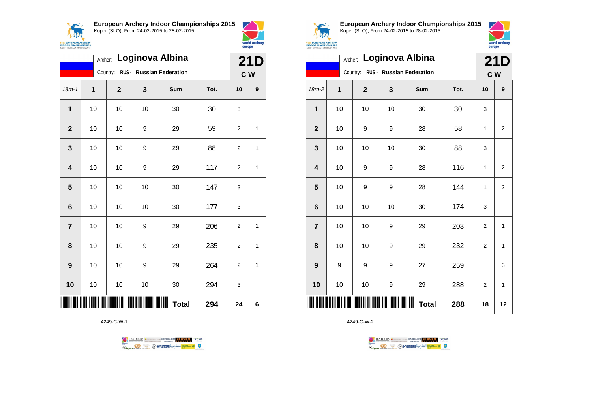



|                  |                           | Archer:      |    | Loginova Albina                   |      | 21D            |              |  |  |
|------------------|---------------------------|--------------|----|-----------------------------------|------|----------------|--------------|--|--|
|                  |                           |              |    | Country: RUS - Russian Federation |      | C W            |              |  |  |
| $18m - 1$        | 1                         | $\mathbf{2}$ | 3  | Sum                               | Tot. | 10             | 9            |  |  |
| 1                | 10                        | 10           | 10 | 30                                | 30   | 3              |              |  |  |
| $\overline{2}$   | 10                        | 10           | 9  | 29                                | 59   | $\overline{2}$ | 1            |  |  |
| 3                | 10                        | 10           | 9  | 29                                | 88   | 2              | 1            |  |  |
| 4                | 10                        | 10           | 9  | 29                                | 117  | $\overline{2}$ | $\mathbf{1}$ |  |  |
| 5                | 10                        | 10           | 10 | 30                                | 147  | 3              |              |  |  |
| 6                | 10                        | 10           | 10 | 30                                | 177  | 3              |              |  |  |
| $\overline{7}$   | 10                        | 10           | 9  | 29                                | 206  | $\overline{2}$ | 1            |  |  |
| 8                | 10                        | 10           | 9  | 29                                | 235  | 2              | 1            |  |  |
| $\boldsymbol{9}$ | 10                        | 10           | 9  | 29                                | 264  | $\overline{2}$ | 1            |  |  |
| 10               | 10                        | 10           | 10 | 30                                | 294  | 3              |              |  |  |
|                  | ∭∭<br><b>Total</b><br>294 |              |    |                                   |      |                |              |  |  |

4249-C-W-1





**European Archery Indoor Championships 2015** Koper (SLO), From 24-02-2015 to 28-02-2015



|                         | Loginova Albina<br>Archer: |              |    |                          |      |                |                |  |  |
|-------------------------|----------------------------|--------------|----|--------------------------|------|----------------|----------------|--|--|
|                         |                            | Country:     |    | RUS - Russian Federation |      | c <sub>w</sub> |                |  |  |
| 18m-2                   | 1                          | $\mathbf{2}$ | 3  | Sum                      | Tot. | 10             | 9              |  |  |
| 1                       | 10                         | 10           | 10 | 30                       | 30   | 3              |                |  |  |
| $\mathbf{2}$            | 10                         | 9            | 9  | 28                       | 58   | 1              | $\overline{2}$ |  |  |
| $\mathbf{3}$            | 10                         | 10           | 10 | 30                       | 88   | 3              |                |  |  |
| $\overline{\mathbf{4}}$ | 10                         | 9            | 9  | 28                       | 116  | 1              | $\overline{2}$ |  |  |
| 5                       | 10                         | 9            | 9  | 28                       | 144  | 1              | $\overline{2}$ |  |  |
| $\bf 6$                 | 10                         | 10           | 10 | 30                       | 174  | 3              |                |  |  |
| $\overline{7}$          | 10                         | 10           | 9  | 29                       | 203  | $\overline{2}$ | 1              |  |  |
| 8                       | 10                         | 10           | 9  | 29                       | 232  | 2              | 1              |  |  |
| 9                       | 9                          | 9            | 9  | 27                       | 259  |                | 3              |  |  |
| 10                      | 10                         | 10           | 9  | 29                       | 288  | $\overline{2}$ | 1              |  |  |
| IIII                    |                            |              |    | Ш<br><b>Total</b>        | 288  | 18             | 12             |  |  |

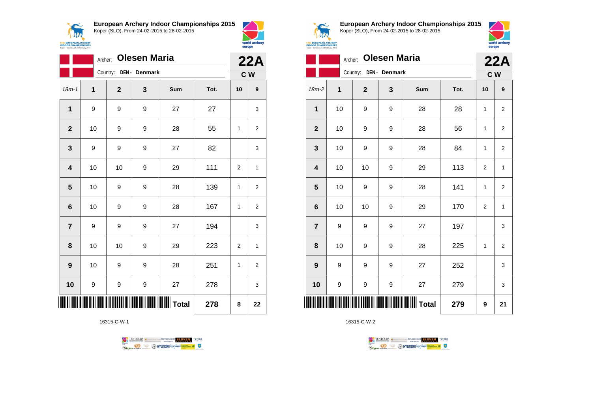$\tilde{\phantom{m}}$ 1174 **15th EUROPEAN ARCH<br>INDOOR CHAMPIONS**<br>Koper - Slovenia, 24-28 Februar **European Archery Indoor Championships 2015**



Koper (SLO), From 24-02-2015 to 28-02-2015 world archery europe

|                         | Archer:     |             | <b>Olesen Maria</b> |     |      |    | <b>22A</b>       |
|-------------------------|-------------|-------------|---------------------|-----|------|----|------------------|
|                         |             | Country:    | DEN - Denmark       |     |      |    | C W              |
| $18m - 1$               | $\mathbf 1$ | $\mathbf 2$ | 3                   | Sum | Tot. | 10 | $\boldsymbol{9}$ |
| $\mathbf{1}$            | 9           | 9           | 9                   | 27  | 27   |    | 3                |
| $\mathbf{2}$            | 10          | 9           | 9                   | 28  | 55   | 1  | 2                |
| $\mathbf 3$             | 9           | 9           | 9                   | 27  | 82   |    | 3                |
| $\overline{\mathbf{4}}$ | 10          | 10          | 9                   | 29  | 111  | 2  | 1                |
| $\overline{\mathbf{5}}$ | 10          | 9           | 9                   | 28  | 139  | 1  | 2                |
| 6                       | 10          | 9           | 9                   | 28  | 167  | 1  | $\overline{2}$   |
| $\overline{\mathbf{r}}$ | 9           | 9           | 9                   | 27  | 194  |    | 3                |
| 8                       | 10          | 10          | 9                   | 29  | 223  | 2  | 1                |
| 9                       | 10          | 9           | 9                   | 28  | 251  | 1  | $\overline{2}$   |
| 10                      | 9           | 9           | 9                   | 27  | 278  |    | 3                |
|                         |             |             | 278                 | 8   | 22   |    |                  |

16315-C-W-1





**European Archery Indoor Championships 2015** Koper (SLO), From 24-02-2015 to 28-02-2015



| <b>UROPEAN ARCHERY</b>                                      |  |
|-------------------------------------------------------------|--|
| <b><i>R CHAMPIONSHIPS</i></b><br>kwenia 24-28 February 2015 |  |

|                         | 22A |                        |   |       |      |                |                  |
|-------------------------|-----|------------------------|---|-------|------|----------------|------------------|
|                         |     | Country: DEN - Denmark |   |       |      |                | C W              |
| $18m-2$                 | 1   | $\mathbf 2$            | 3 | Sum   | Tot. | 10             | $\boldsymbol{9}$ |
| 1                       | 10  | 9                      | 9 | 28    | 28   | $\mathbf{1}$   | $\overline{2}$   |
| $\overline{\mathbf{2}}$ | 10  | 9                      | 9 | 28    | 56   | 1              | $\overline{2}$   |
| 3                       | 10  | 9                      | 9 | 28    | 84   | 1              | 2                |
| 4                       | 10  | 10                     | 9 | 29    | 113  | $\overline{2}$ | $\mathbf{1}$     |
| 5                       | 10  | 9                      | 9 | 28    | 141  | 1              | $\overline{2}$   |
| 6                       | 10  | 10                     | 9 | 29    | 170  | $\overline{c}$ | $\mathbf{1}$     |
| $\overline{7}$          | 9   | 9                      | 9 | 27    | 197  |                | 3                |
| 8                       | 10  | 9                      | 9 | 28    | 225  | 1              | 2                |
| 9                       | 9   | 9                      | 9 | 27    | 252  |                | 3                |
| 10                      | 9   | 9                      | 9 | 27    | 279  |                | 3                |
| ║║║                     |     |                        |   | Total | 279  | 9              | 21               |

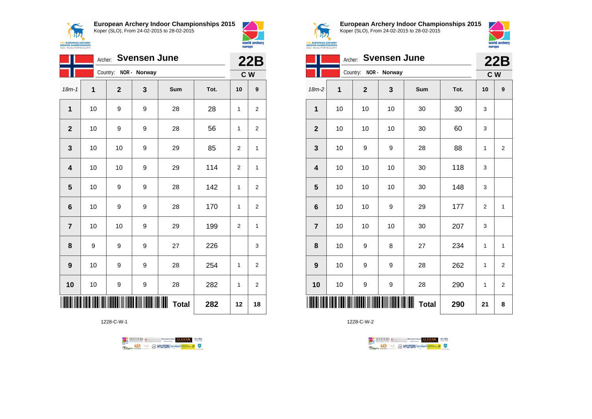**15th EUROPEAN ARCHERY**<br>**INDOOR CHAMPIONSHIPS**<br>Koper - Slovenia, 24-28 February 2015

**European Archery Indoor Championships 2015**



|                         |    | Archer:               | <b>Svensen June</b> |              |      | 22B            |                  |
|-------------------------|----|-----------------------|---------------------|--------------|------|----------------|------------------|
|                         |    | Country: NOR - Norway |                     |              |      |                | C W              |
| $18m - 1$               | 1  | $\mathbf{2}$          | 3                   | Sum          | Tot. | 10             | $\boldsymbol{9}$ |
| $\mathbf 1$             | 10 | 9                     | 9                   | 28           | 28   | 1              | $\overline{2}$   |
| $\mathbf{2}$            | 10 | 9                     | 9                   | 28           | 56   | 1              | $\overline{2}$   |
| 3                       | 10 | 10                    | 9                   | 29           | 85   | 2              | 1                |
| $\overline{\mathbf{4}}$ | 10 | 10                    | 9                   | 29           | 114  | $\overline{2}$ | 1                |
| 5                       | 10 | 9                     | 9                   | 28           | 142  | 1              | $\overline{2}$   |
| $6\phantom{1}6$         | 10 | 9                     | 9                   | 28           | 170  | 1              | $\overline{2}$   |
| $\overline{7}$          | 10 | 10                    | 9                   | 29           | 199  | $\overline{2}$ | 1                |
| 8                       | 9  | 9                     | 9                   | 27           | 226  |                | 3                |
| $\boldsymbol{9}$        | 10 | 9                     | 9                   | 28           | 254  | 1              | $\boldsymbol{2}$ |
| 10                      | 10 | 9                     | 9                   | 28           | 282  | 1              | 2                |
|                         |    |                       |                     | <b>Total</b> | 282  | 12             | 18               |

1228-C-W-1





world archery

europe

**European Archery Indoor Championships 2015** Koper (SLO), From 24-02-2015 to 28-02-2015



| <b>INDOOR CHAMPIONSHIPS</b><br>Coper - Slovenia, 24-28 February 2015 |         |                       |                     |              |      | europe         |                |
|----------------------------------------------------------------------|---------|-----------------------|---------------------|--------------|------|----------------|----------------|
|                                                                      | Archer: |                       | <b>Svensen June</b> |              |      |                | 22B            |
|                                                                      |         | Country: NOR - Norway |                     |              |      |                | C W            |
| $18m-2$                                                              | 1       | $\mathbf 2$           | 3                   | Sum          | Tot. | 10             | 9              |
| $\mathbf{1}$                                                         | 10      | 10                    | 10                  | 30           | 30   | 3              |                |
| $\mathbf{2}$                                                         | 10      | 10                    | 10                  | 30           | 60   | 3              |                |
| $\overline{\mathbf{3}}$                                              | 10      | 9                     | 9                   | 28           | 88   | 1              | $\overline{2}$ |
| $\overline{\mathbf{4}}$                                              | 10      | 10                    | 10                  | 30           | 118  | 3              |                |
| $5\phantom{1}$                                                       | 10      | 10                    | 10                  | 30           | 148  | 3              |                |
| $6\phantom{1}$                                                       | 10      | 10                    | 9                   | 29           | 177  | $\overline{2}$ | $\mathbf{1}$   |
| $\overline{7}$                                                       | 10      | 10                    | 10                  | 30           | 207  | 3              |                |
| 8                                                                    | 10      | 9                     | 8                   | 27           | 234  | 1              | $\mathbf{1}$   |
| 9                                                                    | 10      | 9                     | 9                   | 28           | 262  | 1              | $\overline{2}$ |
| 10                                                                   | 10      | 9                     | 9                   | 28           | 290  | 1              | $\overline{2}$ |
|                                                                      |         |                       |                     | <b>Total</b> | 290  | 21             | 8              |

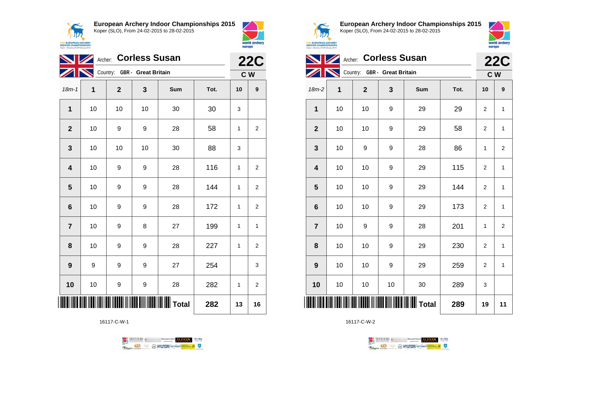**AN 15th EUROPEAN ARCHERY**<br>INDOOR CHAMPIONSHIPS<br>Koper - Slovenia, 24-28 February 2015 **European Archery Indoor Championships 2015**





|                         |    | <b>22C</b>                   |    |     |      |    |                |  |
|-------------------------|----|------------------------------|----|-----|------|----|----------------|--|
|                         |    | Country: GBR - Great Britain |    |     |      |    | C W            |  |
| $18m - 1$               | 1  | $\mathbf 2$                  | 3  | Sum | Tot. | 10 | 9              |  |
| 1                       | 10 | 10                           | 10 | 30  | 30   | 3  |                |  |
| $\mathbf{2}$            | 10 | 9                            | 9  | 28  | 58   | 1  | 2              |  |
| $\mathbf{3}$            | 10 | 10                           | 10 | 30  | 88   | 3  |                |  |
| $\overline{\mathbf{4}}$ | 10 | 9                            | 9  | 28  | 116  | 1  | 2              |  |
| 5                       | 10 | 9                            | 9  | 28  | 144  | 1  | $\overline{2}$ |  |
| $6\phantom{1}$          | 10 | 9                            | 9  | 28  | 172  | 1  | 2              |  |
| $\overline{7}$          | 10 | 9                            | 8  | 27  | 199  | 1  | 1              |  |
| 8                       | 10 | 9                            | 9  | 28  | 227  | 1  | 2              |  |
| $\boldsymbol{9}$        | 9  | 9                            | 9  | 27  | 254  |    | 3              |  |
| 10                      | 10 | 9                            | 9  | 28  | 282  | 1  | $\overline{2}$ |  |
|                         |    | 282                          | 13 | 16  |      |    |                |  |

16117-C-W-1





**European Archery Indoor Championships 2015** Koper (SLO), From 24-02-2015 to 28-02-2015



| <b>ROPEAN ARCHERY</b><br><b>R CHAMPIONSHIPS</b><br>weeia. 24-28 February 2015 |  |
|-------------------------------------------------------------------------------|--|
|                                                                               |  |

| <b>Corless Susan</b><br>Archer: |    |                              |    |                                              |      | <b>22C</b>     |                |
|---------------------------------|----|------------------------------|----|----------------------------------------------|------|----------------|----------------|
|                                 |    | Country: GBR - Great Britain |    |                                              |      | C W            |                |
| $18m-2$                         | 1  | $\mathbf{2}$                 | 3  | Sum                                          | Tot. | 10             | 9              |
| $\mathbf{1}$                    | 10 | 10                           | 9  | 29                                           | 29   | 2              | $\mathbf{1}$   |
| $\mathbf{2}$                    | 10 | 10                           | 9  | 29                                           | 58   | $\overline{2}$ | $\mathbf{1}$   |
| 3                               | 10 | 9                            | 9  | 28                                           | 86   | 1              | 2              |
| $\overline{\mathbf{4}}$         | 10 | 10                           | 9  | 29                                           | 115  | $\overline{2}$ | $\mathbf{1}$   |
| 5                               | 10 | 10                           | 9  | 29                                           | 144  | $\overline{2}$ | $\mathbf{1}$   |
| $6\phantom{1}6$                 | 10 | 10                           | 9  | 29                                           | 173  | $\overline{2}$ | $\mathbf{1}$   |
| $\overline{7}$                  | 10 | 9                            | 9  | 28                                           | 201  | 1              | $\overline{2}$ |
| 8                               | 10 | 10                           | 9  | 29                                           | 230  | $\overline{2}$ | $\mathbf{1}$   |
| 9                               | 10 | 10                           | 9  | 29                                           | 259  | $\overline{2}$ | $\mathbf{1}$   |
| 10                              | 10 | 10                           | 10 | 30                                           | 289  | 3              |                |
| ║║                              |    |                              |    | <b>    </b>                            Total | 289  | 19             | 11             |

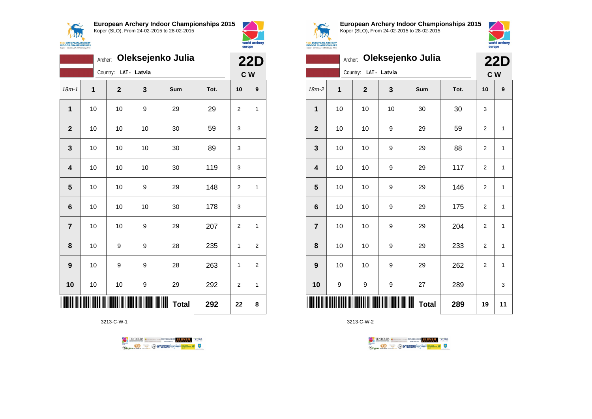



|                         | Oleksejenko Julia<br>Archer: |              |              |                   |      |                | <b>22D</b>       |  |
|-------------------------|------------------------------|--------------|--------------|-------------------|------|----------------|------------------|--|
|                         |                              | Country:     | LAT - Latvia |                   |      |                | C W              |  |
| $18m-1$                 | $\overline{1}$               | $\mathbf{2}$ | 3            | Sum               | Tot. | 10             | $\boldsymbol{9}$ |  |
| $\mathbf 1$             | 10                           | 10           | 9            | 29                | 29   | $\overline{2}$ | 1                |  |
| $\overline{2}$          | 10                           | 10           | 10           | 30                | 59   | 3              |                  |  |
| 3                       | 10                           | 10           | 10           | 30                | 89   | 3              |                  |  |
| $\overline{\mathbf{4}}$ | 10                           | 10           | 10           | 30                | 119  | 3              |                  |  |
| 5                       | 10                           | 10           | 9            | 29                | 148  | $\overline{2}$ | $\overline{1}$   |  |
| 6                       | 10                           | 10           | 10           | 30                | 178  | 3              |                  |  |
| $\overline{7}$          | 10                           | 10           | 9            | 29                | 207  | $\overline{2}$ | 1                |  |
| 8                       | 10                           | 9            | 9            | 28                | 235  | 1              | 2                |  |
| 9                       | 10                           | 9            | 9            | 28                | 263  | 1              | $\overline{c}$   |  |
| 10                      | 10                           | 10           | 9            | 29                | 292  | $\overline{2}$ | 1                |  |
|                         |                              |              |              | Ш<br><b>Total</b> | 292  | 22             | 8                |  |

3213-C-W-1





**European Archery Indoor Championships 2015** Koper (SLO), From 24-02-2015 to 28-02-2015



|                         | <b>22D</b> |                |              |              |      |                |    |
|-------------------------|------------|----------------|--------------|--------------|------|----------------|----|
|                         |            | Country:       | LAT - Latvia |              |      | C W            |    |
| $18m-2$                 | 1          | $\overline{2}$ | 3            | Sum          | Tot. | 10             | 9  |
| 1                       | 10         | 10             | 10           | 30           | 30   | 3              |    |
| $\mathbf{2}$            | 10         | 10             | 9            | 29           | 59   | $\overline{2}$ | 1  |
| $\mathbf{3}$            | 10         | 10             | 9            | 29           | 88   | $\overline{2}$ | 1  |
| $\overline{\mathbf{4}}$ | 10         | 10             | 9            | 29           | 117  | $\overline{2}$ | 1  |
| 5                       | 10         | 10             | 9            | 29           | 146  | $\overline{2}$ | 1  |
| $\bf 6$                 | 10         | 10             | 9            | 29           | 175  | 2              | 1  |
| $\overline{7}$          | 10         | 10             | 9            | 29           | 204  | $\overline{2}$ | 1  |
| 8                       | 10         | 10             | 9            | 29           | 233  | 2              | 1  |
| 9                       | 10         | 10             | 9            | 29           | 262  | $\overline{2}$ | 1  |
| 10                      | 9          | 9              | 9            | 27           | 289  |                | 3  |
| Ⅲ                       |            |                |              | <b>Total</b> | 289  | 19             | 11 |

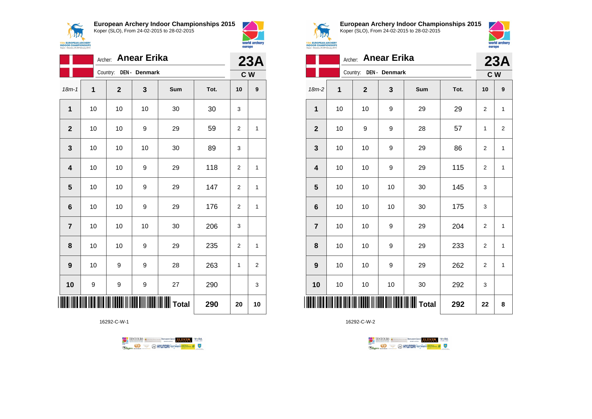$\epsilon$ **APA 15th EUROPEAN ARCHER<br>INDOOR CHAMPIONSHIP**<br>Koper - Slovenia, 24-28 February 201 **European Archery Indoor Championships 2015**





|                 | <b>Anear Erika</b><br>Archer: |                                                  |               |     |      |                |                  |  |
|-----------------|-------------------------------|--------------------------------------------------|---------------|-----|------|----------------|------------------|--|
|                 |                               | Country:                                         | DEN - Denmark |     |      | 23A            | C W              |  |
| $18m - 1$       | 1                             | $\mathbf{2}$                                     | 3             | Sum | Tot. | 10             | $\boldsymbol{9}$ |  |
| $\mathbf{1}$    | 10                            | 10                                               | 10            | 30  | 30   | 3              |                  |  |
| $\mathbf{2}$    | 10                            | 10                                               | 9             | 29  | 59   | 2              | $\mathbf{1}$     |  |
| 3               | 10                            | 10                                               | 10            | 30  | 89   | 3              |                  |  |
| 4               | 10                            | 10                                               | 9             | 29  | 118  | $\overline{2}$ | $\mathbf{1}$     |  |
| 5               | 10                            | 10                                               | 9             | 29  | 147  | 2              | $\mathbf{1}$     |  |
| $6\phantom{1}6$ | 10                            | 10                                               | 9             | 29  | 176  | 2              | $\mathbf{1}$     |  |
| $\overline{7}$  | 10                            | 10                                               | 10            | 30  | 206  | 3              |                  |  |
| 8               | 10                            | 10                                               | 9             | 29  | 235  | $\overline{2}$ | $\mathbf{1}$     |  |
| 9               | 10                            | 9                                                | 9             | 28  | 263  | 1              | $\overline{2}$   |  |
| 10              | 9                             | 9                                                | 9             | 27  | 290  |                | 3                |  |
|                 |                               | <b>                                   </b> Total | 290           | 20  | 10   |                |                  |  |

16292-C-W-1





**European Archery Indoor Championships 2015** Koper (SLO), From 24-02-2015 to 28-02-2015



|                  | th EUROPEAN ARCHERY<br><b>DOOR CHAMPIONSHIPS</b><br>per - Slovenia, 24-28 February 2015 |                                               |    |     |      |                |          |  |  |
|------------------|-----------------------------------------------------------------------------------------|-----------------------------------------------|----|-----|------|----------------|----------|--|--|
|                  |                                                                                         | Archer: Anear Erika<br>Country: DEN - Denmark |    |     |      |                | 23A      |  |  |
| $18m-2$          | 1                                                                                       | $\overline{2}$                                | 3  | Sum | Tot. | 10             | C W<br>9 |  |  |
| $\mathbf{1}$     | 10                                                                                      | 10                                            | 9  | 29  | 29   | 2              | 1        |  |  |
| $\boldsymbol{2}$ | 10                                                                                      | 9                                             | 9  | 28  | 57   | 1              | 2        |  |  |
| $\mathbf{3}$     | 10                                                                                      | 10                                            | 9  | 29  | 86   | 2              | 1        |  |  |
| 4                | 10                                                                                      | 10                                            | 9  | 29  | 115  | $\overline{2}$ | 1        |  |  |
| 5                | 10                                                                                      | 10                                            | 10 | 30  | 145  | 3              |          |  |  |
| 6                | 10                                                                                      | 10                                            | 10 | 30  | 175  | 3              |          |  |  |
| $\overline{7}$   | 10                                                                                      | 10                                            | 9  | 29  | 204  | 2              | 1        |  |  |
| 8                | 10                                                                                      | 10                                            | 9  | 29  | 233  | 2              | 1        |  |  |
| $\boldsymbol{9}$ | 10                                                                                      | 10                                            | 9  | 29  | 262  | 2              | 1        |  |  |
|                  |                                                                                         |                                               |    |     |      |                |          |  |  |

**10** | 10 | 10 | 30 | 292 | 3

\*16292-C-W-2\* **Total 292 22 8**

TENTOURS & COMPANY MARKED WORDER TO BE SAMED WORD

**Example 2** @ HYUNDAI lansed **State 4** U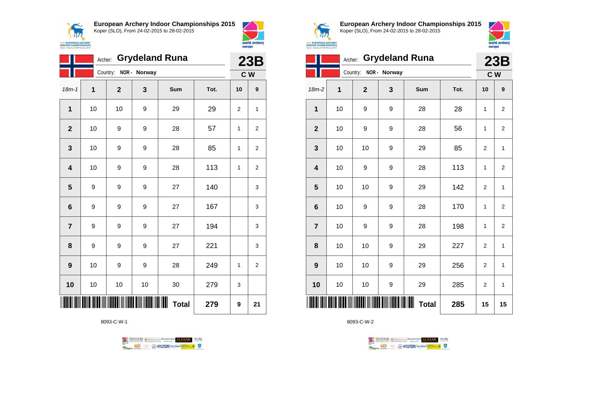



|                 | <b>Grydeland Runa</b><br>Archer: |                       |    |                        |      |    |                |  |
|-----------------|----------------------------------|-----------------------|----|------------------------|------|----|----------------|--|
|                 |                                  | Country: NOR - Norway |    |                        |      |    | C <sub>W</sub> |  |
| $18m - 1$       | 1                                | $\mathbf{2}$          | 3  | Sum                    | Tot. | 10 | 9              |  |
| $\mathbf{1}$    | 10                               | 10                    | 9  | 29                     | 29   | 2  | 1              |  |
| $\overline{2}$  | 10                               | 9                     | 9  | 28                     | 57   | 1  | 2              |  |
| 3               | 10                               | 9                     | 9  | 28                     | 85   | 1  | $\overline{2}$ |  |
| 4               | 10                               | 9                     | 9  | 28                     | 113  | 1  | $\overline{2}$ |  |
| 5               | 9                                | 9                     | 9  | 27                     | 140  |    | 3              |  |
| $6\phantom{1}6$ | 9                                | 9                     | 9  | 27                     | 167  |    | 3              |  |
| $\overline{7}$  | $\boldsymbol{9}$                 | 9                     | 9  | 27                     | 194  |    | 3              |  |
| 8               | 9                                | 9                     | 9  | 27                     | 221  |    | 3              |  |
| 9               | 10                               | 9                     | 9  | 28                     | 249  | 1  | 2              |  |
| 10              | 10                               | 10                    | 10 | 30                     | 279  | 3  |                |  |
|                 |                                  |                       |    | IIIIII<br><b>Total</b> | 279  | 9  | 21             |  |

8093-C-W-1





**European Archery Indoor Championships 2015** Koper (SLO), From 24-02-2015 to 28-02-2015



|                         | <b>Grydeland Runa</b><br>Archer: |                |              |              |      |                |                |
|-------------------------|----------------------------------|----------------|--------------|--------------|------|----------------|----------------|
|                         |                                  | Country:       | NOR - Norway |              |      |                | C W            |
| $18m-2$                 | 1                                | $\overline{2}$ | 3            | Sum          | Tot. | 10             | 9              |
| 1                       | 10                               | 9              | 9            | 28           | 28   | 1              | $\overline{2}$ |
| $\mathbf{2}$            | 10                               | 9              | 9            | 28           | 56   | 1              | $\overline{2}$ |
| 3                       | 10                               | 10             | 9            | 29           | 85   | $\overline{2}$ | 1              |
| $\overline{\mathbf{4}}$ | 10                               | 9              | 9            | 28           | 113  | 1              | $\overline{2}$ |
| 5                       | 10                               | 10             | 9            | 29           | 142  | $\overline{2}$ | 1              |
| $6\phantom{1}6$         | 10                               | 9              | 9            | 28           | 170  | 1              | $\overline{2}$ |
| $\overline{7}$          | 10                               | 9              | 9            | 28           | 198  | 1              | $\overline{2}$ |
| 8                       | 10                               | 10             | 9            | 29           | 227  | $\overline{2}$ | 1              |
| 9                       | 10                               | 10             | 9            | 29           | 256  | $\overline{2}$ | 1              |
| 10                      | 10                               | 10             | 9            | 29           | 285  | $\overline{2}$ | $\mathbf{1}$   |
| ║║                      |                                  |                |              | <b>Total</b> | 285  | 15             | 15             |

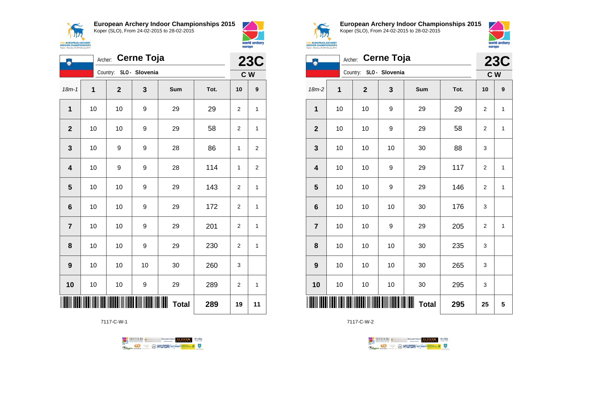**15th EUROPEAN ARCHERY**<br>**INDOOR CHAMPIONSHIPS**<br>Koper - Slovenia, 24-28 February 2015

**European Archery Indoor Championships 2015** Koper (SLO), From 24-02-2015 to 28-02-2015





| Ą                       | Cerne Toja<br>Archer: |                         |    |                   |      |                |                  |  |
|-------------------------|-----------------------|-------------------------|----|-------------------|------|----------------|------------------|--|
|                         |                       | Country: SLO - Slovenia |    |                   |      |                | C W              |  |
| $18m - 1$               | 1                     | $\mathbf{2}$            | 3  | Sum               | Tot. | 10             | $\boldsymbol{9}$ |  |
| 1                       | 10                    | 10                      | 9  | 29                | 29   | 2              | 1                |  |
| $\mathbf{2}$            | 10                    | 10                      | 9  | 29                | 58   | $\overline{2}$ | 1                |  |
| 3                       | 10                    | 9                       | 9  | 28                | 86   | 1              | $\overline{2}$   |  |
| $\overline{\mathbf{4}}$ | 10                    | 9                       | 9  | 28                | 114  | 1              | $\overline{2}$   |  |
| 5                       | 10                    | 10                      | 9  | 29                | 143  | $\overline{2}$ | $\mathbf{1}$     |  |
| $6\phantom{1}$          | 10                    | 10                      | 9  | 29                | 172  | 2              | 1                |  |
| $\overline{7}$          | 10                    | 10                      | 9  | 29                | 201  | 2              | $\mathbf{1}$     |  |
| 8                       | 10                    | 10                      | 9  | 29                | 230  | $\overline{2}$ | $\mathbf{1}$     |  |
| $\boldsymbol{9}$        | 10                    | 10                      | 10 | 30                | 260  | 3              |                  |  |
| 10                      | 10                    | 10                      | 9  | 29                | 289  | 2              | 1                |  |
|                         |                       |                         |    | ∭<br><b>Total</b> | 289  | 19             | 11               |  |

7117-C-W-1





**European Archery Indoor Championships 2015** Koper (SLO), From 24-02-2015 to 28-02-2015



| 217                                                      |  |
|----------------------------------------------------------|--|
| <b>EUROPEAN ARCHERY</b>                                  |  |
| <b>OR CHAMPIONSHIPS</b><br>Slovenia, 24-28 February 2015 |  |

| <b>Cerne Toja</b><br>Archer: |    |                         |              |              |      | <b>23C</b>     |              |
|------------------------------|----|-------------------------|--------------|--------------|------|----------------|--------------|
|                              |    | Country: SLO - Slovenia |              |              |      | C W            |              |
| $18m-2$                      | 1  | $\mathbf 2$             | $\mathbf{3}$ | Sum          | Tot. | 10             | 9            |
| 1                            | 10 | 10                      | 9            | 29           | 29   | $\overline{2}$ | $\mathbf{1}$ |
| $\mathbf{2}$                 | 10 | 10                      | 9            | 29           | 58   | $\overline{2}$ | 1            |
| $\mathbf{3}$                 | 10 | 10                      | 10           | 30           | 88   | 3              |              |
| $\overline{\mathbf{4}}$      | 10 | 10                      | 9            | 29           | 117  | 2              | 1            |
| $5\phantom{1}$               | 10 | 10                      | 9            | 29           | 146  | 2              | 1            |
| $\bf 6$                      | 10 | 10                      | 10           | 30           | 176  | 3              |              |
| $\overline{7}$               | 10 | 10                      | 9            | 29           | 205  | $\overline{2}$ | 1            |
| 8                            | 10 | 10                      | 10           | 30           | 235  | 3              |              |
| $\boldsymbol{9}$             | 10 | 10                      | 10           | 30           | 265  | 3              |              |
| 10                           | 10 | 10                      | 10           | 30           | 295  | 3              |              |
| ║║                           |    |                         |              | <b>Total</b> | 295  | 25             | 5            |

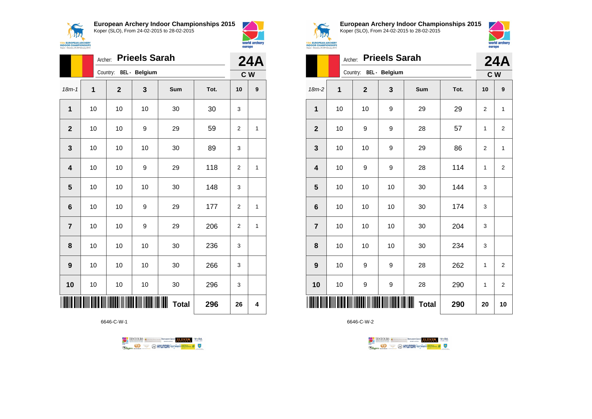**15th EUROPEAN ARCHERY**<br>**INDOOR CHAMPIONSHIPS**<br>Koper - Slovenia, 24-28 February 2015

**European Archery Indoor Championships 2015** Koper (SLO), From 24-02-2015 to 28-02-2015



|                         |      | <b>Prieels Sarah</b><br>Archer:                                                                                       |    |                        |      |                |                |  |
|-------------------------|------|-----------------------------------------------------------------------------------------------------------------------|----|------------------------|------|----------------|----------------|--|
|                         |      | Country: BEL - Belgium                                                                                                |    |                        |      | C W            |                |  |
| $18m-1$                 | 1    | $\mathbf{2}$                                                                                                          | 3  | Sum                    | Tot. | 10             | 9              |  |
| 1                       | 10   | 10                                                                                                                    | 10 | 30                     | 30   | 3              |                |  |
| $\mathbf{2}$            | 10   | 10                                                                                                                    | 9  | 29                     | 59   | 2              | 1              |  |
| 3                       | 10   | 10                                                                                                                    | 10 | 30                     | 89   | 3              |                |  |
| $\overline{\mathbf{4}}$ | 10   | 10                                                                                                                    | 9  | 29                     | 118  | $\overline{2}$ | $\overline{1}$ |  |
| 5                       | 10   | 10                                                                                                                    | 10 | 30                     | 148  | 3              |                |  |
| 6                       | 10   | 10                                                                                                                    | 9  | 29                     | 177  | $\overline{2}$ | 1              |  |
| $\overline{7}$          | $10$ | 10                                                                                                                    | 9  | 29                     | 206  | $\overline{2}$ | 1              |  |
| 8                       | 10   | 10                                                                                                                    | 10 | 30                     | 236  | 3              |                |  |
| 9                       | 10   | 10                                                                                                                    | 10 | 30                     | 266  | 3              |                |  |
| 10                      | 10   | 10                                                                                                                    | 10 | 30                     | 296  | 3              |                |  |
|                         |      | <u> AITIN AITIN AITIN AITIN AITIN AITIN AITIN AITIN AITIN AITIN AITIN AITIN AITIN AITIN AITIN AITIN AITIN AITIN A</u> |    | IIIIII<br><b>Total</b> | 296  | 26             | 4              |  |

6646-C-W-1





**European Archery Indoor Championships 2015** Koper (SLO), From 24-02-2015 to 28-02-2015



| <b>NARCHERY</b><br><b>PIONSHIPS</b><br>8 February 2015 |         |                      |
|--------------------------------------------------------|---------|----------------------|
|                                                        | Archer: | <b>Prieels Sarah</b> |

|                         | Archer: |                        | <b>Prieels Sarah</b> |              |      |    | <b>24A</b>     |
|-------------------------|---------|------------------------|----------------------|--------------|------|----|----------------|
|                         |         | Country: BEL - Belgium |                      |              |      |    | C W            |
| $18m-2$                 | 1       | $\mathbf{2}$           | 3                    | Sum          | Tot. | 10 | 9              |
| 1                       | 10      | 10                     | 9                    | 29           | 29   | 2  | 1              |
| $\mathbf{2}$            | 10      | 9                      | 9                    | 28           | 57   | 1  | $\overline{2}$ |
| $\mathbf{3}$            | 10      | 10                     | 9                    | 29           | 86   | 2  | 1              |
| $\overline{\mathbf{4}}$ | 10      | 9                      | 9                    | 28           | 114  | 1  | $\overline{2}$ |
| 5                       | 10      | 10                     | 10                   | 30           | 144  | 3  |                |
| $\bf 6$                 | 10      | 10                     | 10                   | 30           | 174  | 3  |                |
| $\overline{7}$          | 10      | 10                     | 10                   | 30           | 204  | 3  |                |
| 8                       | 10      | 10                     | 10                   | 30           | 234  | 3  |                |
| 9                       | 10      | 9                      | 9                    | 28           | 262  | 1  | $\overline{2}$ |
| 10                      | 10      | 9                      | 9                    | 28           | 290  | 1  | 2              |
| ║║║                     |         |                        |                      | <b>Total</b> | 290  | 20 | 10             |

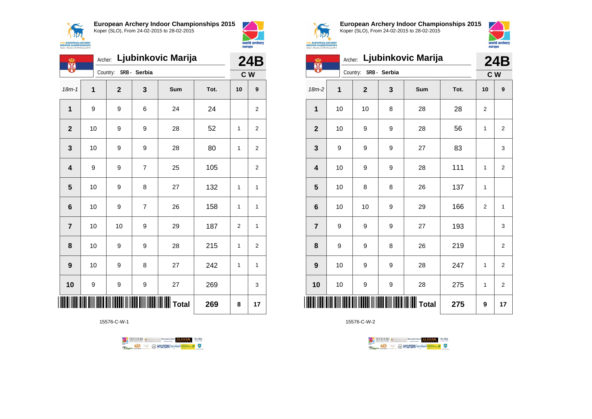



| ക<br>X                  |                  | Archer: |                       |                | Ljubinkovic Marija        |      |    | 24B            |
|-------------------------|------------------|---------|-----------------------|----------------|---------------------------|------|----|----------------|
|                         |                  |         | Country: SRB - Serbia |                |                           |      |    | C <sub>W</sub> |
| $18m - 1$               | 1                |         | $\overline{2}$        | 3              | Sum                       | Tot. | 10 | 9              |
| 1                       | 9                |         | 9                     | 6              | 24                        | 24   |    | 2              |
| $\mathbf{2}$            | 10               |         | 9                     | 9              | 28                        | 52   | 1  | $\overline{2}$ |
| 3                       | 10               |         | 9                     | 9              | 28                        | 80   | 1  | $\overline{2}$ |
| $\overline{\mathbf{4}}$ | $\boldsymbol{9}$ |         | 9                     | $\overline{7}$ | 25                        | 105  |    | 2              |
| $\overline{\mathbf{5}}$ | 10               |         | 9                     | 8              | 27                        | 132  | 1  | 1              |
| $6\phantom{1}$          | 10               |         | 9                     | $\overline{7}$ | 26                        | 158  | 1  | 1              |
| $\overline{7}$          | 10               |         | 10                    | 9              | 29                        | 187  | 2  | 1              |
| 8                       | 10               |         | 9                     | 9              | 28                        | 215  | 1  | 2              |
| 9                       | 10               |         | 9                     | 8              | 27                        | 242  | 1  | 1              |
| 10                      | $\boldsymbol{9}$ |         | 9                     | 9              | 27                        | 269  |    | 3              |
|                         |                  |         |                       |                | <b>III</b> IIIIIIII Total | 269  | 8  | 17             |

15576-C-W-1





**European Archery Indoor Championships 2015** Koper (SLO), From 24-02-2015 to 28-02-2015



| ക<br>W          |    | Archer:               |   | Ljubinkovic Marija |      |                | <b>24B</b>     |
|-----------------|----|-----------------------|---|--------------------|------|----------------|----------------|
|                 |    | Country: SRB - Serbia |   |                    |      |                | C <sub>W</sub> |
| $18m-2$         | 1  | $\mathbf 2$           | 3 | Sum                | Tot. | 10             | 9              |
| $\mathbf 1$     | 10 | 10                    | 8 | 28                 | 28   | $\overline{2}$ |                |
| $\mathbf{2}$    | 10 | 9                     | 9 | 28                 | 56   | 1              | 2              |
| 3               | 9  | 9                     | 9 | 27                 | 83   |                | 3              |
| 4               | 10 | 9                     | 9 | 28                 | 111  | 1              | $\overline{2}$ |
| 5               | 10 | 8                     | 8 | 26                 | 137  | 1              |                |
| $6\phantom{1}6$ | 10 | 10                    | 9 | 29                 | 166  | $\overline{2}$ | $\mathbf{1}$   |
| $\overline{7}$  | 9  | 9                     | 9 | 27                 | 193  |                | 3              |
| 8               | 9  | 9                     | 8 | 26                 | 219  |                | $\overline{2}$ |
| 9               | 10 | 9                     | 9 | 28                 | 247  | 1              | $\overline{2}$ |
| 10              | 10 | 9                     | 9 | 28                 | 275  | 1              | $\overline{2}$ |
| ║║              |    |                       |   |                    | 275  | 9              | 17             |

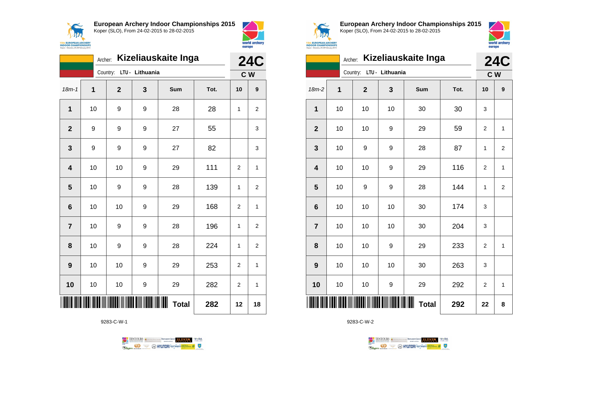



|                         | Archer: |              |                 | Kizeliauskaite Inga |      |                | <b>24C</b>     |
|-------------------------|---------|--------------|-----------------|---------------------|------|----------------|----------------|
|                         |         | Country:     | LTU - Lithuania |                     |      |                | C <sub>W</sub> |
| $18m - 1$               | 1       | $\mathbf{2}$ | 3               | Sum                 | Tot. | 10             | 9              |
| 1                       | 10      | 9            | 9               | 28                  | 28   | 1              | 2              |
| $\overline{2}$          | 9       | 9            | 9               | 27                  | 55   |                | 3              |
| 3                       | 9       | 9            | 9               | 27                  | 82   |                | 3              |
| $\overline{\mathbf{4}}$ | 10      | 10           | 9               | 29                  | 111  | $\overline{2}$ | 1              |
| 5                       | 10      | 9            | 9               | 28                  | 139  | $\mathbf{1}$   | 2              |
| 6                       | 10      | 10           | 9               | 29                  | 168  | 2              | 1              |
| $\overline{7}$          | 10      | 9            | 9               | 28                  | 196  | $\mathbf{1}$   | $\overline{2}$ |
| 8                       | 10      | 9            | 9               | 28                  | 224  | 1              | 2              |
| 9                       | 10      | 10           | 9               | 29                  | 253  | $\overline{2}$ | 1              |
| 10                      | 10      | 10           | 9               | 29                  | 282  | $\overline{2}$ | 1              |
|                         |         |              |                 | ⊪<br><b>Total</b>   | 282  | 12             | 18             |

9283-C-W-1





**European Archery Indoor Championships 2015** Koper (SLO), From 24-02-2015 to 28-02-2015



|                         | Archer: |                          |    | Kizeliauskaite Inga |      |                | <b>24C</b>     |
|-------------------------|---------|--------------------------|----|---------------------|------|----------------|----------------|
|                         |         | Country: LTU - Lithuania |    |                     |      |                | C W            |
| 18m-2                   | 1       | $\overline{2}$           | 3  | Sum                 | Tot. | 10             | 9              |
| 1                       | 10      | 10                       | 10 | 30                  | 30   | 3              |                |
| $\overline{2}$          | 10      | 10                       | 9  | 29                  | 59   | $\overline{2}$ | 1              |
| 3                       | 10      | 9                        | 9  | 28                  | 87   | 1              | $\overline{2}$ |
| $\overline{\mathbf{4}}$ | 10      | 10                       | 9  | 29                  | 116  | $\overline{c}$ | 1              |
| $\overline{\mathbf{5}}$ | 10      | 9                        | 9  | 28                  | 144  | 1              | $\overline{2}$ |
| $6\phantom{1}6$         | 10      | 10                       | 10 | 30                  | 174  | 3              |                |
| $\overline{7}$          | 10      | 10                       | 10 | 30                  | 204  | 3              |                |
| 8                       | 10      | 10                       | 9  | 29                  | 233  | 2              | 1              |
| 9                       | 10      | 10                       | 10 | 30                  | 263  | 3              |                |
| 10                      | 10      | 10                       | 9  | 29                  | 292  | $\overline{2}$ | 1              |
|                         |         |                          |    | <b>Total</b>        | 292  | 22             | 8              |

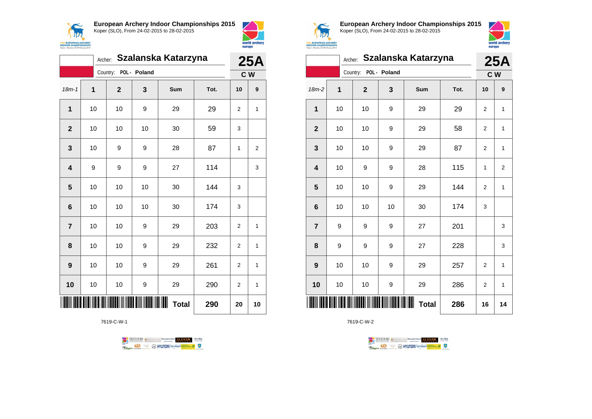



|                |    | Archer:      |              | Szalanska Katarzyna |      |                | <b>25A</b>       |
|----------------|----|--------------|--------------|---------------------|------|----------------|------------------|
|                |    | Country:     | POL - Poland |                     |      |                | C W              |
| $18m - 1$      | 1  | $\mathbf{2}$ | 3            | Sum                 | Tot. | 10             | $\boldsymbol{9}$ |
| $\mathbf 1$    | 10 | 10           | 9            | 29                  | 29   | 2              | 1                |
| $\overline{2}$ | 10 | 10           | 10           | 30                  | 59   | 3              |                  |
| 3              | 10 | 9            | 9            | 28                  | 87   | 1              | 2                |
| 4              | 9  | 9            | 9            | 27                  | 114  |                | 3                |
| 5              | 10 | 10           | 10           | 30                  | 144  | 3              |                  |
| 6              | 10 | 10           | 10           | 30                  | 174  | 3              |                  |
| $\overline{7}$ | 10 | 10           | 9            | 29                  | 203  | $\overline{2}$ | 1                |
| 8              | 10 | 10           | 9            | 29                  | 232  | $\overline{2}$ | 1                |
| 9              | 10 | 10           | 9            | 29                  | 261  | $\overline{2}$ | 1                |
| 10             | 10 | 10           | 9            | 29                  | 290  | $\overline{2}$ | 1                |
|                |    |              |              | ∭<br><b>Total</b>   | 290  | 20             | 10               |

7619-C-W-1





**European Archery Indoor Championships 2015** Koper (SLO), From 24-02-2015 to 28-02-2015



|                         |    | Archer:               |    | Szalanska Katarzyna |      |                | <b>25A</b>     |
|-------------------------|----|-----------------------|----|---------------------|------|----------------|----------------|
|                         |    | Country: POL - Poland |    |                     |      | C W            |                |
| $18m-2$                 | 1  | $\overline{2}$        | 3  | Sum                 | Tot. | 10             | 9              |
| 1                       | 10 | 10                    | 9  | 29                  | 29   | $\overline{2}$ | 1              |
| $\mathbf{2}$            | 10 | 10                    | 9  | 29                  | 58   | $\overline{2}$ | 1              |
| $\mathbf{3}$            | 10 | 10                    | 9  | 29                  | 87   | 2              | 1              |
| $\overline{\mathbf{4}}$ | 10 | 9                     | 9  | 28                  | 115  | $\mathbf{1}$   | $\overline{c}$ |
| $\overline{\mathbf{5}}$ | 10 | 10                    | 9  | 29                  | 144  | 2              | 1              |
| $\bf 6$                 | 10 | 10                    | 10 | 30                  | 174  | 3              |                |
| $\overline{7}$          | 9  | 9                     | 9  | 27                  | 201  |                | 3              |
| 8                       | 9  | 9                     | 9  | 27                  | 228  |                | 3              |
| 9                       | 10 | 10                    | 9  | 29                  | 257  | $\overline{2}$ | 1              |
| 10                      | 10 | 10                    | 9  | 29                  | 286  | $\overline{2}$ | 1              |
| IIII                    |    |                       |    | <b>Total</b>        | 286  | 16             | 14             |

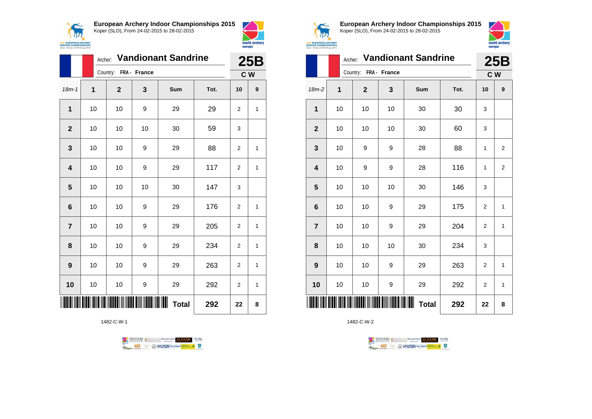



|                | Archer: |                       |                            | <b>Vandionant Sandrine</b> |      |                | 25B              |
|----------------|---------|-----------------------|----------------------------|----------------------------|------|----------------|------------------|
|                |         | Country: FRA - France |                            |                            |      |                | C W              |
| $18m - 1$      | 1       | $\mathbf{2}$          | 3                          | Sum                        | Tot. | 10             | $\boldsymbol{9}$ |
| $\mathbf{1}$   | 10      | 10                    | 9                          | 29                         | 29   | $\overline{2}$ | 1                |
| $\overline{2}$ | 10      | 10                    | 10                         | 30                         | 59   | 3              |                  |
| 3              | 10      | 10                    | 9                          | 29                         | 88   | 2              | 1                |
| 4              | 10      | 10                    | 9                          | 29                         | 117  | $\overline{2}$ | 1                |
| 5              | 10      | 10                    | 10                         | 30                         | 147  | 3              |                  |
| 6              | 10      | 10                    | 9                          | 29                         | 176  | $\overline{2}$ | 1                |
| $\overline{7}$ | 10      | 10                    | 9                          | 29                         | 205  | $\overline{2}$ | 1                |
| 8              | 10      | 10                    | 9                          | 29                         | 234  | $\overline{2}$ | 1                |
| 9              | 10      | 10                    | 9                          | 29                         | 263  | $\overline{2}$ | 1                |
| 10             | 10      | 10                    | 9                          | 29                         | 292  | 2              | 1                |
|                |         |                       | <b>TIT DINI NDARIT KAN</b> | <b>Total</b>               | 292  | 22             | 8                |

1482-C-W-1





**European Archery Indoor Championships 2015** Koper (SLO), From 24-02-2015 to 28-02-2015



|                         |    |                       |    | Archer: Vandionant Sandrine |      |                | <b>25B</b>     |
|-------------------------|----|-----------------------|----|-----------------------------|------|----------------|----------------|
|                         |    | Country: FRA - France |    |                             |      | C W            |                |
| $18m-2$                 | 1  | $\mathbf{2}$          | 3  | Sum                         | Tot. | 10             | 9              |
| $\mathbf{1}$            | 10 | 10                    | 10 | 30                          | 30   | 3              |                |
| $\mathbf{2}$            | 10 | 10                    | 10 | 30                          | 60   | 3              |                |
| 3                       | 10 | 9                     | 9  | 28                          | 88   | 1              | 2              |
| $\overline{\mathbf{4}}$ | 10 | 9                     | 9  | 28                          | 116  | 1              | $\overline{2}$ |
| 5                       | 10 | 10                    | 10 | 30                          | 146  | 3              |                |
| $6\phantom{1}6$         | 10 | 10                    | 9  | 29                          | 175  | $\overline{2}$ | $\mathbf{1}$   |
| $\overline{7}$          | 10 | 10                    | 9  | 29                          | 204  | 2              | 1              |
| 8                       | 10 | 10                    | 10 | 30                          | 234  | 3              |                |
| 9                       | 10 | 10                    | 9  | 29                          | 263  | $\overline{2}$ | 1              |
| 10                      | 10 | 10                    | 9  | 29                          | 292  | $\overline{2}$ | $\mathbf{1}$   |
| IIII                    |    |                       |    | Ш<br><b>Total</b>           | 292  | 22             | 8              |